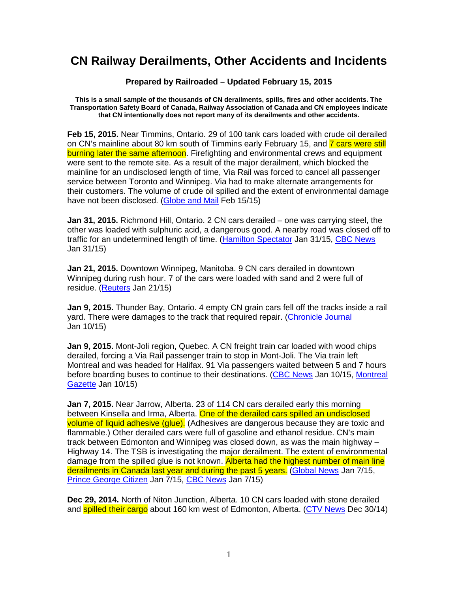## **CN Railway Derailments, Other Accidents and Incidents**

## **Prepared by Railroaded – Updated February 15, 2015**

**This is a small sample of the thousands of CN derailments, spills, fires and other accidents. The Transportation Safety Board of Canada, Railway Association of Canada and CN employees indicate that CN intentionally does not report many of its derailments and other accidents.** 

**Feb 15, 2015.** Near Timmins, Ontario. 29 of 100 tank cars loaded with crude oil derailed on CN's mainline about 80 km south of Timmins early February 15, and 7 cars were still burning later the same afternoon. Firefighting and environmental crews and equipment were sent to the remote site. As a result of the major derailment, which blocked the mainline for an undisclosed length of time, Via Rail was forced to cancel all passenger service between Toronto and Winnipeg. Via had to make alternate arrangements for their customers. The volume of crude oil spilled and the extent of environmental damage have not been disclosed. (Globe and Mail Feb 15/15)

**Jan 31, 2015.** Richmond Hill, Ontario. 2 CN cars derailed – one was carrying steel, the other was loaded with sulphuric acid, a dangerous good. A nearby road was closed off to traffic for an undetermined length of time. (Hamilton Spectator Jan 31/15, CBC News Jan 31/15)

**Jan 21, 2015.** Downtown Winnipeg, Manitoba. 9 CN cars derailed in downtown Winnipeg during rush hour. 7 of the cars were loaded with sand and 2 were full of residue. (Reuters Jan 21/15)

**Jan 9, 2015.** Thunder Bay, Ontario. 4 empty CN grain cars fell off the tracks inside a rail yard. There were damages to the track that required repair. (Chronicle Journal Jan 10/15)

**Jan 9, 2015.** Mont-Joli region, Quebec. A CN freight train car loaded with wood chips derailed, forcing a Via Rail passenger train to stop in Mont-Joli. The Via train left Montreal and was headed for Halifax. 91 Via passengers waited between 5 and 7 hours before boarding buses to continue to their destinations. (CBC News Jan 10/15, Montreal Gazette Jan 10/15)

**Jan 7, 2015.** Near Jarrow, Alberta. 23 of 114 CN cars derailed early this morning between Kinsella and Irma, Alberta. One of the derailed cars spilled an undisclosed volume of liquid adhesive (glue). (Adhesives are dangerous because they are toxic and flammable.) Other derailed cars were full of gasoline and ethanol residue. CN's main track between Edmonton and Winnipeg was closed down, as was the main highway – Highway 14. The TSB is investigating the major derailment. The extent of environmental damage from the spilled glue is not known. Alberta had the highest number of main line derailments in Canada last year and during the past 5 years. (Global News Jan 7/15, Prince George Citizen Jan 7/15, CBC News Jan 7/15)

**Dec 29, 2014.** North of Niton Junction, Alberta. 10 CN cars loaded with stone derailed and **spilled their cargo** about 160 km west of Edmonton, Alberta. (CTV News Dec 30/14)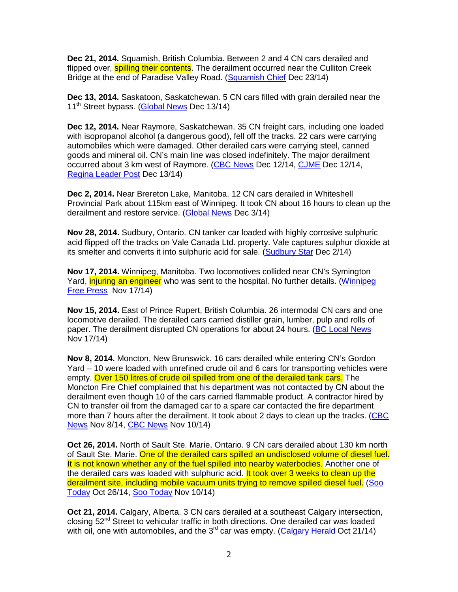**Dec 21, 2014.** Squamish, British Columbia. Between 2 and 4 CN cars derailed and flipped over, **spilling their contents**. The derailment occurred near the Culliton Creek Bridge at the end of Paradise Valley Road. (Squamish Chief Dec 23/14)

**Dec 13, 2014.** Saskatoon, Saskatchewan. 5 CN cars filled with grain derailed near the 11<sup>th</sup> Street bypass. (Global News Dec 13/14)

**Dec 12, 2014.** Near Raymore, Saskatchewan. 35 CN freight cars, including one loaded with isopropanol alcohol (a dangerous good), fell off the tracks. 22 cars were carrying automobiles which were damaged. Other derailed cars were carrying steel, canned goods and mineral oil. CN's main line was closed indefinitely. The major derailment occurred about 3 km west of Raymore. (CBC News Dec 12/14, CJME Dec 12/14, Regina Leader Post Dec 13/14)

**Dec 2, 2014.** Near Brereton Lake, Manitoba. 12 CN cars derailed in Whiteshell Provincial Park about 115km east of Winnipeg. It took CN about 16 hours to clean up the derailment and restore service. (Global News Dec 3/14)

**Nov 28, 2014.** Sudbury, Ontario. CN tanker car loaded with highly corrosive sulphuric acid flipped off the tracks on Vale Canada Ltd. property. Vale captures sulphur dioxide at its smelter and converts it into sulphuric acid for sale. (Sudbury Star Dec 2/14)

**Nov 17, 2014.** Winnipeg, Manitoba. Two locomotives collided near CN's Symington Yard, *injuring an engineer* who was sent to the hospital. No further details. (Winnipeg Free Press Nov 17/14)

**Nov 15, 2014.** East of Prince Rupert, British Columbia. 26 intermodal CN cars and one locomotive derailed. The derailed cars carried distiller grain, lumber, pulp and rolls of paper. The derailment disrupted CN operations for about 24 hours. (BC Local News Nov 17/14)

**Nov 8, 2014.** Moncton, New Brunswick. 16 cars derailed while entering CN's Gordon Yard – 10 were loaded with unrefined crude oil and 6 cars for transporting vehicles were empty. Over 150 litres of crude oil spilled from one of the derailed tank cars. The Moncton Fire Chief complained that his department was not contacted by CN about the derailment even though 10 of the cars carried flammable product. A contractor hired by CN to transfer oil from the damaged car to a spare car contacted the fire department more than 7 hours after the derailment. It took about 2 days to clean up the tracks. (CBC News Nov 8/14, CBC News Nov 10/14)

**Oct 26, 2014.** North of Sault Ste. Marie, Ontario. 9 CN cars derailed about 130 km north of Sault Ste. Marie. One of the derailed cars spilled an undisclosed volume of diesel fuel. It is not known whether any of the fuel spilled into nearby waterbodies. Another one of the derailed cars was loaded with sulphuric acid. It took over 3 weeks to clean up the derailment site, including mobile vacuum units trying to remove spilled diesel fuel. (Soo Today Oct 26/14, Soo Today Nov 10/14)

**Oct 21, 2014.** Calgary, Alberta. 3 CN cars derailed at a southeast Calgary intersection, closing  $52<sup>nd</sup>$  Street to vehicular traffic in both directions. One derailed car was loaded with oil, one with automobiles, and the  $3<sup>rd</sup>$  car was empty. (Calgary Herald Oct 21/14)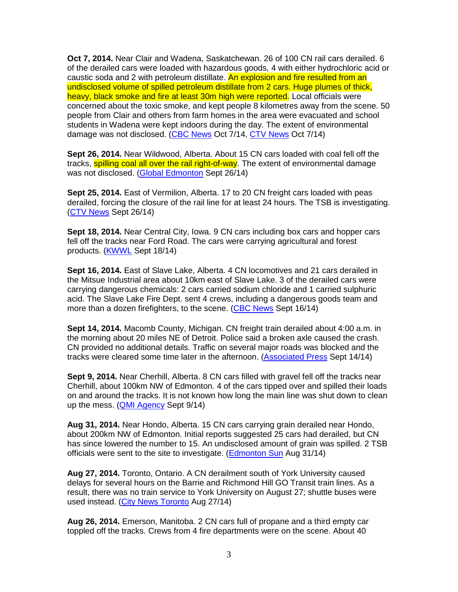**Oct 7, 2014.** Near Clair and Wadena, Saskatchewan. 26 of 100 CN rail cars derailed. 6 of the derailed cars were loaded with hazardous goods, 4 with either hydrochloric acid or caustic soda and 2 with petroleum distillate. An explosion and fire resulted from an undisclosed volume of spilled petroleum distillate from 2 cars. Huge plumes of thick, heavy, black smoke and fire at least 30m high were reported. Local officials were concerned about the toxic smoke, and kept people 8 kilometres away from the scene. 50 people from Clair and others from farm homes in the area were evacuated and school students in Wadena were kept indoors during the day. The extent of environmental damage was not disclosed. (CBC News Oct 7/14, CTV News Oct 7/14)

**Sept 26, 2014.** Near Wildwood, Alberta. About 15 CN cars loaded with coal fell off the tracks, **spilling coal all over the rail right-of-way**. The extent of environmental damage was not disclosed. (Global Edmonton Sept 26/14)

**Sept 25, 2014.** East of Vermilion, Alberta. 17 to 20 CN freight cars loaded with peas derailed, forcing the closure of the rail line for at least 24 hours. The TSB is investigating. (CTV News Sept 26/14)

**Sept 18, 2014.** Near Central City, Iowa. 9 CN cars including box cars and hopper cars fell off the tracks near Ford Road. The cars were carrying agricultural and forest products. (KWWL Sept 18/14)

**Sept 16, 2014.** East of Slave Lake, Alberta. 4 CN locomotives and 21 cars derailed in the Mitsue Industrial area about 10km east of Slave Lake. 3 of the derailed cars were carrying dangerous chemicals: 2 cars carried sodium chloride and 1 carried sulphuric acid. The Slave Lake Fire Dept. sent 4 crews, including a dangerous goods team and more than a dozen firefighters, to the scene. (CBC News Sept 16/14)

**Sept 14, 2014.** Macomb County, Michigan. CN freight train derailed about 4:00 a.m. in the morning about 20 miles NE of Detroit. Police said a broken axle caused the crash. CN provided no additional details. Traffic on several major roads was blocked and the tracks were cleared some time later in the afternoon. (Associated Press Sept 14/14)

**Sept 9, 2014.** Near Cherhill, Alberta. 8 CN cars filled with gravel fell off the tracks near Cherhill, about 100km NW of Edmonton. 4 of the cars tipped over and spilled their loads on and around the tracks. It is not known how long the main line was shut down to clean up the mess. (QMI Agency Sept 9/14)

**Aug 31, 2014.** Near Hondo, Alberta. 15 CN cars carrying grain derailed near Hondo, about 200km NW of Edmonton. Initial reports suggested 25 cars had derailed, but CN has since lowered the number to 15. An undisclosed amount of grain was spilled. 2 TSB officials were sent to the site to investigate. (Edmonton Sun Aug 31/14)

**Aug 27, 2014.** Toronto, Ontario. A CN derailment south of York University caused delays for several hours on the Barrie and Richmond Hill GO Transit train lines. As a result, there was no train service to York University on August 27; shuttle buses were used instead. (City News Toronto Aug 27/14)

**Aug 26, 2014.** Emerson, Manitoba. 2 CN cars full of propane and a third empty car toppled off the tracks. Crews from 4 fire departments were on the scene. About 40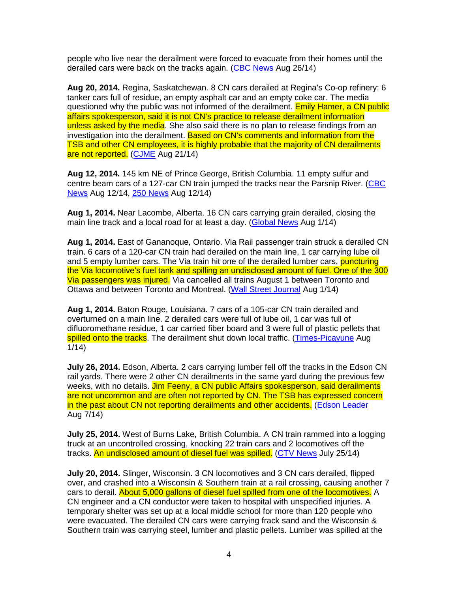people who live near the derailment were forced to evacuate from their homes until the derailed cars were back on the tracks again. (CBC News Aug 26/14)

**Aug 20, 2014.** Regina, Saskatchewan. 8 CN cars derailed at Regina's Co-op refinery: 6 tanker cars full of residue, an empty asphalt car and an empty coke car. The media questioned why the public was not informed of the derailment. Emily Hamer, a CN public affairs spokesperson, said it is not CN's practice to release derailment information unless asked by the media. She also said there is no plan to release findings from an investigation into the derailment. Based on CN's comments and information from the TSB and other CN employees, it is highly probable that the majority of CN derailments are not reported. (CJME Aug 21/14)

**Aug 12, 2014.** 145 km NE of Prince George, British Columbia. 11 empty sulfur and centre beam cars of a 127-car CN train jumped the tracks near the Parsnip River. (CBC News Aug 12/14, 250 News Aug 12/14)

**Aug 1, 2014.** Near Lacombe, Alberta. 16 CN cars carrying grain derailed, closing the main line track and a local road for at least a day. (Global News Aug 1/14)

**Aug 1, 2014.** East of Gananoque, Ontario. Via Rail passenger train struck a derailed CN train. 6 cars of a 120-car CN train had derailed on the main line, 1 car carrying lube oil and 5 empty lumber cars. The Via train hit one of the derailed lumber cars, puncturing the Via locomotive's fuel tank and spilling an undisclosed amount of fuel. One of the 300 Via passengers was injured. Via cancelled all trains August 1 between Toronto and Ottawa and between Toronto and Montreal. (Wall Street Journal Aug 1/14)

**Aug 1, 2014.** Baton Rouge, Louisiana. 7 cars of a 105-car CN train derailed and overturned on a main line. 2 derailed cars were full of lube oil, 1 car was full of difluoromethane residue, 1 car carried fiber board and 3 were full of plastic pellets that spilled onto the tracks. The derailment shut down local traffic. (Times-Picayune Aug 1/14)

**July 26, 2014.** Edson, Alberta. 2 cars carrying lumber fell off the tracks in the Edson CN rail yards. There were 2 other CN derailments in the same yard during the previous few weeks, with no details. Jim Feeny, a CN public Affairs spokesperson, said derailments are not uncommon and are often not reported by CN. The TSB has expressed concern in the past about CN not reporting derailments and other accidents. (Edson Leader Aug 7/14)

**July 25, 2014.** West of Burns Lake, British Columbia. A CN train rammed into a logging truck at an uncontrolled crossing, knocking 22 train cars and 2 locomotives off the tracks. An undisclosed amount of diesel fuel was spilled. (CTV News July 25/14)

**July 20, 2014.** Slinger, Wisconsin. 3 CN locomotives and 3 CN cars derailed, flipped over, and crashed into a Wisconsin & Southern train at a rail crossing, causing another 7 cars to derail. About 5,000 gallons of diesel fuel spilled from one of the locomotives. A CN engineer and a CN conductor were taken to hospital with unspecified injuries. A temporary shelter was set up at a local middle school for more than 120 people who were evacuated. The derailed CN cars were carrying frack sand and the Wisconsin & Southern train was carrying steel, lumber and plastic pellets. Lumber was spilled at the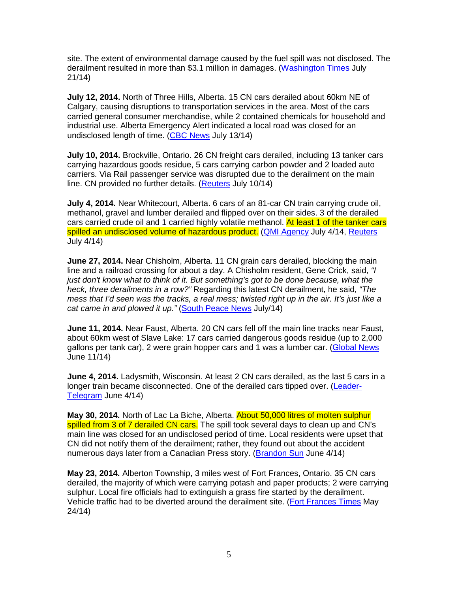site. The extent of environmental damage caused by the fuel spill was not disclosed. The derailment resulted in more than \$3.1 million in damages. (Washington Times July 21/14)

**July 12, 2014.** North of Three Hills, Alberta. 15 CN cars derailed about 60km NE of Calgary, causing disruptions to transportation services in the area. Most of the cars carried general consumer merchandise, while 2 contained chemicals for household and industrial use. Alberta Emergency Alert indicated a local road was closed for an undisclosed length of time. (CBC News July 13/14)

**July 10, 2014.** Brockville, Ontario. 26 CN freight cars derailed, including 13 tanker cars carrying hazardous goods residue, 5 cars carrying carbon powder and 2 loaded auto carriers. Via Rail passenger service was disrupted due to the derailment on the main line. CN provided no further details. (Reuters July 10/14)

**July 4, 2014.** Near Whitecourt, Alberta. 6 cars of an 81-car CN train carrying crude oil, methanol, gravel and lumber derailed and flipped over on their sides. 3 of the derailed cars carried crude oil and 1 carried highly volatile methanol. At least 1 of the tanker cars spilled an undisclosed volume of hazardous product. (QMI Agency July 4/14, Reuters July 4/14)

**June 27, 2014.** Near Chisholm, Alberta. 11 CN grain cars derailed, blocking the main line and a railroad crossing for about a day. A Chisholm resident, Gene Crick, said, "I just don't know what to think of it. But something's got to be done because, what the heck, three derailments in a row?" Regarding this latest CN derailment, he said, "The mess that I'd seen was the tracks, a real mess; twisted right up in the air. It's just like a cat came in and plowed it up." (South Peace News July/14)

**June 11, 2014.** Near Faust, Alberta. 20 CN cars fell off the main line tracks near Faust, about 60km west of Slave Lake: 17 cars carried dangerous goods residue (up to 2,000 gallons per tank car), 2 were grain hopper cars and 1 was a lumber car. (Global News June 11/14)

**June 4, 2014.** Ladysmith, Wisconsin. At least 2 CN cars derailed, as the last 5 cars in a longer train became disconnected. One of the derailed cars tipped over. (Leader-Telegram June 4/14)

**May 30, 2014.** North of Lac La Biche, Alberta. About 50,000 litres of molten sulphur spilled from 3 of 7 derailed CN cars. The spill took several days to clean up and CN's main line was closed for an undisclosed period of time. Local residents were upset that CN did not notify them of the derailment; rather, they found out about the accident numerous days later from a Canadian Press story. (Brandon Sun June 4/14)

**May 23, 2014.** Alberton Township, 3 miles west of Fort Frances, Ontario. 35 CN cars derailed, the majority of which were carrying potash and paper products; 2 were carrying sulphur. Local fire officials had to extinguish a grass fire started by the derailment. Vehicle traffic had to be diverted around the derailment site. (Fort Frances Times May 24/14)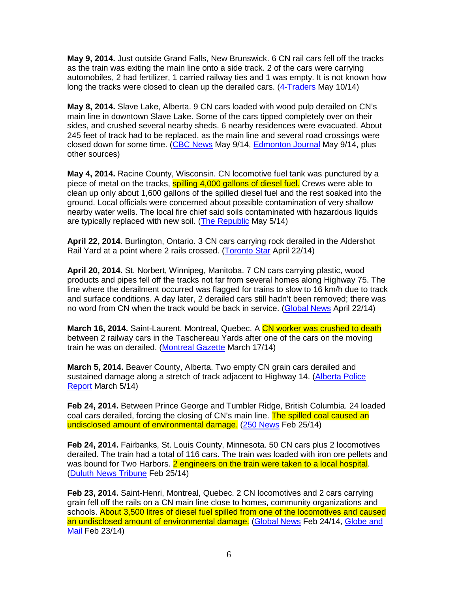**May 9, 2014.** Just outside Grand Falls, New Brunswick. 6 CN rail cars fell off the tracks as the train was exiting the main line onto a side track. 2 of the cars were carrying automobiles, 2 had fertilizer, 1 carried railway ties and 1 was empty. It is not known how long the tracks were closed to clean up the derailed cars. (4-Traders May 10/14)

**May 8, 2014.** Slave Lake, Alberta. 9 CN cars loaded with wood pulp derailed on CN's main line in downtown Slave Lake. Some of the cars tipped completely over on their sides, and crushed several nearby sheds. 6 nearby residences were evacuated. About 245 feet of track had to be replaced, as the main line and several road crossings were closed down for some time. (CBC News May 9/14, Edmonton Journal May 9/14, plus other sources)

**May 4, 2014.** Racine County, Wisconsin. CN locomotive fuel tank was punctured by a piece of metal on the tracks, spilling 4,000 gallons of diesel fuel. Crews were able to clean up only about 1,600 gallons of the spilled diesel fuel and the rest soaked into the ground. Local officials were concerned about possible contamination of very shallow nearby water wells. The local fire chief said soils contaminated with hazardous liquids are typically replaced with new soil. (The Republic May 5/14)

**April 22, 2014.** Burlington, Ontario. 3 CN cars carrying rock derailed in the Aldershot Rail Yard at a point where 2 rails crossed. (Toronto Star April 22/14)

**April 20, 2014.** St. Norbert, Winnipeg, Manitoba. 7 CN cars carrying plastic, wood products and pipes fell off the tracks not far from several homes along Highway 75. The line where the derailment occurred was flagged for trains to slow to 16 km/h due to track and surface conditions. A day later, 2 derailed cars still hadn't been removed; there was no word from CN when the track would be back in service. (Global News April 22/14)

March 16, 2014. Saint-Laurent, Montreal, Quebec. A CN worker was crushed to death between 2 railway cars in the Taschereau Yards after one of the cars on the moving train he was on derailed. (Montreal Gazette March 17/14)

**March 5, 2014.** Beaver County, Alberta. Two empty CN grain cars derailed and sustained damage along a stretch of track adjacent to Highway 14. (Alberta Police Report March 5/14)

**Feb 24, 2014.** Between Prince George and Tumbler Ridge, British Columbia. 24 loaded coal cars derailed, forcing the closing of CN's main line. The spilled coal caused an undisclosed amount of environmental damage. (250 News Feb 25/14)

**Feb 24, 2014.** Fairbanks, St. Louis County, Minnesota. 50 CN cars plus 2 locomotives derailed. The train had a total of 116 cars. The train was loaded with iron ore pellets and was bound for Two Harbors. 2 engineers on the train were taken to a local hospital. (Duluth News Tribune Feb 25/14)

**Feb 23, 2014.** Saint-Henri, Montreal, Quebec. 2 CN locomotives and 2 cars carrying grain fell off the rails on a CN main line close to homes, community organizations and schools. About 3,500 litres of diesel fuel spilled from one of the locomotives and caused an undisclosed amount of environmental damage. (Global News Feb 24/14, Globe and Mail Feb 23/14)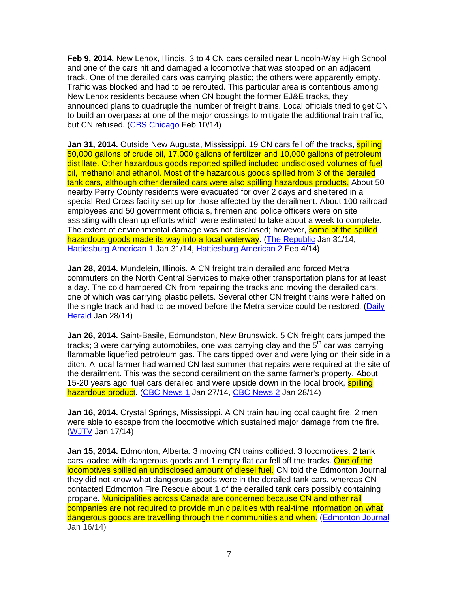**Feb 9, 2014.** New Lenox, Illinois. 3 to 4 CN cars derailed near Lincoln-Way High School and one of the cars hit and damaged a locomotive that was stopped on an adjacent track. One of the derailed cars was carrying plastic; the others were apparently empty. Traffic was blocked and had to be rerouted. This particular area is contentious among New Lenox residents because when CN bought the former EJ&E tracks, they announced plans to quadruple the number of freight trains. Local officials tried to get CN to build an overpass at one of the major crossings to mitigate the additional train traffic, but CN refused. (CBS Chicago Feb 10/14)

**Jan 31, 2014.** Outside New Augusta, Mississippi. 19 CN cars fell off the tracks, **spilling** 50,000 gallons of crude oil, 17,000 gallons of fertilizer and 10,000 gallons of petroleum distillate. Other hazardous goods reported spilled included undisclosed volumes of fuel oil, methanol and ethanol. Most of the hazardous goods spilled from 3 of the derailed tank cars, although other derailed cars were also spilling hazardous products. About 50 nearby Perry County residents were evacuated for over 2 days and sheltered in a special Red Cross facility set up for those affected by the derailment. About 100 railroad employees and 50 government officials, firemen and police officers were on site assisting with clean up efforts which were estimated to take about a week to complete. The extent of environmental damage was not disclosed; however, some of the spilled hazardous goods made its way into a local waterway. (The Republic Jan 31/14, Hattiesburg American 1 Jan 31/14, Hattiesburg American 2 Feb 4/14)

**Jan 28, 2014.** Mundelein, Illinois. A CN freight train derailed and forced Metra commuters on the North Central Services to make other transportation plans for at least a day. The cold hampered CN from repairing the tracks and moving the derailed cars, one of which was carrying plastic pellets. Several other CN freight trains were halted on the single track and had to be moved before the Metra service could be restored. (Daily Herald Jan 28/14)

**Jan 26, 2014.** Saint-Basile, Edmundston, New Brunswick. 5 CN freight cars jumped the tracks; 3 were carrying automobiles, one was carrying clay and the  $5<sup>th</sup>$  car was carrying flammable liquefied petroleum gas. The cars tipped over and were lying on their side in a ditch. A local farmer had warned CN last summer that repairs were required at the site of the derailment. This was the second derailment on the same farmer's property. About 15-20 years ago, fuel cars derailed and were upside down in the local brook, spilling hazardous product. (CBC News 1 Jan 27/14, CBC News 2 Jan 28/14)

**Jan 16, 2014.** Crystal Springs, Mississippi. A CN train hauling coal caught fire. 2 men were able to escape from the locomotive which sustained major damage from the fire. (WJTV Jan 17/14)

**Jan 15, 2014.** Edmonton, Alberta. 3 moving CN trains collided. 3 locomotives, 2 tank cars loaded with dangerous goods and 1 empty flat car fell off the tracks. One of the locomotives spilled an undisclosed amount of diesel fuel. CN told the Edmonton Journal they did not know what dangerous goods were in the derailed tank cars, whereas CN contacted Edmonton Fire Rescue about 1 of the derailed tank cars possibly containing propane. Municipalities across Canada are concerned because CN and other rail companies are not required to provide municipalities with real-time information on what dangerous goods are travelling through their communities and when. (Edmonton Journal Jan 16/14)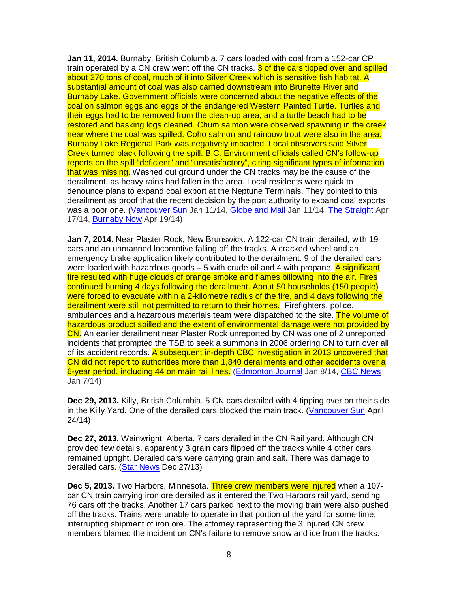**Jan 11, 2014.** Burnaby, British Columbia. 7 cars loaded with coal from a 152-car CP train operated by a CN crew went off the CN tracks. 3 of the cars tipped over and spilled about 270 tons of coal, much of it into Silver Creek which is sensitive fish habitat. A substantial amount of coal was also carried downstream into Brunette River and Burnaby Lake. Government officials were concerned about the negative effects of the coal on salmon eggs and eggs of the endangered Western Painted Turtle. Turtles and their eggs had to be removed from the clean-up area, and a turtle beach had to be restored and basking logs cleaned. Chum salmon were observed spawning in the creek near where the coal was spilled. Coho salmon and rainbow trout were also in the area. Burnaby Lake Regional Park was negatively impacted. Local observers said Silver Creek turned black following the spill. B.C. Environment officials called CN's follow-up reports on the spill "deficient" and "unsatisfactory", citing significant types of information that was missing. Washed out ground under the CN tracks may be the cause of the derailment, as heavy rains had fallen in the area. Local residents were quick to denounce plans to expand coal export at the Neptune Terminals. They pointed to this derailment as proof that the recent decision by the port authority to expand coal exports was a poor one. (Vancouver Sun Jan 11/14, Globe and Mail Jan 11/14, The Straight Apr 17/14, Burnaby Now Apr 19/14)

**Jan 7, 2014.** Near Plaster Rock, New Brunswick. A 122-car CN train derailed, with 19 cars and an unmanned locomotive falling off the tracks. A cracked wheel and an emergency brake application likely contributed to the derailment. 9 of the derailed cars were loaded with hazardous goods – 5 with crude oil and 4 with propane. A significant fire resulted with huge clouds of orange smoke and flames billowing into the air. Fires continued burning 4 days following the derailment. About 50 households (150 people) were forced to evacuate within a 2-kilometre radius of the fire, and 4 days following the derailment were still not permitted to return to their homes. Firefighters, police, ambulances and a hazardous materials team were dispatched to the site. The volume of hazardous product spilled and the extent of environmental damage were not provided by CN. An earlier derailment near Plaster Rock unreported by CN was one of 2 unreported incidents that prompted the TSB to seek a summons in 2006 ordering CN to turn over all of its accident records. A subsequent in-depth CBC investigation in 2013 uncovered that CN did not report to authorities more than 1,840 derailments and other accidents over a 6-year period, including 44 on main rail lines. (Edmonton Journal Jan 8/14, CBC News Jan 7/14)

**Dec 29, 2013.** Killy, British Columbia. 5 CN cars derailed with 4 tipping over on their side in the Killy Yard. One of the derailed cars blocked the main track. (Vancouver Sun April 24/14)

**Dec 27, 2013.** Wainwright, Alberta. 7 cars derailed in the CN Rail yard. Although CN provided few details, apparently 3 grain cars flipped off the tracks while 4 other cars remained upright. Derailed cars were carrying grain and salt. There was damage to derailed cars. (Star News Dec 27/13)

**Dec 5, 2013.** Two Harbors, Minnesota. Three crew members were injured when a 107 car CN train carrying iron ore derailed as it entered the Two Harbors rail yard, sending 76 cars off the tracks. Another 17 cars parked next to the moving train were also pushed off the tracks. Trains were unable to operate in that portion of the yard for some time, interrupting shipment of iron ore. The attorney representing the 3 injured CN crew members blamed the incident on CN's failure to remove snow and ice from the tracks.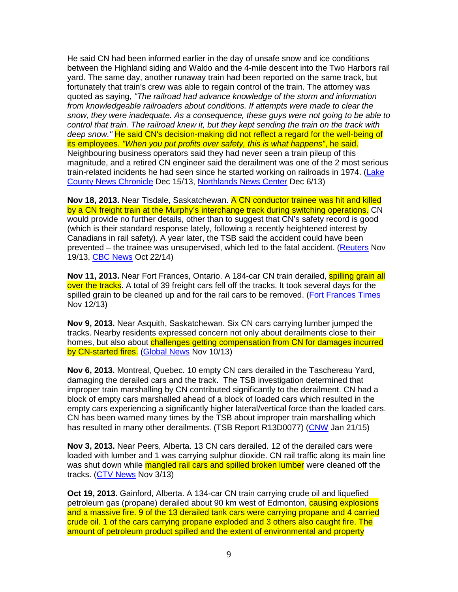He said CN had been informed earlier in the day of unsafe snow and ice conditions between the Highland siding and Waldo and the 4-mile descent into the Two Harbors rail yard. The same day, another runaway train had been reported on the same track, but fortunately that train's crew was able to regain control of the train. The attorney was quoted as saying, "The railroad had advance knowledge of the storm and information from knowledgeable railroaders about conditions. If attempts were made to clear the snow, they were inadequate. As a consequence, these guys were not going to be able to control that train. The railroad knew it, but they kept sending the train on the track with deep snow." He said CN's decision-making did not reflect a regard for the well-being of its employees. "When you put profits over safety, this is what happens", he said. Neighbouring business operators said they had never seen a train pileup of this magnitude, and a retired CN engineer said the derailment was one of the 2 most serious train-related incidents he had seen since he started working on railroads in 1974. (Lake County News Chronicle Dec 15/13, Northlands News Center Dec 6/13)

**Nov 18, 2013.** Near Tisdale, Saskatchewan. A CN conductor trainee was hit and killed by a CN freight train at the Murphy's interchange track during switching operations. CN would provide no further details, other than to suggest that CN's safety record is good (which is their standard response lately, following a recently heightened interest by Canadians in rail safety). A year later, the TSB said the accident could have been prevented – the trainee was unsupervised, which led to the fatal accident. (Reuters Nov 19/13, CBC News Oct 22/14)

**Nov 11, 2013.** Near Fort Frances, Ontario. A 184-car CN train derailed, **spilling grain all** over the tracks. A total of 39 freight cars fell off the tracks. It took several days for the spilled grain to be cleaned up and for the rail cars to be removed. (Fort Frances Times Nov 12/13)

**Nov 9, 2013.** Near Asquith, Saskatchewan. Six CN cars carrying lumber jumped the tracks. Nearby residents expressed concern not only about derailments close to their homes, but also about challenges getting compensation from CN for damages incurred by CN-started fires. (Global News Nov 10/13)

**Nov 6, 2013.** Montreal, Quebec. 10 empty CN cars derailed in the Taschereau Yard, damaging the derailed cars and the track. The TSB investigation determined that improper train marshalling by CN contributed significantly to the derailment. CN had a block of empty cars marshalled ahead of a block of loaded cars which resulted in the empty cars experiencing a significantly higher lateral/vertical force than the loaded cars. CN has been warned many times by the TSB about improper train marshalling which has resulted in many other derailments. (TSB Report R13D0077) (CNW Jan 21/15)

**Nov 3, 2013.** Near Peers, Alberta. 13 CN cars derailed. 12 of the derailed cars were loaded with lumber and 1 was carrying sulphur dioxide. CN rail traffic along its main line was shut down while mangled rail cars and spilled broken lumber were cleaned off the tracks. (CTV News Nov 3/13)

**Oct 19, 2013.** Gainford, Alberta. A 134-car CN train carrying crude oil and liquefied petroleum gas (propane) derailed about 90 km west of Edmonton, **causing explosions** and a massive fire. 9 of the 13 derailed tank cars were carrying propane and 4 carried crude oil. 1 of the cars carrying propane exploded and 3 others also caught fire. The amount of petroleum product spilled and the extent of environmental and property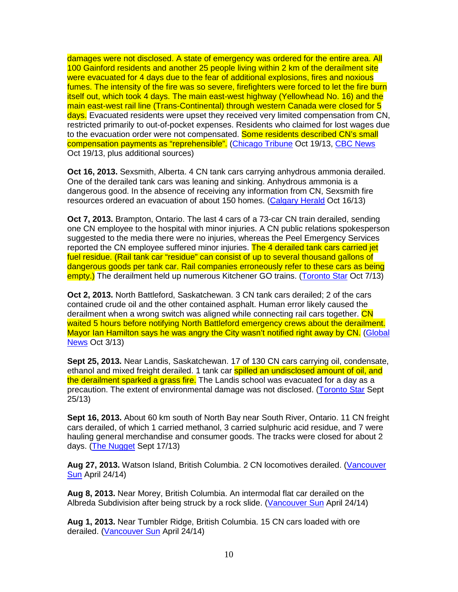damages were not disclosed. A state of emergency was ordered for the entire area. All 100 Gainford residents and another 25 people living within 2 km of the derailment site were evacuated for 4 days due to the fear of additional explosions, fires and noxious fumes. The intensity of the fire was so severe, firefighters were forced to let the fire burn itself out, which took 4 days. The main east-west highway (Yellowhead No. 16) and the main east-west rail line (Trans-Continental) through western Canada were closed for 5 days. Evacuated residents were upset they received very limited compensation from CN, restricted primarily to out-of-pocket expenses. Residents who claimed for lost wages due to the evacuation order were not compensated. Some residents described CN's small compensation payments as "reprehensible". (Chicago Tribune Oct 19/13, CBC News Oct 19/13, plus additional sources)

**Oct 16, 2013.** Sexsmith, Alberta. 4 CN tank cars carrying anhydrous ammonia derailed. One of the derailed tank cars was leaning and sinking. Anhydrous ammonia is a dangerous good. In the absence of receiving any information from CN, Sexsmith fire resources ordered an evacuation of about 150 homes. (Calgary Herald Oct 16/13)

**Oct 7, 2013.** Brampton, Ontario. The last 4 cars of a 73-car CN train derailed, sending one CN employee to the hospital with minor injuries. A CN public relations spokesperson suggested to the media there were no injuries, whereas the Peel Emergency Services reported the CN employee suffered minor injuries. The 4 derailed tank cars carried jet fuel residue. (Rail tank car "residue" can consist of up to several thousand gallons of dangerous goods per tank car. Rail companies erroneously refer to these cars as being empty.) The derailment held up numerous Kitchener GO trains. (Toronto Star Oct 7/13)

**Oct 2, 2013.** North Battleford, Saskatchewan. 3 CN tank cars derailed; 2 of the cars contained crude oil and the other contained asphalt. Human error likely caused the derailment when a wrong switch was aligned while connecting rail cars together. CN waited 5 hours before notifying North Battleford emergency crews about the derailment. Mayor Ian Hamilton says he was angry the City wasn't notified right away by CN. (Global News Oct 3/13)

**Sept 25, 2013.** Near Landis, Saskatchewan. 17 of 130 CN cars carrying oil, condensate, ethanol and mixed freight derailed. 1 tank car **spilled an undisclosed amount of oil, and** the derailment sparked a grass fire. The Landis school was evacuated for a day as a precaution. The extent of environmental damage was not disclosed. (Toronto Star Sept 25/13)

**Sept 16, 2013.** About 60 km south of North Bay near South River, Ontario. 11 CN freight cars derailed, of which 1 carried methanol, 3 carried sulphuric acid residue, and 7 were hauling general merchandise and consumer goods. The tracks were closed for about 2 days. (The Nugget Sept 17/13)

Aug 27, 2013. Watson Island, British Columbia. 2 CN locomotives derailed. (Vancouver Sun April 24/14)

**Aug 8, 2013.** Near Morey, British Columbia. An intermodal flat car derailed on the Albreda Subdivision after being struck by a rock slide. (Vancouver Sun April 24/14)

**Aug 1, 2013.** Near Tumbler Ridge, British Columbia. 15 CN cars loaded with ore derailed. (Vancouver Sun April 24/14)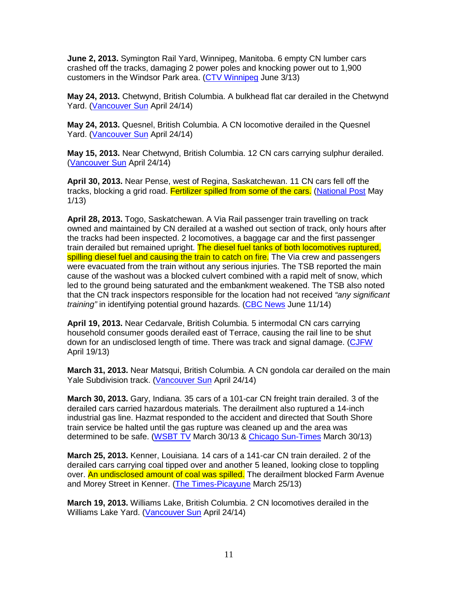**June 2, 2013.** Symington Rail Yard, Winnipeg, Manitoba. 6 empty CN lumber cars crashed off the tracks, damaging 2 power poles and knocking power out to 1,900 customers in the Windsor Park area. (CTV Winnipeg June 3/13)

**May 24, 2013.** Chetwynd, British Columbia. A bulkhead flat car derailed in the Chetwynd Yard. (Vancouver Sun April 24/14)

**May 24, 2013.** Quesnel, British Columbia. A CN locomotive derailed in the Quesnel Yard. (Vancouver Sun April 24/14)

**May 15, 2013.** Near Chetwynd, British Columbia. 12 CN cars carrying sulphur derailed. (Vancouver Sun April 24/14)

**April 30, 2013.** Near Pense, west of Regina, Saskatchewan. 11 CN cars fell off the tracks, blocking a grid road. Fertilizer spilled from some of the cars. (National Post May 1/13)

**April 28, 2013.** Togo, Saskatchewan. A Via Rail passenger train travelling on track owned and maintained by CN derailed at a washed out section of track, only hours after the tracks had been inspected. 2 locomotives, a baggage car and the first passenger train derailed but remained upright. The diesel fuel tanks of both locomotives ruptured. spilling diesel fuel and causing the train to catch on fire. The Via crew and passengers were evacuated from the train without any serious injuries. The TSB reported the main cause of the washout was a blocked culvert combined with a rapid melt of snow, which led to the ground being saturated and the embankment weakened. The TSB also noted that the CN track inspectors responsible for the location had not received "any significant" training" in identifying potential ground hazards. (CBC News June 11/14)

**April 19, 2013.** Near Cedarvale, British Columbia. 5 intermodal CN cars carrying household consumer goods derailed east of Terrace, causing the rail line to be shut down for an undisclosed length of time. There was track and signal damage. (CJFW April 19/13)

**March 31, 2013.** Near Matsqui, British Columbia. A CN gondola car derailed on the main Yale Subdivision track. (Vancouver Sun April 24/14)

**March 30, 2013.** Gary, Indiana. 35 cars of a 101-car CN freight train derailed. 3 of the derailed cars carried hazardous materials. The derailment also ruptured a 14-inch industrial gas line. Hazmat responded to the accident and directed that South Shore train service be halted until the gas rupture was cleaned up and the area was determined to be safe. (WSBT TV March 30/13 & Chicago Sun-Times March 30/13)

**March 25, 2013.** Kenner, Louisiana. 14 cars of a 141-car CN train derailed. 2 of the derailed cars carrying coal tipped over and another 5 leaned, looking close to toppling over. An undisclosed amount of coal was spilled. The derailment blocked Farm Avenue and Morey Street in Kenner. (The Times-Picayune March 25/13)

**March 19, 2013.** Williams Lake, British Columbia. 2 CN locomotives derailed in the Williams Lake Yard. (Vancouver Sun April 24/14)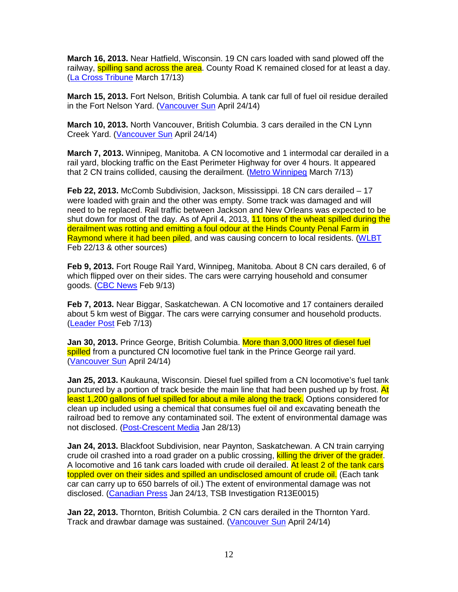**March 16, 2013.** Near Hatfield, Wisconsin. 19 CN cars loaded with sand plowed off the railway, **spilling sand across the area**. County Road K remained closed for at least a day. (La Cross Tribune March 17/13)

**March 15, 2013.** Fort Nelson, British Columbia. A tank car full of fuel oil residue derailed in the Fort Nelson Yard. (Vancouver Sun April 24/14)

**March 10, 2013.** North Vancouver, British Columbia. 3 cars derailed in the CN Lynn Creek Yard. (Vancouver Sun April 24/14)

**March 7, 2013.** Winnipeg, Manitoba. A CN locomotive and 1 intermodal car derailed in a rail yard, blocking traffic on the East Perimeter Highway for over 4 hours. It appeared that 2 CN trains collided, causing the derailment. (Metro Winnipeg March 7/13)

**Feb 22, 2013.** McComb Subdivision, Jackson, Mississippi. 18 CN cars derailed – 17 were loaded with grain and the other was empty. Some track was damaged and will need to be replaced. Rail traffic between Jackson and New Orleans was expected to be shut down for most of the day. As of April 4, 2013, 11 tons of the wheat spilled during the derailment was rotting and emitting a foul odour at the Hinds County Penal Farm in Raymond where it had been piled, and was causing concern to local residents. (WLBT Feb 22/13 & other sources)

**Feb 9, 2013.** Fort Rouge Rail Yard, Winnipeg, Manitoba. About 8 CN cars derailed, 6 of which flipped over on their sides. The cars were carrying household and consumer goods. (CBC News Feb 9/13)

**Feb 7, 2013.** Near Biggar, Saskatchewan. A CN locomotive and 17 containers derailed about 5 km west of Biggar. The cars were carrying consumer and household products. (Leader Post Feb 7/13)

**Jan 30, 2013.** Prince George, British Columbia. More than 3,000 litres of diesel fuel spilled from a punctured CN locomotive fuel tank in the Prince George rail vard. (Vancouver Sun April 24/14)

**Jan 25, 2013.** Kaukauna, Wisconsin. Diesel fuel spilled from a CN locomotive's fuel tank punctured by a portion of track beside the main line that had been pushed up by frost. At least 1,200 gallons of fuel spilled for about a mile along the track. Options considered for clean up included using a chemical that consumes fuel oil and excavating beneath the railroad bed to remove any contaminated soil. The extent of environmental damage was not disclosed. (Post-Crescent Media Jan 28/13)

**Jan 24, 2013.** Blackfoot Subdivision, near Paynton, Saskatchewan. A CN train carrying crude oil crashed into a road grader on a public crossing, killing the driver of the grader. A locomotive and 16 tank cars loaded with crude oil derailed. At least 2 of the tank cars toppled over on their sides and spilled an undisclosed amount of crude oil. (Each tank car can carry up to 650 barrels of oil.) The extent of environmental damage was not disclosed. (Canadian Press Jan 24/13, TSB Investigation R13E0015)

**Jan 22, 2013.** Thornton, British Columbia. 2 CN cars derailed in the Thornton Yard. Track and drawbar damage was sustained. (Vancouver Sun April 24/14)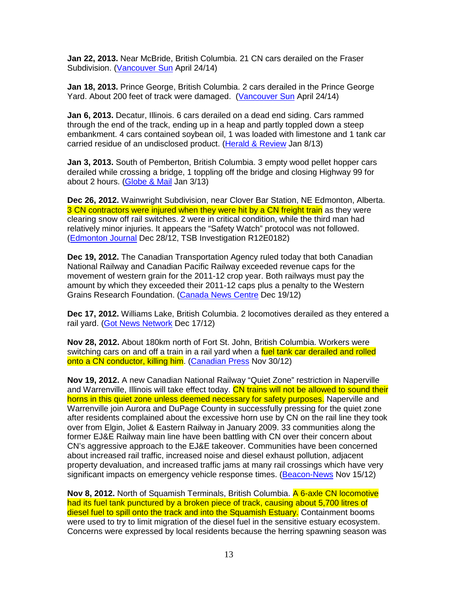**Jan 22, 2013.** Near McBride, British Columbia. 21 CN cars derailed on the Fraser Subdivision. (Vancouver Sun April 24/14)

**Jan 18, 2013.** Prince George, British Columbia. 2 cars derailed in the Prince George Yard. About 200 feet of track were damaged. (Vancouver Sun April 24/14)

**Jan 6, 2013.** Decatur, Illinois. 6 cars derailed on a dead end siding. Cars rammed through the end of the track, ending up in a heap and partly toppled down a steep embankment. 4 cars contained soybean oil, 1 was loaded with limestone and 1 tank car carried residue of an undisclosed product. (Herald & Review Jan 8/13)

**Jan 3, 2013.** South of Pemberton, British Columbia. 3 empty wood pellet hopper cars derailed while crossing a bridge, 1 toppling off the bridge and closing Highway 99 for about 2 hours. (Globe & Mail Jan 3/13)

**Dec 26, 2012.** Wainwright Subdivision, near Clover Bar Station, NE Edmonton, Alberta. 3 CN contractors were injured when they were hit by a CN freight train as they were clearing snow off rail switches. 2 were in critical condition, while the third man had relatively minor injuries. It appears the "Safety Watch" protocol was not followed. (Edmonton Journal Dec 28/12, TSB Investigation R12E0182)

**Dec 19, 2012.** The Canadian Transportation Agency ruled today that both Canadian National Railway and Canadian Pacific Railway exceeded revenue caps for the movement of western grain for the 2011-12 crop year. Both railways must pay the amount by which they exceeded their 2011-12 caps plus a penalty to the Western Grains Research Foundation. (Canada News Centre Dec 19/12)

**Dec 17, 2012.** Williams Lake, British Columbia. 2 locomotives derailed as they entered a rail yard. (Got News Network Dec 17/12)

**Nov 28, 2012.** About 180km north of Fort St. John, British Columbia. Workers were switching cars on and off a train in a rail yard when a fuel tank car derailed and rolled onto a CN conductor, killing him. (Canadian Press Nov 30/12)

**Nov 19, 2012.** A new Canadian National Railway "Quiet Zone" restriction in Naperville and Warrenville, Illinois will take effect today. CN trains will not be allowed to sound their horns in this quiet zone unless deemed necessary for safety purposes. Naperville and Warrenville join Aurora and DuPage County in successfully pressing for the quiet zone after residents complained about the excessive horn use by CN on the rail line they took over from Elgin, Joliet & Eastern Railway in January 2009. 33 communities along the former EJ&E Railway main line have been battling with CN over their concern about CN's aggressive approach to the EJ&E takeover. Communities have been concerned about increased rail traffic, increased noise and diesel exhaust pollution, adjacent property devaluation, and increased traffic jams at many rail crossings which have very significant impacts on emergency vehicle response times. (Beacon-News Nov 15/12)

**Nov 8, 2012.** North of Squamish Terminals, British Columbia. A 6-axle CN locomotive had its fuel tank punctured by a broken piece of track, causing about 5,700 litres of diesel fuel to spill onto the track and into the Squamish Estuary. Containment booms were used to try to limit migration of the diesel fuel in the sensitive estuary ecosystem. Concerns were expressed by local residents because the herring spawning season was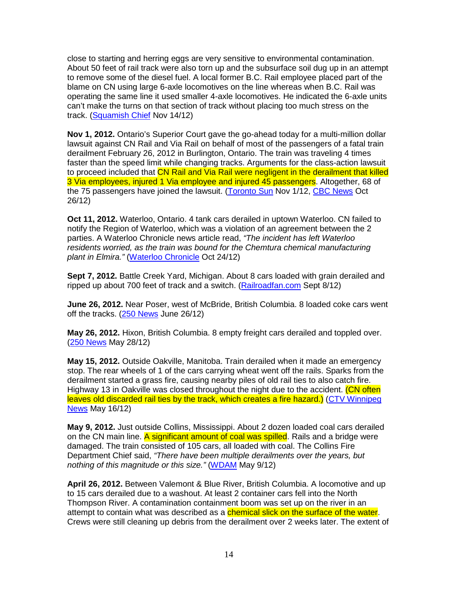close to starting and herring eggs are very sensitive to environmental contamination. About 50 feet of rail track were also torn up and the subsurface soil dug up in an attempt to remove some of the diesel fuel. A local former B.C. Rail employee placed part of the blame on CN using large 6-axle locomotives on the line whereas when B.C. Rail was operating the same line it used smaller 4-axle locomotives. He indicated the 6-axle units can't make the turns on that section of track without placing too much stress on the track. (Squamish Chief Nov 14/12)

**Nov 1, 2012.** Ontario's Superior Court gave the go-ahead today for a multi-million dollar lawsuit against CN Rail and Via Rail on behalf of most of the passengers of a fatal train derailment February 26, 2012 in Burlington, Ontario. The train was traveling 4 times faster than the speed limit while changing tracks. Arguments for the class-action lawsuit to proceed included that CN Rail and Via Rail were negligent in the derailment that killed 3 Via employees, injured 1 Via employee and injured 45 passengers. Altogether, 68 of the 75 passengers have joined the lawsuit. (Toronto Sun Nov 1/12, CBC News Oct 26/12)

**Oct 11, 2012.** Waterloo, Ontario. 4 tank cars derailed in uptown Waterloo. CN failed to notify the Region of Waterloo, which was a violation of an agreement between the 2 parties. A Waterloo Chronicle news article read, "The incident has left Waterloo residents worried, as the train was bound for the Chemtura chemical manufacturing plant in Elmira." (Waterloo Chronicle Oct 24/12)

**Sept 7, 2012.** Battle Creek Yard, Michigan. About 8 cars loaded with grain derailed and ripped up about 700 feet of track and a switch. (Railroadfan.com Sept 8/12)

**June 26, 2012.** Near Poser, west of McBride, British Columbia. 8 loaded coke cars went off the tracks. (250 News June 26/12)

**May 26, 2012.** Hixon, British Columbia. 8 empty freight cars derailed and toppled over. (250 News May 28/12)

**May 15, 2012.** Outside Oakville, Manitoba. Train derailed when it made an emergency stop. The rear wheels of 1 of the cars carrying wheat went off the rails. Sparks from the derailment started a grass fire, causing nearby piles of old rail ties to also catch fire. Highway 13 in Oakville was closed throughout the night due to the accident. (CN often leaves old discarded rail ties by the track, which creates a fire hazard.) (CTV Winnipeg News May 16/12)

**May 9, 2012.** Just outside Collins, Mississippi. About 2 dozen loaded coal cars derailed on the CN main line. A significant amount of coal was spilled. Rails and a bridge were damaged. The train consisted of 105 cars, all loaded with coal. The Collins Fire Department Chief said, "There have been multiple derailments over the years, but nothing of this magnitude or this size." (WDAM May 9/12)

**April 26, 2012.** Between Valemont & Blue River, British Columbia. A locomotive and up to 15 cars derailed due to a washout. At least 2 container cars fell into the North Thompson River. A contamination containment boom was set up on the river in an attempt to contain what was described as a *chemical slick on the surface of the water*. Crews were still cleaning up debris from the derailment over 2 weeks later. The extent of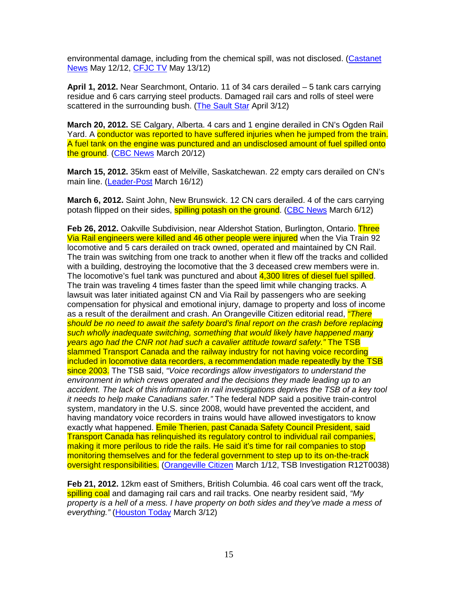environmental damage, including from the chemical spill, was not disclosed. (Castanet News May 12/12, CFJC TV May 13/12)

**April 1, 2012.** Near Searchmont, Ontario. 11 of 34 cars derailed – 5 tank cars carrying residue and 6 cars carrying steel products. Damaged rail cars and rolls of steel were scattered in the surrounding bush. (The Sault Star April 3/12)

**March 20, 2012.** SE Calgary, Alberta. 4 cars and 1 engine derailed in CN's Ogden Rail Yard. A conductor was reported to have suffered injuries when he jumped from the train. A fuel tank on the engine was punctured and an undisclosed amount of fuel spilled onto the ground. (CBC News March 20/12)

**March 15, 2012.** 35km east of Melville, Saskatchewan. 22 empty cars derailed on CN's main line. (Leader-Post March 16/12)

**March 6, 2012.** Saint John, New Brunswick. 12 CN cars derailed. 4 of the cars carrying potash flipped on their sides, **spilling potash on the ground. (CBC News March 6/12)** 

**Feb 26, 2012.** Oakville Subdivision, near Aldershot Station, Burlington, Ontario. Three Via Rail engineers were killed and 46 other people were injured when the Via Train 92 locomotive and 5 cars derailed on track owned, operated and maintained by CN Rail. The train was switching from one track to another when it flew off the tracks and collided with a building, destroying the locomotive that the 3 deceased crew members were in. The locomotive's fuel tank was punctured and about 4,300 litres of diesel fuel spilled. The train was traveling 4 times faster than the speed limit while changing tracks. A lawsuit was later initiated against CN and Via Rail by passengers who are seeking compensation for physical and emotional injury, damage to property and loss of income as a result of the derailment and crash. An Orangeville Citizen editorial read, *"There* should be no need to await the safety board's final report on the crash before replacing such wholly inadequate switching, something that would likely have happened many years ago had the CNR not had such a cavalier attitude toward safety." The TSB slammed Transport Canada and the railway industry for not having voice recording included in locomotive data recorders, a recommendation made repeatedly by the TSB since 2003. The TSB said, "Voice recordings allow investigators to understand the environment in which crews operated and the decisions they made leading up to an accident. The lack of this information in rail investigations deprives the TSB of a key tool it needs to help make Canadians safer." The federal NDP said a positive train-control system, mandatory in the U.S. since 2008, would have prevented the accident, and having mandatory voice recorders in trains would have allowed investigators to know exactly what happened. Emile Therien, past Canada Safety Council President, said Transport Canada has relinquished its regulatory control to individual rail companies, making it more perilous to ride the rails. He said it's time for rail companies to stop monitoring themselves and for the federal government to step up to its on-the-track oversight responsibilities. (Orangeville Citizen March 1/12, TSB Investigation R12T0038)

**Feb 21, 2012.** 12km east of Smithers, British Columbia. 46 coal cars went off the track, spilling coal and damaging rail cars and rail tracks. One nearby resident said, "My property is a hell of a mess. I have property on both sides and they've made a mess of everything." (Houston Today March 3/12)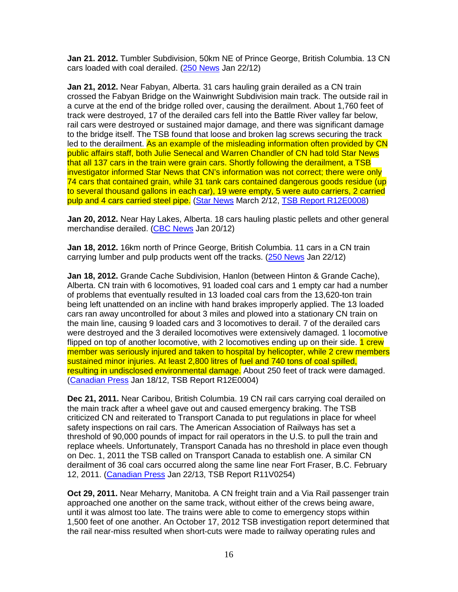**Jan 21. 2012.** Tumbler Subdivision, 50km NE of Prince George, British Columbia. 13 CN cars loaded with coal derailed. (250 News Jan 22/12)

**Jan 21, 2012.** Near Fabyan, Alberta. 31 cars hauling grain derailed as a CN train crossed the Fabyan Bridge on the Wainwright Subdivision main track. The outside rail in a curve at the end of the bridge rolled over, causing the derailment. About 1,760 feet of track were destroyed, 17 of the derailed cars fell into the Battle River valley far below, rail cars were destroyed or sustained major damage, and there was significant damage to the bridge itself. The TSB found that loose and broken lag screws securing the track led to the derailment. As an example of the misleading information often provided by CN public affairs staff, both Julie Senecal and Warren Chandler of CN had told Star News that all 137 cars in the train were grain cars. Shortly following the derailment, a TSB investigator informed Star News that CN's information was not correct; there were only 74 cars that contained grain, while 31 tank cars contained dangerous goods residue (up to several thousand gallons in each car), 19 were empty, 5 were auto carriers, 2 carried pulp and 4 cars carried steel pipe. (Star News March 2/12, TSB Report R12E0008)

**Jan 20, 2012.** Near Hay Lakes, Alberta. 18 cars hauling plastic pellets and other general merchandise derailed. (CBC News Jan 20/12)

**Jan 18, 2012.** 16km north of Prince George, British Columbia. 11 cars in a CN train carrying lumber and pulp products went off the tracks. (250 News Jan 22/12)

**Jan 18, 2012.** Grande Cache Subdivision, Hanlon (between Hinton & Grande Cache), Alberta. CN train with 6 locomotives, 91 loaded coal cars and 1 empty car had a number of problems that eventually resulted in 13 loaded coal cars from the 13,620-ton train being left unattended on an incline with hand brakes improperly applied. The 13 loaded cars ran away uncontrolled for about 3 miles and plowed into a stationary CN train on the main line, causing 9 loaded cars and 3 locomotives to derail. 7 of the derailed cars were destroyed and the 3 derailed locomotives were extensively damaged. 1 locomotive flipped on top of another locomotive, with 2 locomotives ending up on their side. 1 crew member was seriously injured and taken to hospital by helicopter, while 2 crew members sustained minor injuries. At least 2,800 litres of fuel and 740 tons of coal spilled, resulting in undisclosed environmental damage. About 250 feet of track were damaged. (Canadian Press Jan 18/12, TSB Report R12E0004)

**Dec 21, 2011.** Near Caribou, British Columbia. 19 CN rail cars carrying coal derailed on the main track after a wheel gave out and caused emergency braking. The TSB criticized CN and reiterated to Transport Canada to put regulations in place for wheel safety inspections on rail cars. The American Association of Railways has set a threshold of 90,000 pounds of impact for rail operators in the U.S. to pull the train and replace wheels. Unfortunately, Transport Canada has no threshold in place even though on Dec. 1, 2011 the TSB called on Transport Canada to establish one. A similar CN derailment of 36 coal cars occurred along the same line near Fort Fraser, B.C. February 12, 2011. (Canadian Press Jan 22/13, TSB Report R11V0254)

**Oct 29, 2011.** Near Meharry, Manitoba. A CN freight train and a Via Rail passenger train approached one another on the same track, without either of the crews being aware, until it was almost too late. The trains were able to come to emergency stops within 1,500 feet of one another. An October 17, 2012 TSB investigation report determined that the rail near-miss resulted when short-cuts were made to railway operating rules and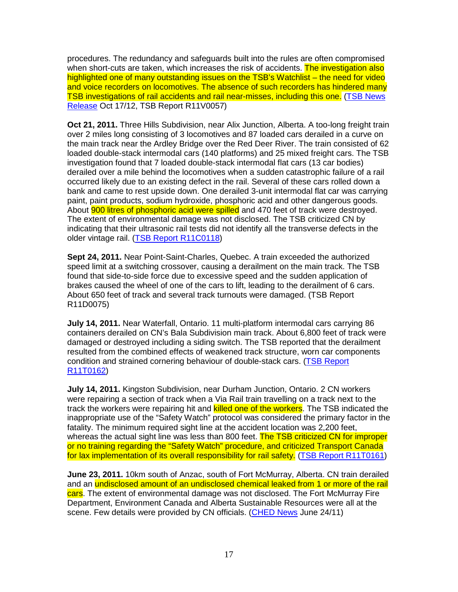procedures. The redundancy and safeguards built into the rules are often compromised when short-cuts are taken, which increases the risk of accidents. The investigation also highlighted one of many outstanding issues on the TSB's Watchlist – the need for video and voice recorders on locomotives. The absence of such recorders has hindered many TSB investigations of rail accidents and rail near-misses, including this one. (TSB News Release Oct 17/12, TSB Report R11V0057)

**Oct 21, 2011.** Three Hills Subdivision, near Alix Junction, Alberta. A too-long freight train over 2 miles long consisting of 3 locomotives and 87 loaded cars derailed in a curve on the main track near the Ardley Bridge over the Red Deer River. The train consisted of 62 loaded double-stack intermodal cars (140 platforms) and 25 mixed freight cars. The TSB investigation found that 7 loaded double-stack intermodal flat cars (13 car bodies) derailed over a mile behind the locomotives when a sudden catastrophic failure of a rail occurred likely due to an existing defect in the rail. Several of these cars rolled down a bank and came to rest upside down. One derailed 3-unit intermodal flat car was carrying paint, paint products, sodium hydroxide, phosphoric acid and other dangerous goods. About **900 litres of phosphoric acid were spilled** and 470 feet of track were destroyed. The extent of environmental damage was not disclosed. The TSB criticized CN by indicating that their ultrasonic rail tests did not identify all the transverse defects in the older vintage rail. (TSB Report R11C0118)

**Sept 24, 2011.** Near Point-Saint-Charles, Quebec. A train exceeded the authorized speed limit at a switching crossover, causing a derailment on the main track. The TSB found that side-to-side force due to excessive speed and the sudden application of brakes caused the wheel of one of the cars to lift, leading to the derailment of 6 cars. About 650 feet of track and several track turnouts were damaged. (TSB Report R11D0075)

**July 14, 2011.** Near Waterfall, Ontario. 11 multi-platform intermodal cars carrying 86 containers derailed on CN's Bala Subdivision main track. About 6,800 feet of track were damaged or destroyed including a siding switch. The TSB reported that the derailment resulted from the combined effects of weakened track structure, worn car components condition and strained cornering behaviour of double-stack cars. (TSB Report R11T0162)

**July 14, 2011.** Kingston Subdivision, near Durham Junction, Ontario. 2 CN workers were repairing a section of track when a Via Rail train travelling on a track next to the track the workers were repairing hit and killed one of the workers. The TSB indicated the inappropriate use of the "Safety Watch" protocol was considered the primary factor in the fatality. The minimum required sight line at the accident location was 2,200 feet, whereas the actual sight line was less than 800 feet. The TSB criticized CN for improper or no training regarding the "Safety Watch" procedure, and criticized Transport Canada for lax implementation of its overall responsibility for rail safety. (TSB Report R11T0161)

**June 23, 2011.** 10km south of Anzac, south of Fort McMurray, Alberta. CN train derailed and an undisclosed amount of an undisclosed chemical leaked from 1 or more of the rail cars. The extent of environmental damage was not disclosed. The Fort McMurray Fire Department, Environment Canada and Alberta Sustainable Resources were all at the scene. Few details were provided by CN officials. (CHED News June 24/11)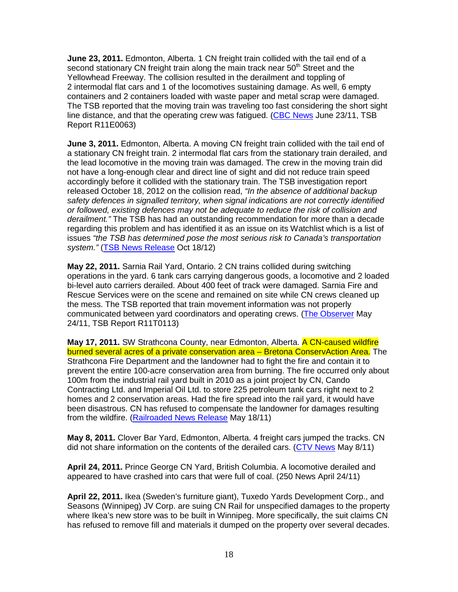**June 23, 2011.** Edmonton, Alberta. 1 CN freight train collided with the tail end of a second stationary CN freight train along the main track near  $50<sup>th</sup>$  Street and the Yellowhead Freeway. The collision resulted in the derailment and toppling of 2 intermodal flat cars and 1 of the locomotives sustaining damage. As well, 6 empty containers and 2 containers loaded with waste paper and metal scrap were damaged. The TSB reported that the moving train was traveling too fast considering the short sight line distance, and that the operating crew was fatigued. (CBC News June 23/11, TSB Report R11E0063)

**June 3, 2011.** Edmonton, Alberta. A moving CN freight train collided with the tail end of a stationary CN freight train. 2 intermodal flat cars from the stationary train derailed, and the lead locomotive in the moving train was damaged. The crew in the moving train did not have a long-enough clear and direct line of sight and did not reduce train speed accordingly before it collided with the stationary train. The TSB investigation report released October 18, 2012 on the collision read, "In the absence of additional backup safety defences in signalled territory, when signal indications are not correctly identified or followed, existing defences may not be adequate to reduce the risk of collision and derailment." The TSB has had an outstanding recommendation for more than a decade regarding this problem and has identified it as an issue on its Watchlist which is a list of issues "the TSB has determined pose the most serious risk to Canada's transportation system." (TSB News Release Oct 18/12)

**May 22, 2011.** Sarnia Rail Yard, Ontario. 2 CN trains collided during switching operations in the yard. 6 tank cars carrying dangerous goods, a locomotive and 2 loaded bi-level auto carriers derailed. About 400 feet of track were damaged. Sarnia Fire and Rescue Services were on the scene and remained on site while CN crews cleaned up the mess. The TSB reported that train movement information was not properly communicated between yard coordinators and operating crews. (The Observer May 24/11, TSB Report R11T0113)

**May 17, 2011.** SW Strathcona County, near Edmonton, Alberta. A CN-caused wildfire burned several acres of a private conservation area - Bretona ConservAction Area. The Strathcona Fire Department and the landowner had to fight the fire and contain it to prevent the entire 100-acre conservation area from burning. The fire occurred only about 100m from the industrial rail yard built in 2010 as a joint project by CN, Cando Contracting Ltd. and Imperial Oil Ltd. to store 225 petroleum tank cars right next to 2 homes and 2 conservation areas. Had the fire spread into the rail yard, it would have been disastrous. CN has refused to compensate the landowner for damages resulting from the wildfire. (Railroaded News Release May 18/11)

**May 8, 2011.** Clover Bar Yard, Edmonton, Alberta. 4 freight cars jumped the tracks. CN did not share information on the contents of the derailed cars. (CTV News May 8/11)

**April 24, 2011.** Prince George CN Yard, British Columbia. A locomotive derailed and appeared to have crashed into cars that were full of coal. (250 News April 24/11)

**April 22, 2011.** Ikea (Sweden's furniture giant), Tuxedo Yards Development Corp., and Seasons (Winnipeg) JV Corp. are suing CN Rail for unspecified damages to the property where Ikea's new store was to be built in Winnipeg. More specifically, the suit claims CN has refused to remove fill and materials it dumped on the property over several decades.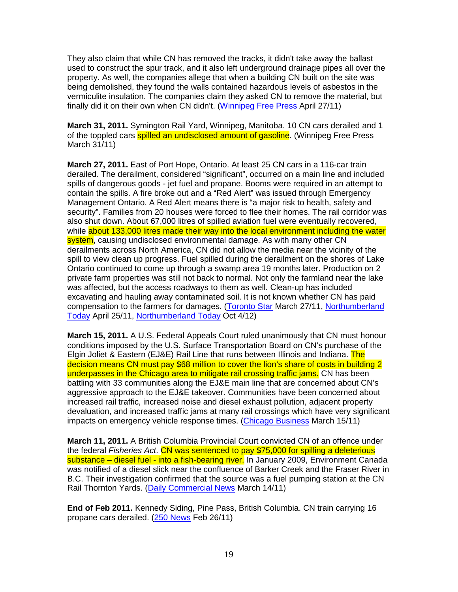They also claim that while CN has removed the tracks, it didn't take away the ballast used to construct the spur track, and it also left underground drainage pipes all over the property. As well, the companies allege that when a building CN built on the site was being demolished, they found the walls contained hazardous levels of asbestos in the vermiculite insulation. The companies claim they asked CN to remove the material, but finally did it on their own when CN didn't. (Winnipeg Free Press April 27/11)

**March 31, 2011.** Symington Rail Yard, Winnipeg, Manitoba. 10 CN cars derailed and 1 of the toppled cars **spilled an undisclosed amount of gasoline**. (Winnipeg Free Press March 31/11)

**March 27, 2011.** East of Port Hope, Ontario. At least 25 CN cars in a 116-car train derailed. The derailment, considered "significant", occurred on a main line and included spills of dangerous goods - jet fuel and propane. Booms were required in an attempt to contain the spills. A fire broke out and a "Red Alert" was issued through Emergency Management Ontario. A Red Alert means there is "a major risk to health, safety and security". Families from 20 houses were forced to flee their homes. The rail corridor was also shut down. About 67,000 litres of spilled aviation fuel were eventually recovered, while about 133,000 litres made their way into the local environment including the water system, causing undisclosed environmental damage. As with many other CN derailments across North America, CN did not allow the media near the vicinity of the spill to view clean up progress. Fuel spilled during the derailment on the shores of Lake Ontario continued to come up through a swamp area 19 months later. Production on 2 private farm properties was still not back to normal. Not only the farmland near the lake was affected, but the access roadways to them as well. Clean-up has included excavating and hauling away contaminated soil. It is not known whether CN has paid compensation to the farmers for damages. (Toronto Star March 27/11, Northumberland Today April 25/11, Northumberland Today Oct 4/12)

**March 15, 2011.** A U.S. Federal Appeals Court ruled unanimously that CN must honour conditions imposed by the U.S. Surface Transportation Board on CN's purchase of the Elgin Joliet & Eastern (EJ&E) Rail Line that runs between Illinois and Indiana. The decision means CN must pay \$68 million to cover the lion's share of costs in building 2 underpasses in the Chicago area to mitigate rail crossing traffic jams. CN has been battling with 33 communities along the EJ&E main line that are concerned about CN's aggressive approach to the EJ&E takeover. Communities have been concerned about increased rail traffic, increased noise and diesel exhaust pollution, adjacent property devaluation, and increased traffic jams at many rail crossings which have very significant impacts on emergency vehicle response times. (Chicago Business March 15/11)

**March 11, 2011.** A British Columbia Provincial Court convicted CN of an offence under the federal Fisheries Act. CN was sentenced to pay \$75,000 for spilling a deleterious substance – diesel fuel - into a fish-bearing river. In January 2009, Environment Canada was notified of a diesel slick near the confluence of Barker Creek and the Fraser River in B.C. Their investigation confirmed that the source was a fuel pumping station at the CN Rail Thornton Yards. (Daily Commercial News March 14/11)

**End of Feb 2011.** Kennedy Siding, Pine Pass, British Columbia. CN train carrying 16 propane cars derailed. (250 News Feb 26/11)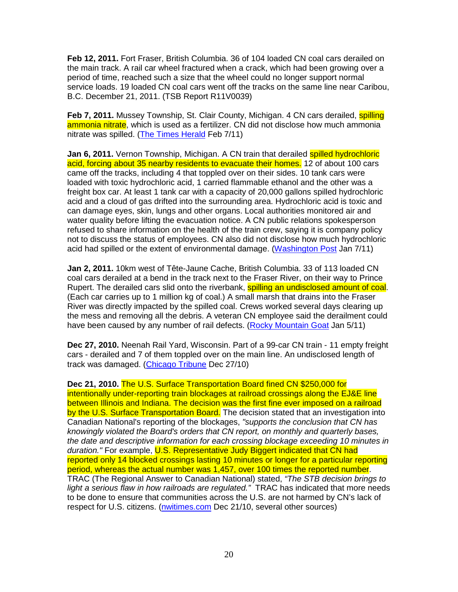**Feb 12, 2011.** Fort Fraser, British Columbia. 36 of 104 loaded CN coal cars derailed on the main track. A rail car wheel fractured when a crack, which had been growing over a period of time, reached such a size that the wheel could no longer support normal service loads. 19 loaded CN coal cars went off the tracks on the same line near Caribou, B.C. December 21, 2011. (TSB Report R11V0039)

Feb 7, 2011. Mussey Township, St. Clair County, Michigan. 4 CN cars derailed, **spilling** ammonia nitrate, which is used as a fertilizer. CN did not disclose how much ammonia nitrate was spilled. (The Times Herald Feb 7/11)

**Jan 6, 2011.** Vernon Township, Michigan. A CN train that derailed spilled hydrochloric acid, forcing about 35 nearby residents to evacuate their homes. 12 of about 100 cars came off the tracks, including 4 that toppled over on their sides. 10 tank cars were loaded with toxic hydrochloric acid, 1 carried flammable ethanol and the other was a freight box car. At least 1 tank car with a capacity of 20,000 gallons spilled hydrochloric acid and a cloud of gas drifted into the surrounding area. Hydrochloric acid is toxic and can damage eyes, skin, lungs and other organs. Local authorities monitored air and water quality before lifting the evacuation notice. A CN public relations spokesperson refused to share information on the health of the train crew, saying it is company policy not to discuss the status of employees. CN also did not disclose how much hydrochloric acid had spilled or the extent of environmental damage. (Washington Post Jan 7/11)

**Jan 2, 2011.** 10km west of Tête-Jaune Cache, British Columbia. 33 of 113 loaded CN coal cars derailed at a bend in the track next to the Fraser River, on their way to Prince Rupert. The derailed cars slid onto the riverbank, **spilling an undisclosed amount of coal**. (Each car carries up to 1 million kg of coal.) A small marsh that drains into the Fraser River was directly impacted by the spilled coal. Crews worked several days clearing up the mess and removing all the debris. A veteran CN employee said the derailment could have been caused by any number of rail defects. (Rocky Mountain Goat Jan 5/11)

**Dec 27, 2010.** Neenah Rail Yard, Wisconsin. Part of a 99-car CN train - 11 empty freight cars - derailed and 7 of them toppled over on the main line. An undisclosed length of track was damaged. (Chicago Tribune Dec 27/10)

**Dec 21, 2010.** The U.S. Surface Transportation Board fined CN \$250,000 for intentionally under-reporting train blockages at railroad crossings along the EJ&E line between Illinois and Indiana. The decision was the first fine ever imposed on a railroad by the U.S. Surface Transportation Board. The decision stated that an investigation into Canadian National's reporting of the blockages, "supports the conclusion that CN has knowingly violated the Board's orders that CN report, on monthly and quarterly bases, the date and descriptive information for each crossing blockage exceeding 10 minutes in duration." For example, U.S. Representative Judy Biggert indicated that CN had reported only 14 blocked crossings lasting 10 minutes or longer for a particular reporting period, whereas the actual number was 1,457, over 100 times the reported number. TRAC (The Regional Answer to Canadian National) stated, "The STB decision brings to light a serious flaw in how railroads are regulated." TRAC has indicated that more needs to be done to ensure that communities across the U.S. are not harmed by CN's lack of respect for U.S. citizens. (nwitimes.com Dec 21/10, several other sources)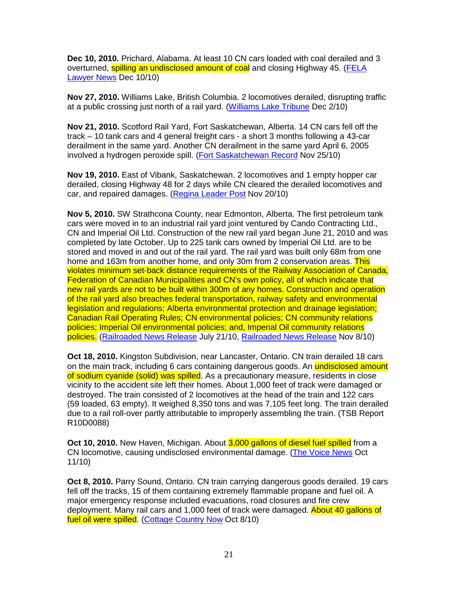**Dec 10, 2010.** Prichard, Alabama. At least 10 CN cars loaded with coal derailed and 3 overturned, **spilling an undisclosed amount of coal** and closing Highway 45. (FELA Lawyer News Dec 10/10)

**Nov 27, 2010.** Williams Lake, British Columbia. 2 locomotives derailed, disrupting traffic at a public crossing just north of a rail yard. (Williams Lake Tribune Dec 2/10)

**Nov 21, 2010.** Scotford Rail Yard, Fort Saskatchewan, Alberta. 14 CN cars fell off the track – 10 tank cars and 4 general freight cars - a short 3 months following a 43-car derailment in the same yard. Another CN derailment in the same yard April 6, 2005 involved a hydrogen peroxide spill. (Fort Saskatchewan Record Nov 25/10)

**Nov 19, 2010.** East of Vibank, Saskatchewan. 2 locomotives and 1 empty hopper car derailed, closing Highway 48 for 2 days while CN cleared the derailed locomotives and car, and repaired damages. (Regina Leader Post Nov 20/10)

**Nov 5, 2010.** SW Strathcona County, near Edmonton, Alberta. The first petroleum tank cars were moved in to an industrial rail yard joint ventured by Cando Contracting Ltd., CN and Imperial Oil Ltd. Construction of the new rail yard began June 21, 2010 and was completed by late October. Up to 225 tank cars owned by Imperial Oil Ltd. are to be stored and moved in and out of the rail yard. The rail yard was built only 68m from one home and 163m from another home, and only 30m from 2 conservation areas. This violates minimum set-back distance requirements of the Railway Association of Canada, Federation of Canadian Municipalities and CN's own policy, all of which indicate that new rail yards are not to be built within 300m of any homes. Construction and operation of the rail yard also breaches federal transportation, railway safety and environmental legislation and regulations; Alberta environmental protection and drainage legislation; Canadian Rail Operating Rules; CN environmental policies; CN community relations policies; Imperial Oil environmental policies; and, Imperial Oil community relations policies. (Railroaded News Release July 21/10, Railroaded News Release Nov 8/10)

**Oct 18, 2010.** Kingston Subdivision, near Lancaster, Ontario. CN train derailed 18 cars on the main track, including 6 cars containing dangerous goods. An undisclosed amount of sodium cyanide (solid) was spilled. As a precautionary measure, residents in close vicinity to the accident site left their homes. About 1,000 feet of track were damaged or destroyed. The train consisted of 2 locomotives at the head of the train and 122 cars (59 loaded, 63 empty). It weighed 8,350 tons and was 7,105 feet long. The train derailed due to a rail roll-over partly attributable to improperly assembling the train. (TSB Report R10D0088)

**Oct 10, 2010.** New Haven, Michigan. About 3,000 gallons of diesel fuel spilled from a CN locomotive, causing undisclosed environmental damage. (The Voice News Oct 11/10)

**Oct 8, 2010.** Parry Sound, Ontario. CN train carrying dangerous goods derailed. 19 cars fell off the tracks, 15 of them containing extremely flammable propane and fuel oil. A major emergency response included evacuations, road closures and fire crew deployment. Many rail cars and 1,000 feet of track were damaged. About 40 gallons of fuel oil were spilled. (Cottage Country Now Oct 8/10)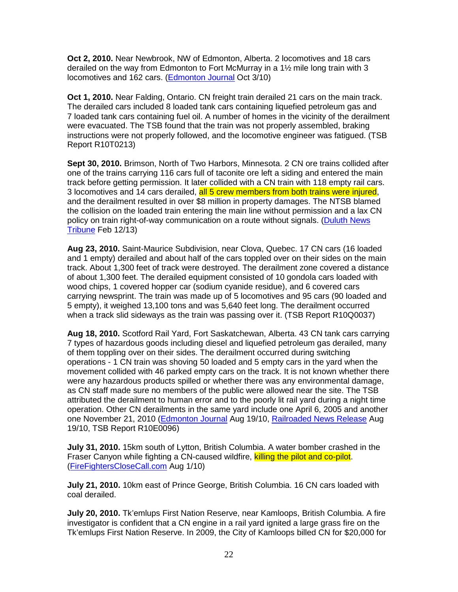**Oct 2, 2010.** Near Newbrook, NW of Edmonton, Alberta. 2 locomotives and 18 cars derailed on the way from Edmonton to Fort McMurray in a 1½ mile long train with 3 locomotives and 162 cars. (Edmonton Journal Oct 3/10)

**Oct 1, 2010.** Near Falding, Ontario. CN freight train derailed 21 cars on the main track. The derailed cars included 8 loaded tank cars containing liquefied petroleum gas and 7 loaded tank cars containing fuel oil. A number of homes in the vicinity of the derailment were evacuated. The TSB found that the train was not properly assembled, braking instructions were not properly followed, and the locomotive engineer was fatigued. (TSB Report R10T0213)

**Sept 30, 2010.** Brimson, North of Two Harbors, Minnesota. 2 CN ore trains collided after one of the trains carrying 116 cars full of taconite ore left a siding and entered the main track before getting permission. It later collided with a CN train with 118 empty rail cars. 3 locomotives and 14 cars derailed, all 5 crew members from both trains were injured, and the derailment resulted in over \$8 million in property damages. The NTSB blamed the collision on the loaded train entering the main line without permission and a lax CN policy on train right-of-way communication on a route without signals. (Duluth News Tribune Feb 12/13)

**Aug 23, 2010.** Saint-Maurice Subdivision, near Clova, Quebec. 17 CN cars (16 loaded and 1 empty) derailed and about half of the cars toppled over on their sides on the main track. About 1,300 feet of track were destroyed. The derailment zone covered a distance of about 1,300 feet. The derailed equipment consisted of 10 gondola cars loaded with wood chips, 1 covered hopper car (sodium cyanide residue), and 6 covered cars carrying newsprint. The train was made up of 5 locomotives and 95 cars (90 loaded and 5 empty), it weighed 13,100 tons and was 5,640 feet long. The derailment occurred when a track slid sideways as the train was passing over it. (TSB Report R10Q0037)

**Aug 18, 2010.** Scotford Rail Yard, Fort Saskatchewan, Alberta. 43 CN tank cars carrying 7 types of hazardous goods including diesel and liquefied petroleum gas derailed, many of them toppling over on their sides. The derailment occurred during switching operations - 1 CN train was shoving 50 loaded and 5 empty cars in the yard when the movement collided with 46 parked empty cars on the track. It is not known whether there were any hazardous products spilled or whether there was any environmental damage, as CN staff made sure no members of the public were allowed near the site. The TSB attributed the derailment to human error and to the poorly lit rail yard during a night time operation. Other CN derailments in the same yard include one April 6, 2005 and another one November 21, 2010 (Edmonton Journal Aug 19/10, Railroaded News Release Aug 19/10, TSB Report R10E0096)

**July 31, 2010.** 15km south of Lytton, British Columbia. A water bomber crashed in the Fraser Canyon while fighting a CN-caused wildfire, killing the pilot and co-pilot. (FireFightersCloseCall.com Aug 1/10)

**July 21, 2010.** 10km east of Prince George, British Columbia. 16 CN cars loaded with coal derailed.

**July 20, 2010.** Tk'emlups First Nation Reserve, near Kamloops, British Columbia. A fire investigator is confident that a CN engine in a rail yard ignited a large grass fire on the Tk'emlups First Nation Reserve. In 2009, the City of Kamloops billed CN for \$20,000 for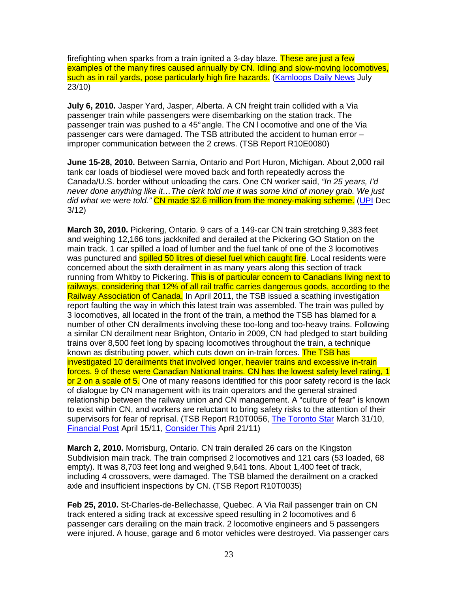firefighting when sparks from a train ignited a 3-day blaze. These are just a few examples of the many fires caused annually by CN. Idling and slow-moving locomotives, such as in rail yards, pose particularly high fire hazards. (Kamloops Daily News July 23/10)

**July 6, 2010.** Jasper Yard, Jasper, Alberta. A CN freight train collided with a Via passenger train while passengers were disembarking on the station track. The passenger train was pushed to a 45° angle. The CN l ocomotive and one of the Via passenger cars were damaged. The TSB attributed the accident to human error – improper communication between the 2 crews. (TSB Report R10E0080)

**June 15-28, 2010.** Between Sarnia, Ontario and Port Huron, Michigan. About 2,000 rail tank car loads of biodiesel were moved back and forth repeatedly across the Canada/U.S. border without unloading the cars. One CN worker said, "In 25 years, I'd never done anything like it…The clerk told me it was some kind of money grab. We just did what we were told." CN made \$2.6 million from the money-making scheme. (UPI Dec 3/12)

**March 30, 2010.** Pickering, Ontario. 9 cars of a 149-car CN train stretching 9,383 feet and weighing 12,166 tons jackknifed and derailed at the Pickering GO Station on the main track. 1 car spilled a load of lumber and the fuel tank of one of the 3 locomotives was punctured and **spilled 50 litres of diesel fuel which caught fire**. Local residents were concerned about the sixth derailment in as many years along this section of track running from Whitby to Pickering. This is of particular concern to Canadians living next to railways, considering that 12% of all rail traffic carries dangerous goods, according to the Railway Association of Canada. In April 2011, the TSB issued a scathing investigation report faulting the way in which this latest train was assembled. The train was pulled by 3 locomotives, all located in the front of the train, a method the TSB has blamed for a number of other CN derailments involving these too-long and too-heavy trains. Following a similar CN derailment near Brighton, Ontario in 2009, CN had pledged to start building trains over 8,500 feet long by spacing locomotives throughout the train, a technique known as distributing power, which cuts down on in-train forces. The TSB has investigated 10 derailments that involved longer, heavier trains and excessive in-train forces. 9 of these were Canadian National trains. CN has the lowest safety level rating, 1 or 2 on a scale of 5. One of many reasons identified for this poor safety record is the lack of dialogue by CN management with its train operators and the general strained relationship between the railway union and CN management. A "culture of fear" is known to exist within CN, and workers are reluctant to bring safety risks to the attention of their supervisors for fear of reprisal. (TSB Report R10T0056, The Toronto Star March 31/10, Financial Post April 15/11, Consider This April 21/11)

**March 2, 2010.** Morrisburg, Ontario. CN train derailed 26 cars on the Kingston Subdivision main track. The train comprised 2 locomotives and 121 cars (53 loaded, 68 empty). It was 8,703 feet long and weighed 9,641 tons. About 1,400 feet of track, including 4 crossovers, were damaged. The TSB blamed the derailment on a cracked axle and insufficient inspections by CN. (TSB Report R10T0035)

**Feb 25, 2010.** St-Charles-de-Bellechasse, Quebec. A Via Rail passenger train on CN track entered a siding track at excessive speed resulting in 2 locomotives and 6 passenger cars derailing on the main track. 2 locomotive engineers and 5 passengers were injured. A house, garage and 6 motor vehicles were destroyed. Via passenger cars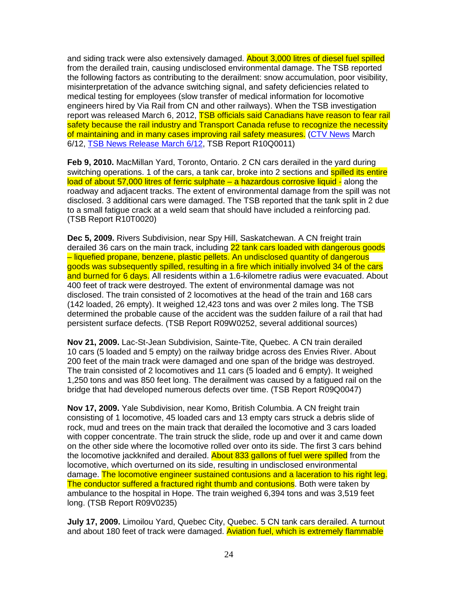and siding track were also extensively damaged. **About 3,000 litres of diesel fuel spilled** from the derailed train, causing undisclosed environmental damage. The TSB reported the following factors as contributing to the derailment: snow accumulation, poor visibility, misinterpretation of the advance switching signal, and safety deficiencies related to medical testing for employees (slow transfer of medical information for locomotive engineers hired by Via Rail from CN and other railways). When the TSB investigation report was released March 6, 2012, TSB officials said Canadians have reason to fear rail safety because the rail industry and Transport Canada refuse to recognize the necessity of maintaining and in many cases improving rail safety measures. (CTV News March 6/12, TSB News Release March 6/12, TSB Report R10Q0011)

**Feb 9, 2010.** MacMillan Yard, Toronto, Ontario. 2 CN cars derailed in the yard during switching operations. 1 of the cars, a tank car, broke into 2 sections and spilled its entire load of about 57,000 litres of ferric sulphate – a hazardous corrosive liquid - along the roadway and adjacent tracks. The extent of environmental damage from the spill was not disclosed. 3 additional cars were damaged. The TSB reported that the tank split in 2 due to a small fatigue crack at a weld seam that should have included a reinforcing pad. (TSB Report R10T0020)

**Dec 5, 2009.** Rivers Subdivision, near Spy Hill, Saskatchewan. A CN freight train derailed 36 cars on the main track, including 22 tank cars loaded with dangerous goods – liquefied propane, benzene, plastic pellets. An undisclosed quantity of dangerous goods was subsequently spilled, resulting in a fire which initially involved 34 of the cars and burned for 6 days. All residents within a 1.6-kilometre radius were evacuated. About 400 feet of track were destroyed. The extent of environmental damage was not disclosed. The train consisted of 2 locomotives at the head of the train and 168 cars (142 loaded, 26 empty). It weighed 12,423 tons and was over 2 miles long. The TSB determined the probable cause of the accident was the sudden failure of a rail that had persistent surface defects. (TSB Report R09W0252, several additional sources)

**Nov 21, 2009.** Lac-St-Jean Subdivision, Sainte-Tite, Quebec. A CN train derailed 10 cars (5 loaded and 5 empty) on the railway bridge across des Envies River. About 200 feet of the main track were damaged and one span of the bridge was destroyed. The train consisted of 2 locomotives and 11 cars (5 loaded and 6 empty). It weighed 1,250 tons and was 850 feet long. The derailment was caused by a fatigued rail on the bridge that had developed numerous defects over time. (TSB Report R09Q0047)

**Nov 17, 2009.** Yale Subdivision, near Komo, British Columbia. A CN freight train consisting of 1 locomotive, 45 loaded cars and 13 empty cars struck a debris slide of rock, mud and trees on the main track that derailed the locomotive and 3 cars loaded with copper concentrate. The train struck the slide, rode up and over it and came down on the other side where the locomotive rolled over onto its side. The first 3 cars behind the locomotive jackknifed and derailed. About 833 gallons of fuel were spilled from the locomotive, which overturned on its side, resulting in undisclosed environmental damage. The locomotive engineer sustained contusions and a laceration to his right leg. The conductor suffered a fractured right thumb and contusions. Both were taken by ambulance to the hospital in Hope. The train weighed 6,394 tons and was 3,519 feet long. (TSB Report R09V0235)

**July 17, 2009.** Limoilou Yard, Quebec City, Quebec. 5 CN tank cars derailed. A turnout and about 180 feet of track were damaged. Aviation fuel, which is extremely flammable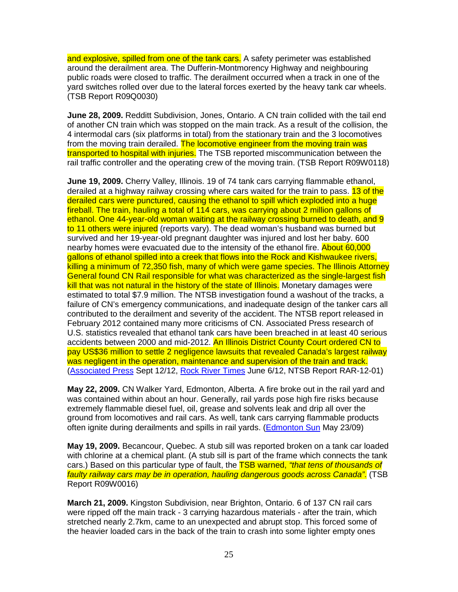and explosive, spilled from one of the tank cars. A safety perimeter was established around the derailment area. The Dufferin-Montmorency Highway and neighbouring public roads were closed to traffic. The derailment occurred when a track in one of the yard switches rolled over due to the lateral forces exerted by the heavy tank car wheels. (TSB Report R09Q0030)

**June 28, 2009.** Redditt Subdivision, Jones, Ontario. A CN train collided with the tail end of another CN train which was stopped on the main track. As a result of the collision, the 4 intermodal cars (six platforms in total) from the stationary train and the 3 locomotives from the moving train derailed. The locomotive engineer from the moving train was transported to hospital with injuries. The TSB reported miscommunication between the rail traffic controller and the operating crew of the moving train. (TSB Report R09W0118)

**June 19, 2009.** Cherry Valley, Illinois. 19 of 74 tank cars carrying flammable ethanol, derailed at a highway railway crossing where cars waited for the train to pass. 13 of the derailed cars were punctured, causing the ethanol to spill which exploded into a huge fireball. The train, hauling a total of 114 cars, was carrying about 2 million gallons of ethanol. One 44-year-old woman waiting at the railway crossing burned to death, and 9 to 11 others were injured (reports vary). The dead woman's husband was burned but survived and her 19-year-old pregnant daughter was injured and lost her baby. 600 nearby homes were evacuated due to the intensity of the ethanol fire. About 60,000 gallons of ethanol spilled into a creek that flows into the Rock and Kishwaukee rivers, killing a minimum of 72,350 fish, many of which were game species. The Illinois Attorney General found CN Rail responsible for what was characterized as the single-largest fish kill that was not natural in the history of the state of Illinois. Monetary damages were estimated to total \$7.9 million. The NTSB investigation found a washout of the tracks, a failure of CN's emergency communications, and inadequate design of the tanker cars all contributed to the derailment and severity of the accident. The NTSB report released in February 2012 contained many more criticisms of CN. Associated Press research of U.S. statistics revealed that ethanol tank cars have been breached in at least 40 serious accidents between 2000 and mid-2012. An Illinois District County Court ordered CN to pay US\$36 million to settle 2 negligence lawsuits that revealed Canada's largest railway was negligent in the operation, maintenance and supervision of the train and track. (Associated Press Sept 12/12, Rock River Times June 6/12, NTSB Report RAR-12-01)

**May 22, 2009.** CN Walker Yard, Edmonton, Alberta. A fire broke out in the rail yard and was contained within about an hour. Generally, rail yards pose high fire risks because extremely flammable diesel fuel, oil, grease and solvents leak and drip all over the ground from locomotives and rail cars. As well, tank cars carrying flammable products often ignite during derailments and spills in rail yards. (Edmonton Sun May 23/09)

**May 19, 2009.** Becancour, Quebec. A stub sill was reported broken on a tank car loaded with chlorine at a chemical plant. (A stub sill is part of the frame which connects the tank cars.) Based on this particular type of fault, the **TSB warned, "that tens of thousands of** faulty railway cars may be in operation, hauling dangerous goods across Canada". (TSB Report R09W0016)

**March 21, 2009.** Kingston Subdivision, near Brighton, Ontario. 6 of 137 CN rail cars were ripped off the main track - 3 carrying hazardous materials - after the train, which stretched nearly 2.7km, came to an unexpected and abrupt stop. This forced some of the heavier loaded cars in the back of the train to crash into some lighter empty ones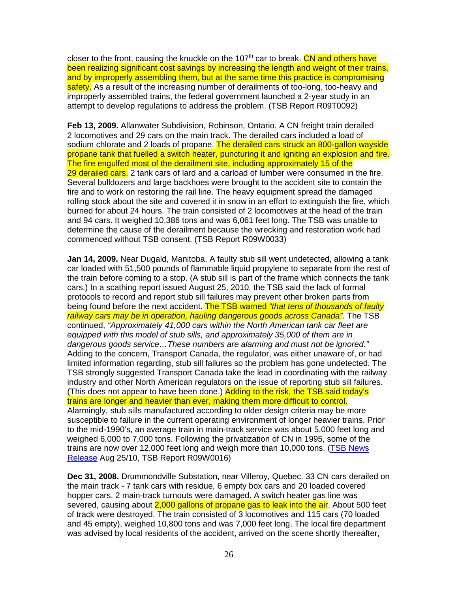closer to the front, causing the knuckle on the 107<sup>th</sup> car to break. CN and others have been realizing significant cost savings by increasing the length and weight of their trains, and by improperly assembling them, but at the same time this practice is compromising safety. As a result of the increasing number of derailments of too-long, too-heavy and improperly assembled trains, the federal government launched a 2-year study in an attempt to develop regulations to address the problem. (TSB Report R09T0092)

**Feb 13, 2009.** Allanwater Subdivision, Robinson, Ontario. A CN freight train derailed 2 locomotives and 29 cars on the main track. The derailed cars included a load of sodium chlorate and 2 loads of propane. The derailed cars struck an 800-gallon wayside propane tank that fuelled a switch heater, puncturing it and igniting an explosion and fire. The fire engulfed most of the derailment site, including approximately 15 of the 29 derailed cars. 2 tank cars of lard and a carload of lumber were consumed in the fire. Several bulldozers and large backhoes were brought to the accident site to contain the fire and to work on restoring the rail line. The heavy equipment spread the damaged rolling stock about the site and covered it in snow in an effort to extinguish the fire, which burned for about 24 hours. The train consisted of 2 locomotives at the head of the train and 94 cars. It weighed 10,386 tons and was 6,061 feet long. The TSB was unable to determine the cause of the derailment because the wrecking and restoration work had commenced without TSB consent. (TSB Report R09W0033)

**Jan 14, 2009.** Near Dugald, Manitoba. A faulty stub sill went undetected, allowing a tank car loaded with 51,500 pounds of flammable liquid propylene to separate from the rest of the train before coming to a stop. (A stub sill is part of the frame which connects the tank cars.) In a scathing report issued August 25, 2010, the TSB said the lack of formal protocols to record and report stub sill failures may prevent other broken parts from being found before the next accident. The TSB warned "that tens of thousands of faulty railway cars may be in operation, hauling dangerous goods across Canada". The TSB continued, "Approximately 41,000 cars within the North American tank car fleet are equipped with this model of stub sills, and approximately 35,000 of them are in dangerous goods service…These numbers are alarming and must not be ignored." Adding to the concern, Transport Canada, the regulator, was either unaware of, or had limited information regarding, stub sill failures so the problem has gone undetected. The TSB strongly suggested Transport Canada take the lead in coordinating with the railway industry and other North American regulators on the issue of reporting stub sill failures. (This does not appear to have been done.) Adding to the risk, the TSB said today's trains are longer and heavier than ever, making them more difficult to control. Alarmingly, stub sills manufactured according to older design criteria may be more susceptible to failure in the current operating environment of longer heavier trains. Prior to the mid-1990's, an average train in main-track service was about 5,000 feet long and weighed 6,000 to 7,000 tons. Following the privatization of CN in 1995, some of the trains are now over 12,000 feet long and weigh more than 10,000 tons. (TSB News Release Aug 25/10, TSB Report R09W0016)

**Dec 31, 2008.** Drummondville Substation, near Villeroy, Quebec. 33 CN cars derailed on the main track - 7 tank cars with residue, 6 empty box cars and 20 loaded covered hopper cars. 2 main-track turnouts were damaged. A switch heater gas line was severed, causing about 2,000 gallons of propane gas to leak into the air. About 500 feet of track were destroyed. The train consisted of 3 locomotives and 115 cars (70 loaded and 45 empty), weighed 10,800 tons and was 7,000 feet long. The local fire department was advised by local residents of the accident, arrived on the scene shortly thereafter,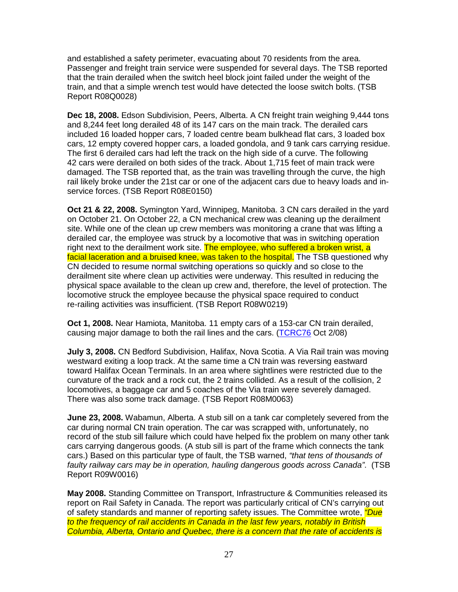and established a safety perimeter, evacuating about 70 residents from the area. Passenger and freight train service were suspended for several days. The TSB reported that the train derailed when the switch heel block joint failed under the weight of the train, and that a simple wrench test would have detected the loose switch bolts. (TSB Report R08Q0028)

**Dec 18, 2008.** Edson Subdivision, Peers, Alberta. A CN freight train weighing 9,444 tons and 8,244 feet long derailed 48 of its 147 cars on the main track. The derailed cars included 16 loaded hopper cars, 7 loaded centre beam bulkhead flat cars, 3 loaded box cars, 12 empty covered hopper cars, a loaded gondola, and 9 tank cars carrying residue. The first 6 derailed cars had left the track on the high side of a curve. The following 42 cars were derailed on both sides of the track. About 1,715 feet of main track were damaged. The TSB reported that, as the train was travelling through the curve, the high rail likely broke under the 21st car or one of the adjacent cars due to heavy loads and inservice forces. (TSB Report R08E0150)

**Oct 21 & 22, 2008.** Symington Yard, Winnipeg, Manitoba. 3 CN cars derailed in the yard on October 21. On October 22, a CN mechanical crew was cleaning up the derailment site. While one of the clean up crew members was monitoring a crane that was lifting a derailed car, the employee was struck by a locomotive that was in switching operation right next to the derailment work site. The employee, who suffered a broken wrist, a facial laceration and a bruised knee, was taken to the hospital. The TSB questioned why CN decided to resume normal switching operations so quickly and so close to the derailment site where clean up activities were underway. This resulted in reducing the physical space available to the clean up crew and, therefore, the level of protection. The locomotive struck the employee because the physical space required to conduct re-railing activities was insufficient. (TSB Report R08W0219)

**Oct 1, 2008.** Near Hamiota, Manitoba. 11 empty cars of a 153-car CN train derailed, causing major damage to both the rail lines and the cars. (TCRC76 Oct 2/08)

**July 3, 2008.** CN Bedford Subdivision, Halifax, Nova Scotia. A Via Rail train was moving westward exiting a loop track. At the same time a CN train was reversing eastward toward Halifax Ocean Terminals. In an area where sightlines were restricted due to the curvature of the track and a rock cut, the 2 trains collided. As a result of the collision, 2 locomotives, a baggage car and 5 coaches of the Via train were severely damaged. There was also some track damage. (TSB Report R08M0063)

**June 23, 2008.** Wabamun, Alberta. A stub sill on a tank car completely severed from the car during normal CN train operation. The car was scrapped with, unfortunately, no record of the stub sill failure which could have helped fix the problem on many other tank cars carrying dangerous goods. (A stub sill is part of the frame which connects the tank cars.) Based on this particular type of fault, the TSB warned, "that tens of thousands of faulty railway cars may be in operation, hauling dangerous goods across Canada". (TSB Report R09W0016)

**May 2008.** Standing Committee on Transport, Infrastructure & Communities released its report on Rail Safety in Canada. The report was particularly critical of CN's carrying out of safety standards and manner of reporting safety issues. The Committee wrote, *"Due* to the frequency of rail accidents in Canada in the last few years, notably in British Columbia, Alberta, Ontario and Quebec, there is a concern that the rate of accidents is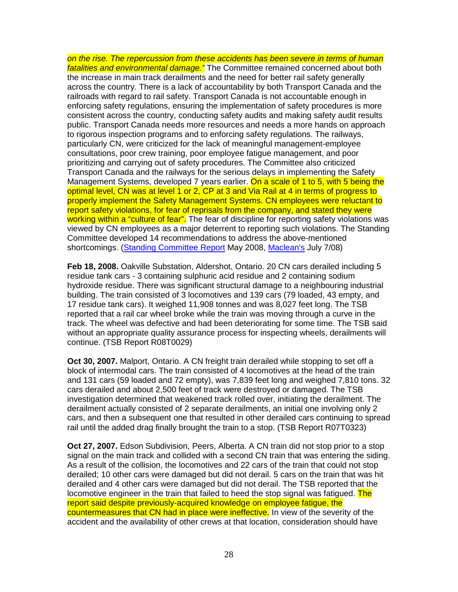on the rise. The repercussion from these accidents has been severe in terms of human fatalities and environmental damage." The Committee remained concerned about both the increase in main track derailments and the need for better rail safety generally across the country. There is a lack of accountability by both Transport Canada and the railroads with regard to rail safety. Transport Canada is not accountable enough in enforcing safety regulations, ensuring the implementation of safety procedures is more consistent across the country, conducting safety audits and making safety audit results public. Transport Canada needs more resources and needs a more hands on approach to rigorous inspection programs and to enforcing safety regulations. The railways, particularly CN, were criticized for the lack of meaningful management-employee consultations, poor crew training, poor employee fatigue management, and poor prioritizing and carrying out of safety procedures. The Committee also criticized Transport Canada and the railways for the serious delays in implementing the Safety Management Systems, developed 7 years earlier. On a scale of 1 to 5, with 5 being the optimal level, CN was at level 1 or 2, CP at 3 and Via Rail at 4 in terms of progress to properly implement the Safety Management Systems. CN employees were reluctant to report safety violations, for fear of reprisals from the company, and stated they were working within a "culture of fear". The fear of discipline for reporting safety violations was viewed by CN employees as a major deterrent to reporting such violations. The Standing Committee developed 14 recommendations to address the above-mentioned shortcomings. (Standing Committee Report May 2008, Maclean's July 7/08)

**Feb 18, 2008.** Oakville Substation, Aldershot, Ontario. 20 CN cars derailed including 5 residue tank cars - 3 containing sulphuric acid residue and 2 containing sodium hydroxide residue. There was significant structural damage to a neighbouring industrial building. The train consisted of 3 locomotives and 139 cars (79 loaded, 43 empty, and 17 residue tank cars). It weighed 11,908 tonnes and was 8,027 feet long. The TSB reported that a rail car wheel broke while the train was moving through a curve in the track. The wheel was defective and had been deteriorating for some time. The TSB said without an appropriate quality assurance process for inspecting wheels, derailments will continue. (TSB Report R08T0029)

**Oct 30, 2007.** Malport, Ontario. A CN freight train derailed while stopping to set off a block of intermodal cars. The train consisted of 4 locomotives at the head of the train and 131 cars (59 loaded and 72 empty), was 7,839 feet long and weighed 7,810 tons. 32 cars derailed and about 2,500 feet of track were destroyed or damaged. The TSB investigation determined that weakened track rolled over, initiating the derailment. The derailment actually consisted of 2 separate derailments, an initial one involving only 2 cars, and then a subsequent one that resulted in other derailed cars continuing to spread rail until the added drag finally brought the train to a stop. (TSB Report R07T0323)

**Oct 27, 2007.** Edson Subdivision, Peers, Alberta. A CN train did not stop prior to a stop signal on the main track and collided with a second CN train that was entering the siding. As a result of the collision, the locomotives and 22 cars of the train that could not stop derailed; 10 other cars were damaged but did not derail. 5 cars on the train that was hit derailed and 4 other cars were damaged but did not derail. The TSB reported that the locomotive engineer in the train that failed to heed the stop signal was fatigued. The report said despite previously-acquired knowledge on employee fatigue, the countermeasures that CN had in place were ineffective. In view of the severity of the accident and the availability of other crews at that location, consideration should have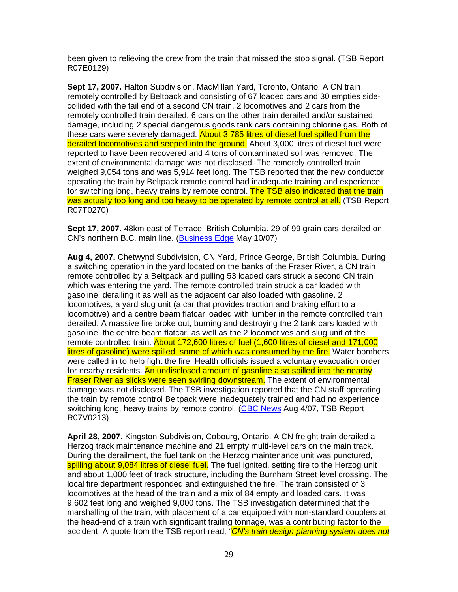been given to relieving the crew from the train that missed the stop signal. (TSB Report R07E0129)

**Sept 17, 2007.** Halton Subdivision, MacMillan Yard, Toronto, Ontario. A CN train remotely controlled by Beltpack and consisting of 67 loaded cars and 30 empties sidecollided with the tail end of a second CN train. 2 locomotives and 2 cars from the remotely controlled train derailed. 6 cars on the other train derailed and/or sustained damage, including 2 special dangerous goods tank cars containing chlorine gas. Both of these cars were severely damaged. About 3,785 litres of diesel fuel spilled from the derailed locomotives and seeped into the ground. About 3,000 litres of diesel fuel were reported to have been recovered and 4 tons of contaminated soil was removed. The extent of environmental damage was not disclosed. The remotely controlled train weighed 9,054 tons and was 5,914 feet long. The TSB reported that the new conductor operating the train by Beltpack remote control had inadequate training and experience for switching long, heavy trains by remote control. The TSB also indicated that the train was actually too long and too heavy to be operated by remote control at all. (TSB Report R07T0270)

**Sept 17, 2007.** 48km east of Terrace, British Columbia. 29 of 99 grain cars derailed on CN's northern B.C. main line. (Business Edge May 10/07)

**Aug 4, 2007.** Chetwynd Subdivision, CN Yard, Prince George, British Columbia. During a switching operation in the yard located on the banks of the Fraser River, a CN train remote controlled by a Beltpack and pulling 53 loaded cars struck a second CN train which was entering the yard. The remote controlled train struck a car loaded with gasoline, derailing it as well as the adjacent car also loaded with gasoline. 2 locomotives, a yard slug unit (a car that provides traction and braking effort to a locomotive) and a centre beam flatcar loaded with lumber in the remote controlled train derailed. A massive fire broke out, burning and destroying the 2 tank cars loaded with gasoline, the centre beam flatcar, as well as the 2 locomotives and slug unit of the remote controlled train. About 172,600 litres of fuel (1,600 litres of diesel and 171,000 litres of gasoline) were spilled, some of which was consumed by the fire. Water bombers were called in to help fight the fire. Health officials issued a voluntary evacuation order for nearby residents. An undisclosed amount of gasoline also spilled into the nearby **Fraser River as slicks were seen swirling downstream.** The extent of environmental damage was not disclosed. The TSB investigation reported that the CN staff operating the train by remote control Beltpack were inadequately trained and had no experience switching long, heavy trains by remote control. (CBC News Aug 4/07, TSB Report R07V0213)

**April 28, 2007.** Kingston Subdivision, Cobourg, Ontario. A CN freight train derailed a Herzog track maintenance machine and 21 empty multi-level cars on the main track. During the derailment, the fuel tank on the Herzog maintenance unit was punctured, spilling about 9,084 litres of diesel fuel. The fuel ignited, setting fire to the Herzog unit and about 1,000 feet of track structure, including the Burnham Street level crossing. The local fire department responded and extinguished the fire. The train consisted of 3 locomotives at the head of the train and a mix of 84 empty and loaded cars. It was 9,602 feet long and weighed 9,000 tons. The TSB investigation determined that the marshalling of the train, with placement of a car equipped with non-standard couplers at the head-end of a train with significant trailing tonnage, was a contributing factor to the accident. A quote from the TSB report read, "CN's train design planning system does not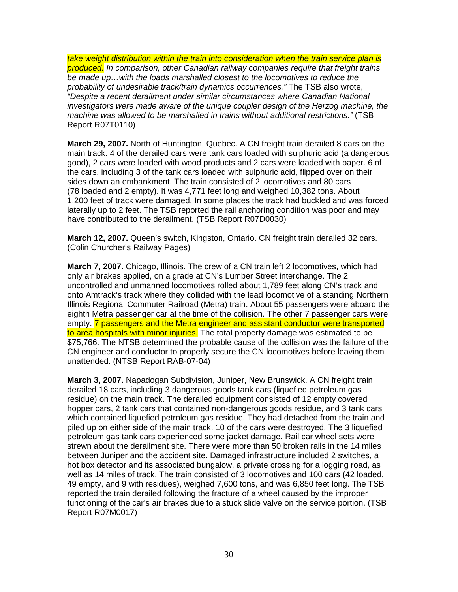take weight distribution within the train into consideration when the train service plan is produced. In comparison, other Canadian railway companies require that freight trains be made up…with the loads marshalled closest to the locomotives to reduce the probability of undesirable track/train dynamics occurrences." The TSB also wrote, "Despite a recent derailment under similar circumstances where Canadian National investigators were made aware of the unique coupler design of the Herzog machine, the machine was allowed to be marshalled in trains without additional restrictions." (TSB Report R07T0110)

**March 29, 2007.** North of Huntington, Quebec. A CN freight train derailed 8 cars on the main track. 4 of the derailed cars were tank cars loaded with sulphuric acid (a dangerous good), 2 cars were loaded with wood products and 2 cars were loaded with paper. 6 of the cars, including 3 of the tank cars loaded with sulphuric acid, flipped over on their sides down an embankment. The train consisted of 2 locomotives and 80 cars (78 loaded and 2 empty). It was 4,771 feet long and weighed 10,382 tons. About 1,200 feet of track were damaged. In some places the track had buckled and was forced laterally up to 2 feet. The TSB reported the rail anchoring condition was poor and may have contributed to the derailment. (TSB Report R07D0030)

**March 12, 2007.** Queen's switch, Kingston, Ontario. CN freight train derailed 32 cars. (Colin Churcher's Railway Pages)

**March 7, 2007.** Chicago, Illinois. The crew of a CN train left 2 locomotives, which had only air brakes applied, on a grade at CN's Lumber Street interchange. The 2 uncontrolled and unmanned locomotives rolled about 1,789 feet along CN's track and onto Amtrack's track where they collided with the lead locomotive of a standing Northern Illinois Regional Commuter Railroad (Metra) train. About 55 passengers were aboard the eighth Metra passenger car at the time of the collision. The other 7 passenger cars were empty. 7 passengers and the Metra engineer and assistant conductor were transported to area hospitals with minor injuries. The total property damage was estimated to be \$75,766. The NTSB determined the probable cause of the collision was the failure of the CN engineer and conductor to properly secure the CN locomotives before leaving them unattended. (NTSB Report RAB-07-04)

**March 3, 2007.** Napadogan Subdivision, Juniper, New Brunswick. A CN freight train derailed 18 cars, including 3 dangerous goods tank cars (liquefied petroleum gas residue) on the main track. The derailed equipment consisted of 12 empty covered hopper cars, 2 tank cars that contained non-dangerous goods residue, and 3 tank cars which contained liquefied petroleum gas residue. They had detached from the train and piled up on either side of the main track. 10 of the cars were destroyed. The 3 liquefied petroleum gas tank cars experienced some jacket damage. Rail car wheel sets were strewn about the derailment site. There were more than 50 broken rails in the 14 miles between Juniper and the accident site. Damaged infrastructure included 2 switches, a hot box detector and its associated bungalow, a private crossing for a logging road, as well as 14 miles of track. The train consisted of 3 locomotives and 100 cars (42 loaded, 49 empty, and 9 with residues), weighed 7,600 tons, and was 6,850 feet long. The TSB reported the train derailed following the fracture of a wheel caused by the improper functioning of the car's air brakes due to a stuck slide valve on the service portion. (TSB Report R07M0017)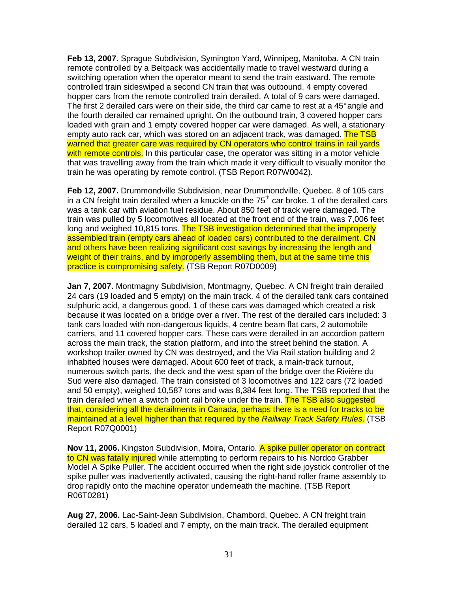**Feb 13, 2007.** Sprague Subdivision, Symington Yard, Winnipeg, Manitoba. A CN train remote controlled by a Beltpack was accidentally made to travel westward during a switching operation when the operator meant to send the train eastward. The remote controlled train sideswiped a second CN train that was outbound. 4 empty covered hopper cars from the remote controlled train derailed. A total of 9 cars were damaged. The first 2 derailed cars were on their side, the third car came to rest at a 45° angle and the fourth derailed car remained upright. On the outbound train, 3 covered hopper cars loaded with grain and 1 empty covered hopper car were damaged. As well, a stationary empty auto rack car, which was stored on an adjacent track, was damaged. The TSB warned that greater care was required by CN operators who control trains in rail yards with remote controls. In this particular case, the operator was sitting in a motor vehicle that was travelling away from the train which made it very difficult to visually monitor the train he was operating by remote control. (TSB Report R07W0042).

**Feb 12, 2007.** Drummondville Subdivision, near Drummondville, Quebec. 8 of 105 cars in a CN freight train derailed when a knuckle on the  $75<sup>th</sup>$  car broke. 1 of the derailed cars was a tank car with aviation fuel residue. About 850 feet of track were damaged. The train was pulled by 5 locomotives all located at the front end of the train, was 7,006 feet long and weighed 10,815 tons. The TSB investigation determined that the improperly assembled train (empty cars ahead of loaded cars) contributed to the derailment. CN and others have been realizing significant cost savings by increasing the length and weight of their trains, and by improperly assembling them, but at the same time this practice is compromising safety. (TSB Report R07D0009)

**Jan 7, 2007.** Montmagny Subdivision, Montmagny, Quebec. A CN freight train derailed 24 cars (19 loaded and 5 empty) on the main track. 4 of the derailed tank cars contained sulphuric acid, a dangerous good. 1 of these cars was damaged which created a risk because it was located on a bridge over a river. The rest of the derailed cars included: 3 tank cars loaded with non-dangerous liquids, 4 centre beam flat cars, 2 automobile carriers, and 11 covered hopper cars. These cars were derailed in an accordion pattern across the main track, the station platform, and into the street behind the station. A workshop trailer owned by CN was destroyed, and the Via Rail station building and 2 inhabited houses were damaged. About 600 feet of track, a main-track turnout, numerous switch parts, the deck and the west span of the bridge over the Rivière du Sud were also damaged. The train consisted of 3 locomotives and 122 cars (72 loaded and 50 empty), weighed 10,587 tons and was 8,384 feet long. The TSB reported that the train derailed when a switch point rail broke under the train. The TSB also suggested that, considering all the derailments in Canada, perhaps there is a need for tracks to be maintained at a level higher than that required by the Railway Track Safety Rules. (TSB Report R07Q0001)

**Nov 11, 2006.** Kingston Subdivision, Moira, Ontario. A spike puller operator on contract to CN was fatally injured while attempting to perform repairs to his Nordco Grabber Model A Spike Puller. The accident occurred when the right side joystick controller of the spike puller was inadvertently activated, causing the right-hand roller frame assembly to drop rapidly onto the machine operator underneath the machine. (TSB Report R06T0281)

**Aug 27, 2006.** Lac-Saint-Jean Subdivision, Chambord, Quebec. A CN freight train derailed 12 cars, 5 loaded and 7 empty, on the main track. The derailed equipment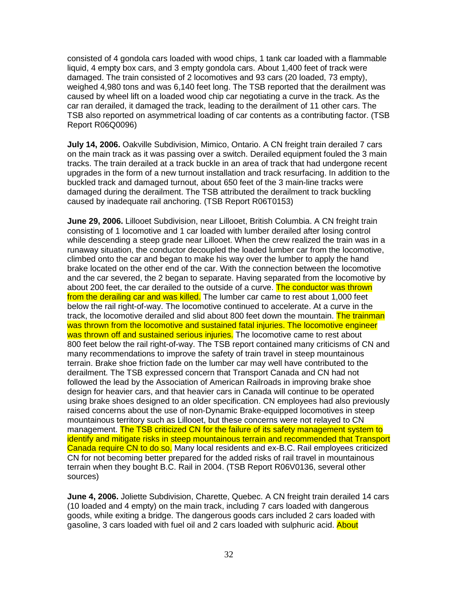consisted of 4 gondola cars loaded with wood chips, 1 tank car loaded with a flammable liquid, 4 empty box cars, and 3 empty gondola cars. About 1,400 feet of track were damaged. The train consisted of 2 locomotives and 93 cars (20 loaded, 73 empty), weighed 4,980 tons and was 6,140 feet long. The TSB reported that the derailment was caused by wheel lift on a loaded wood chip car negotiating a curve in the track. As the car ran derailed, it damaged the track, leading to the derailment of 11 other cars. The TSB also reported on asymmetrical loading of car contents as a contributing factor. (TSB Report R06Q0096)

**July 14, 2006.** Oakville Subdivision, Mimico, Ontario. A CN freight train derailed 7 cars on the main track as it was passing over a switch. Derailed equipment fouled the 3 main tracks. The train derailed at a track buckle in an area of track that had undergone recent upgrades in the form of a new turnout installation and track resurfacing. In addition to the buckled track and damaged turnout, about 650 feet of the 3 main-line tracks were damaged during the derailment. The TSB attributed the derailment to track buckling caused by inadequate rail anchoring. (TSB Report R06T0153)

**June 29, 2006.** Lillooet Subdivision, near Lillooet, British Columbia. A CN freight train consisting of 1 locomotive and 1 car loaded with lumber derailed after losing control while descending a steep grade near Lillooet. When the crew realized the train was in a runaway situation, the conductor decoupled the loaded lumber car from the locomotive, climbed onto the car and began to make his way over the lumber to apply the hand brake located on the other end of the car. With the connection between the locomotive and the car severed, the 2 began to separate. Having separated from the locomotive by about 200 feet, the car derailed to the outside of a curve. The conductor was thrown from the derailing car and was killed. The lumber car came to rest about 1,000 feet below the rail right-of-way. The locomotive continued to accelerate. At a curve in the track, the locomotive derailed and slid about 800 feet down the mountain. The trainman was thrown from the locomotive and sustained fatal injuries. The locomotive engineer was thrown off and sustained serious injuries. The locomotive came to rest about 800 feet below the rail right-of-way. The TSB report contained many criticisms of CN and many recommendations to improve the safety of train travel in steep mountainous terrain. Brake shoe friction fade on the lumber car may well have contributed to the derailment. The TSB expressed concern that Transport Canada and CN had not followed the lead by the Association of American Railroads in improving brake shoe design for heavier cars, and that heavier cars in Canada will continue to be operated using brake shoes designed to an older specification. CN employees had also previously raised concerns about the use of non-Dynamic Brake-equipped locomotives in steep mountainous territory such as Lillooet, but these concerns were not relayed to CN management. The TSB criticized CN for the failure of its safety management system to identify and mitigate risks in steep mountainous terrain and recommended that Transport Canada require CN to do so. Many local residents and ex-B.C. Rail employees criticized CN for not becoming better prepared for the added risks of rail travel in mountainous terrain when they bought B.C. Rail in 2004. (TSB Report R06V0136, several other sources)

**June 4, 2006.** Joliette Subdivision, Charette, Quebec. A CN freight train derailed 14 cars (10 loaded and 4 empty) on the main track, including 7 cars loaded with dangerous goods, while exiting a bridge. The dangerous goods cars included 2 cars loaded with gasoline, 3 cars loaded with fuel oil and 2 cars loaded with sulphuric acid. About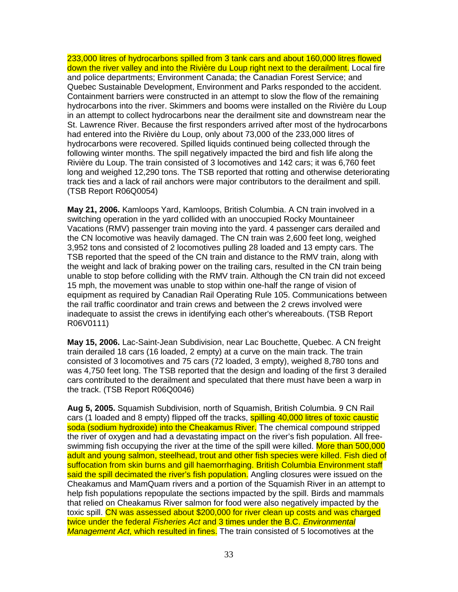233,000 litres of hydrocarbons spilled from 3 tank cars and about 160,000 litres flowed down the river valley and into the Rivière du Loup right next to the derailment. Local fire and police departments; Environment Canada; the Canadian Forest Service; and Quebec Sustainable Development, Environment and Parks responded to the accident. Containment barriers were constructed in an attempt to slow the flow of the remaining hydrocarbons into the river. Skimmers and booms were installed on the Rivière du Loup in an attempt to collect hydrocarbons near the derailment site and downstream near the St. Lawrence River. Because the first responders arrived after most of the hydrocarbons had entered into the Rivière du Loup, only about 73,000 of the 233,000 litres of hydrocarbons were recovered. Spilled liquids continued being collected through the following winter months. The spill negatively impacted the bird and fish life along the Rivière du Loup. The train consisted of 3 locomotives and 142 cars; it was 6,760 feet long and weighed 12,290 tons. The TSB reported that rotting and otherwise deteriorating track ties and a lack of rail anchors were major contributors to the derailment and spill. (TSB Report R06Q0054)

**May 21, 2006.** Kamloops Yard, Kamloops, British Columbia. A CN train involved in a switching operation in the yard collided with an unoccupied Rocky Mountaineer Vacations (RMV) passenger train moving into the yard. 4 passenger cars derailed and the CN locomotive was heavily damaged. The CN train was 2,600 feet long, weighed 3,952 tons and consisted of 2 locomotives pulling 28 loaded and 13 empty cars. The TSB reported that the speed of the CN train and distance to the RMV train, along with the weight and lack of braking power on the trailing cars, resulted in the CN train being unable to stop before colliding with the RMV train. Although the CN train did not exceed 15 mph, the movement was unable to stop within one-half the range of vision of equipment as required by Canadian Rail Operating Rule 105. Communications between the rail traffic coordinator and train crews and between the 2 crews involved were inadequate to assist the crews in identifying each other's whereabouts. (TSB Report R06V0111)

**May 15, 2006.** Lac-Saint-Jean Subdivision, near Lac Bouchette, Quebec. A CN freight train derailed 18 cars (16 loaded, 2 empty) at a curve on the main track. The train consisted of 3 locomotives and 75 cars (72 loaded, 3 empty), weighed 8,780 tons and was 4,750 feet long. The TSB reported that the design and loading of the first 3 derailed cars contributed to the derailment and speculated that there must have been a warp in the track. (TSB Report R06Q0046)

**Aug 5, 2005.** Squamish Subdivision, north of Squamish, British Columbia. 9 CN Rail cars (1 loaded and 8 empty) flipped off the tracks, **spilling 40,000 litres of toxic caustic** soda (sodium hydroxide) into the Cheakamus River. The chemical compound stripped the river of oxygen and had a devastating impact on the river's fish population. All freeswimming fish occupying the river at the time of the spill were killed. More than 500,000 adult and young salmon, steelhead, trout and other fish species were killed. Fish died of suffocation from skin burns and gill haemorrhaging. British Columbia Environment staff said the spill decimated the river's fish population. Angling closures were issued on the Cheakamus and MamQuam rivers and a portion of the Squamish River in an attempt to help fish populations repopulate the sections impacted by the spill. Birds and mammals that relied on Cheakamus River salmon for food were also negatively impacted by the toxic spill. CN was assessed about \$200,000 for river clean up costs and was charged twice under the federal Fisheries Act and 3 times under the B.C. Environmental Management Act, which resulted in fines. The train consisted of 5 locomotives at the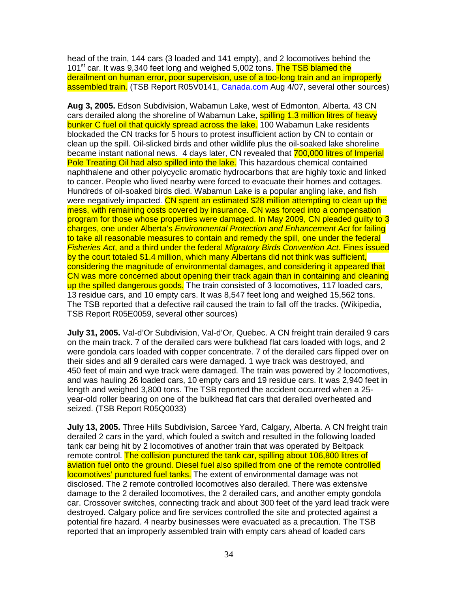head of the train, 144 cars (3 loaded and 141 empty), and 2 locomotives behind the 101<sup>st</sup> car. It was 9,340 feet long and weighed 5,002 tons. The TSB blamed the derailment on human error, poor supervision, use of a too-long train and an improperly assembled train. (TSB Report R05V0141, Canada.com Aug 4/07, several other sources)

**Aug 3, 2005.** Edson Subdivision, Wabamun Lake, west of Edmonton, Alberta. 43 CN cars derailed along the shoreline of Wabamun Lake, spilling 1.3 million litres of heavy bunker C fuel oil that quickly spread across the lake. 100 Wabamun Lake residents blockaded the CN tracks for 5 hours to protest insufficient action by CN to contain or clean up the spill. Oil-slicked birds and other wildlife plus the oil-soaked lake shoreline became instant national news. 4 days later, CN revealed that 700,000 litres of Imperial Pole Treating Oil had also spilled into the lake. This hazardous chemical contained naphthalene and other polycyclic aromatic hydrocarbons that are highly toxic and linked to cancer. People who lived nearby were forced to evacuate their homes and cottages. Hundreds of oil-soaked birds died. Wabamun Lake is a popular angling lake, and fish were negatively impacted. CN spent an estimated \$28 million attempting to clean up the mess, with remaining costs covered by insurance. CN was forced into a compensation program for those whose properties were damaged. In May 2009, CN pleaded guilty to 3 charges, one under Alberta's Environmental Protection and Enhancement Act for failing to take all reasonable measures to contain and remedy the spill, one under the federal Fisheries Act, and a third under the federal Migratory Birds Convention Act. Fines issued by the court totaled \$1.4 million, which many Albertans did not think was sufficient, considering the magnitude of environmental damages, and considering it appeared that CN was more concerned about opening their track again than in containing and cleaning up the spilled dangerous goods. The train consisted of 3 locomotives, 117 loaded cars, 13 residue cars, and 10 empty cars. It was 8,547 feet long and weighed 15,562 tons. The TSB reported that a defective rail caused the train to fall off the tracks. (Wikipedia, TSB Report R05E0059, several other sources)

**July 31, 2005.** Val-d'Or Subdivision, Val-d'Or, Quebec. A CN freight train derailed 9 cars on the main track. 7 of the derailed cars were bulkhead flat cars loaded with logs, and 2 were gondola cars loaded with copper concentrate. 7 of the derailed cars flipped over on their sides and all 9 derailed cars were damaged. 1 wye track was destroyed, and 450 feet of main and wye track were damaged. The train was powered by 2 locomotives, and was hauling 26 loaded cars, 10 empty cars and 19 residue cars. It was 2,940 feet in length and weighed 3,800 tons. The TSB reported the accident occurred when a 25 year-old roller bearing on one of the bulkhead flat cars that derailed overheated and seized. (TSB Report R05Q0033)

**July 13, 2005.** Three Hills Subdivision, Sarcee Yard, Calgary, Alberta. A CN freight train derailed 2 cars in the yard, which fouled a switch and resulted in the following loaded tank car being hit by 2 locomotives of another train that was operated by Beltpack remote control. The collision punctured the tank car, spilling about 106,800 litres of aviation fuel onto the ground. Diesel fuel also spilled from one of the remote controlled locomotives' punctured fuel tanks. The extent of environmental damage was not disclosed. The 2 remote controlled locomotives also derailed. There was extensive damage to the 2 derailed locomotives, the 2 derailed cars, and another empty gondola car. Crossover switches, connecting track and about 300 feet of the yard lead track were destroyed. Calgary police and fire services controlled the site and protected against a potential fire hazard. 4 nearby businesses were evacuated as a precaution. The TSB reported that an improperly assembled train with empty cars ahead of loaded cars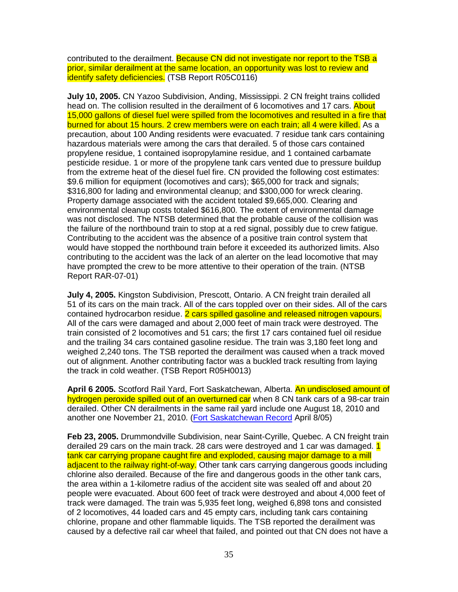contributed to the derailment. Because CN did not investigate nor report to the TSB a prior, similar derailment at the same location, an opportunity was lost to review and identify safety deficiencies. (TSB Report R05C0116)

**July 10, 2005.** CN Yazoo Subdivision, Anding, Mississippi. 2 CN freight trains collided head on. The collision resulted in the derailment of 6 locomotives and 17 cars. About 15,000 gallons of diesel fuel were spilled from the locomotives and resulted in a fire that burned for about 15 hours. 2 crew members were on each train; all 4 were killed. As a precaution, about 100 Anding residents were evacuated. 7 residue tank cars containing hazardous materials were among the cars that derailed. 5 of those cars contained propylene residue, 1 contained isopropylamine residue, and 1 contained carbamate pesticide residue. 1 or more of the propylene tank cars vented due to pressure buildup from the extreme heat of the diesel fuel fire. CN provided the following cost estimates: \$9.6 million for equipment (locomotives and cars); \$65,000 for track and signals; \$316,800 for lading and environmental cleanup; and \$300,000 for wreck clearing. Property damage associated with the accident totaled \$9,665,000. Clearing and environmental cleanup costs totaled \$616,800. The extent of environmental damage was not disclosed. The NTSB determined that the probable cause of the collision was the failure of the northbound train to stop at a red signal, possibly due to crew fatigue. Contributing to the accident was the absence of a positive train control system that would have stopped the northbound train before it exceeded its authorized limits. Also contributing to the accident was the lack of an alerter on the lead locomotive that may have prompted the crew to be more attentive to their operation of the train. (NTSB Report RAR-07-01)

**July 4, 2005.** Kingston Subdivision, Prescott, Ontario. A CN freight train derailed all 51 of its cars on the main track. All of the cars toppled over on their sides. All of the cars contained hydrocarbon residue. 2 cars spilled gasoline and released nitrogen vapours. All of the cars were damaged and about 2,000 feet of main track were destroyed. The train consisted of 2 locomotives and 51 cars; the first 17 cars contained fuel oil residue and the trailing 34 cars contained gasoline residue. The train was 3,180 feet long and weighed 2,240 tons. The TSB reported the derailment was caused when a track moved out of alignment. Another contributing factor was a buckled track resulting from laying the track in cold weather. (TSB Report R05H0013)

**April 6 2005.** Scotford Rail Yard, Fort Saskatchewan, Alberta. An undisclosed amount of hydrogen peroxide spilled out of an overturned car when 8 CN tank cars of a 98-car train derailed. Other CN derailments in the same rail yard include one August 18, 2010 and another one November 21, 2010. (Fort Saskatchewan Record April 8/05)

**Feb 23, 2005.** Drummondville Subdivision, near Saint-Cyrille, Quebec. A CN freight train derailed 29 cars on the main track. 28 cars were destroyed and 1 car was damaged. 1 tank car carrying propane caught fire and exploded, causing major damage to a mill adjacent to the railway right-of-way. Other tank cars carrying dangerous goods including chlorine also derailed. Because of the fire and dangerous goods in the other tank cars, the area within a 1-kilometre radius of the accident site was sealed off and about 20 people were evacuated. About 600 feet of track were destroyed and about 4,000 feet of track were damaged. The train was 5,935 feet long, weighed 6,898 tons and consisted of 2 locomotives, 44 loaded cars and 45 empty cars, including tank cars containing chlorine, propane and other flammable liquids. The TSB reported the derailment was caused by a defective rail car wheel that failed, and pointed out that CN does not have a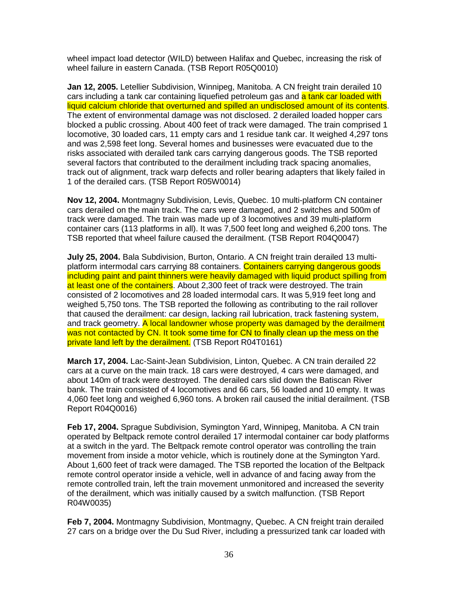wheel impact load detector (WILD) between Halifax and Quebec, increasing the risk of wheel failure in eastern Canada. (TSB Report R05Q0010)

**Jan 12, 2005.** Letellier Subdivision, Winnipeg, Manitoba. A CN freight train derailed 10 cars including a tank car containing liquefied petroleum gas and a tank car loaded with liquid calcium chloride that overturned and spilled an undisclosed amount of its contents. The extent of environmental damage was not disclosed. 2 derailed loaded hopper cars blocked a public crossing. About 400 feet of track were damaged. The train comprised 1 locomotive, 30 loaded cars, 11 empty cars and 1 residue tank car. It weighed 4,297 tons and was 2,598 feet long. Several homes and businesses were evacuated due to the risks associated with derailed tank cars carrying dangerous goods. The TSB reported several factors that contributed to the derailment including track spacing anomalies, track out of alignment, track warp defects and roller bearing adapters that likely failed in 1 of the derailed cars. (TSB Report R05W0014)

**Nov 12, 2004.** Montmagny Subdivision, Levis, Quebec. 10 multi-platform CN container cars derailed on the main track. The cars were damaged, and 2 switches and 500m of track were damaged. The train was made up of 3 locomotives and 39 multi-platform container cars (113 platforms in all). It was 7,500 feet long and weighed 6,200 tons. The TSB reported that wheel failure caused the derailment. (TSB Report R04Q0047)

**July 25, 2004.** Bala Subdivision, Burton, Ontario. A CN freight train derailed 13 multiplatform intermodal cars carrying 88 containers. Containers carrying dangerous goods including paint and paint thinners were heavily damaged with liquid product spilling from at least one of the containers. About 2,300 feet of track were destroyed. The train consisted of 2 locomotives and 28 loaded intermodal cars. It was 5,919 feet long and weighed 5,750 tons. The TSB reported the following as contributing to the rail rollover that caused the derailment: car design, lacking rail lubrication, track fastening system, and track geometry. A local landowner whose property was damaged by the derailment was not contacted by CN. It took some time for CN to finally clean up the mess on the private land left by the derailment. (TSB Report R04T0161)

**March 17, 2004.** Lac-Saint-Jean Subdivision, Linton, Quebec. A CN train derailed 22 cars at a curve on the main track. 18 cars were destroyed, 4 cars were damaged, and about 140m of track were destroyed. The derailed cars slid down the Batiscan River bank. The train consisted of 4 locomotives and 66 cars, 56 loaded and 10 empty. It was 4,060 feet long and weighed 6,960 tons. A broken rail caused the initial derailment. (TSB Report R04Q0016)

**Feb 17, 2004.** Sprague Subdivision, Symington Yard, Winnipeg, Manitoba. A CN train operated by Beltpack remote control derailed 17 intermodal container car body platforms at a switch in the yard. The Beltpack remote control operator was controlling the train movement from inside a motor vehicle, which is routinely done at the Symington Yard. About 1,600 feet of track were damaged. The TSB reported the location of the Beltpack remote control operator inside a vehicle, well in advance of and facing away from the remote controlled train, left the train movement unmonitored and increased the severity of the derailment, which was initially caused by a switch malfunction. (TSB Report R04W0035)

**Feb 7, 2004.** Montmagny Subdivision, Montmagny, Quebec. A CN freight train derailed 27 cars on a bridge over the Du Sud River, including a pressurized tank car loaded with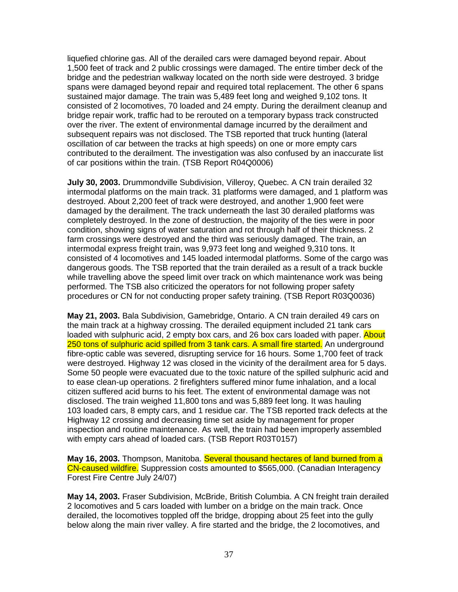liquefied chlorine gas. All of the derailed cars were damaged beyond repair. About 1,500 feet of track and 2 public crossings were damaged. The entire timber deck of the bridge and the pedestrian walkway located on the north side were destroyed. 3 bridge spans were damaged beyond repair and required total replacement. The other 6 spans sustained major damage. The train was 5,489 feet long and weighed 9,102 tons. It consisted of 2 locomotives, 70 loaded and 24 empty. During the derailment cleanup and bridge repair work, traffic had to be rerouted on a temporary bypass track constructed over the river. The extent of environmental damage incurred by the derailment and subsequent repairs was not disclosed. The TSB reported that truck hunting (lateral oscillation of car between the tracks at high speeds) on one or more empty cars contributed to the derailment. The investigation was also confused by an inaccurate list of car positions within the train. (TSB Report R04Q0006)

**July 30, 2003.** Drummondville Subdivision, Villeroy, Quebec. A CN train derailed 32 intermodal platforms on the main track. 31 platforms were damaged, and 1 platform was destroyed. About 2,200 feet of track were destroyed, and another 1,900 feet were damaged by the derailment. The track underneath the last 30 derailed platforms was completely destroyed. In the zone of destruction, the majority of the ties were in poor condition, showing signs of water saturation and rot through half of their thickness. 2 farm crossings were destroyed and the third was seriously damaged. The train, an intermodal express freight train, was 9,973 feet long and weighed 9,310 tons. It consisted of 4 locomotives and 145 loaded intermodal platforms. Some of the cargo was dangerous goods. The TSB reported that the train derailed as a result of a track buckle while travelling above the speed limit over track on which maintenance work was being performed. The TSB also criticized the operators for not following proper safety procedures or CN for not conducting proper safety training. (TSB Report R03Q0036)

**May 21, 2003.** Bala Subdivision, Gamebridge, Ontario. A CN train derailed 49 cars on the main track at a highway crossing. The derailed equipment included 21 tank cars loaded with sulphuric acid, 2 empty box cars, and 26 box cars loaded with paper. About 250 tons of sulphuric acid spilled from 3 tank cars. A small fire started. An underground fibre-optic cable was severed, disrupting service for 16 hours. Some 1,700 feet of track were destroyed. Highway 12 was closed in the vicinity of the derailment area for 5 days. Some 50 people were evacuated due to the toxic nature of the spilled sulphuric acid and to ease clean-up operations. 2 firefighters suffered minor fume inhalation, and a local citizen suffered acid burns to his feet. The extent of environmental damage was not disclosed. The train weighed 11,800 tons and was 5,889 feet long. It was hauling 103 loaded cars, 8 empty cars, and 1 residue car. The TSB reported track defects at the Highway 12 crossing and decreasing time set aside by management for proper inspection and routine maintenance. As well, the train had been improperly assembled with empty cars ahead of loaded cars. (TSB Report R03T0157)

**May 16, 2003.** Thompson, Manitoba. Several thousand hectares of land burned from a CN-caused wildfire. Suppression costs amounted to \$565,000. (Canadian Interagency Forest Fire Centre July 24/07)

**May 14, 2003.** Fraser Subdivision, McBride, British Columbia. A CN freight train derailed 2 locomotives and 5 cars loaded with lumber on a bridge on the main track. Once derailed, the locomotives toppled off the bridge, dropping about 25 feet into the gully below along the main river valley. A fire started and the bridge, the 2 locomotives, and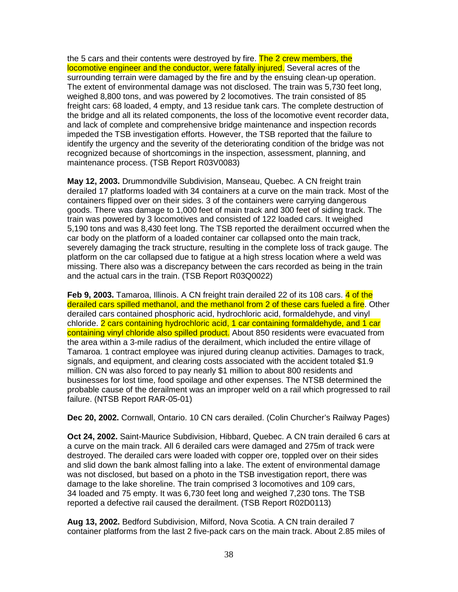the 5 cars and their contents were destroyed by fire. The 2 crew members, the locomotive engineer and the conductor, were fatally injured. Several acres of the surrounding terrain were damaged by the fire and by the ensuing clean-up operation. The extent of environmental damage was not disclosed. The train was 5,730 feet long, weighed 8,800 tons, and was powered by 2 locomotives. The train consisted of 85 freight cars: 68 loaded, 4 empty, and 13 residue tank cars. The complete destruction of the bridge and all its related components, the loss of the locomotive event recorder data, and lack of complete and comprehensive bridge maintenance and inspection records impeded the TSB investigation efforts. However, the TSB reported that the failure to identify the urgency and the severity of the deteriorating condition of the bridge was not recognized because of shortcomings in the inspection, assessment, planning, and maintenance process. (TSB Report R03V0083)

**May 12, 2003.** Drummondville Subdivision, Manseau, Quebec. A CN freight train derailed 17 platforms loaded with 34 containers at a curve on the main track. Most of the containers flipped over on their sides. 3 of the containers were carrying dangerous goods. There was damage to 1,000 feet of main track and 300 feet of siding track. The train was powered by 3 locomotives and consisted of 122 loaded cars. It weighed 5,190 tons and was 8,430 feet long. The TSB reported the derailment occurred when the car body on the platform of a loaded container car collapsed onto the main track, severely damaging the track structure, resulting in the complete loss of track gauge. The platform on the car collapsed due to fatigue at a high stress location where a weld was missing. There also was a discrepancy between the cars recorded as being in the train and the actual cars in the train. (TSB Report R03Q0022)

**Feb 9, 2003.** Tamaroa, Illinois. A CN freight train derailed 22 of its 108 cars. 4 of the derailed cars spilled methanol, and the methanol from 2 of these cars fueled a fire. Other derailed cars contained phosphoric acid, hydrochloric acid, formaldehyde, and vinyl chloride. 2 cars containing hydrochloric acid, 1 car containing formaldehyde, and 1 car containing vinyl chloride also spilled product. About 850 residents were evacuated from the area within a 3-mile radius of the derailment, which included the entire village of Tamaroa. 1 contract employee was injured during cleanup activities. Damages to track, signals, and equipment, and clearing costs associated with the accident totaled \$1.9 million. CN was also forced to pay nearly \$1 million to about 800 residents and businesses for lost time, food spoilage and other expenses. The NTSB determined the probable cause of the derailment was an improper weld on a rail which progressed to rail failure. (NTSB Report RAR-05-01)

**Dec 20, 2002.** Cornwall, Ontario. 10 CN cars derailed. (Colin Churcher's Railway Pages)

**Oct 24, 2002.** Saint-Maurice Subdivision, Hibbard, Quebec. A CN train derailed 6 cars at a curve on the main track. All 6 derailed cars were damaged and 275m of track were destroyed. The derailed cars were loaded with copper ore, toppled over on their sides and slid down the bank almost falling into a lake. The extent of environmental damage was not disclosed, but based on a photo in the TSB investigation report, there was damage to the lake shoreline. The train comprised 3 locomotives and 109 cars, 34 loaded and 75 empty. It was 6,730 feet long and weighed 7,230 tons. The TSB reported a defective rail caused the derailment. (TSB Report R02D0113)

**Aug 13, 2002.** Bedford Subdivision, Milford, Nova Scotia. A CN train derailed 7 container platforms from the last 2 five-pack cars on the main track. About 2.85 miles of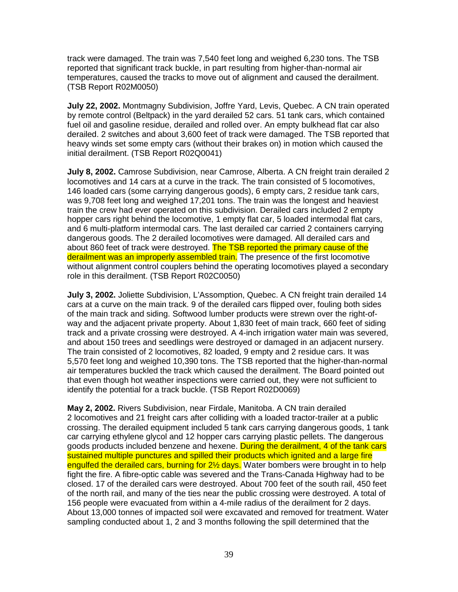track were damaged. The train was 7,540 feet long and weighed 6,230 tons. The TSB reported that significant track buckle, in part resulting from higher-than-normal air temperatures, caused the tracks to move out of alignment and caused the derailment. (TSB Report R02M0050)

**July 22, 2002.** Montmagny Subdivision, Joffre Yard, Levis, Quebec. A CN train operated by remote control (Beltpack) in the yard derailed 52 cars. 51 tank cars, which contained fuel oil and gasoline residue, derailed and rolled over. An empty bulkhead flat car also derailed. 2 switches and about 3,600 feet of track were damaged. The TSB reported that heavy winds set some empty cars (without their brakes on) in motion which caused the initial derailment. (TSB Report R02Q0041)

**July 8, 2002.** Camrose Subdivision, near Camrose, Alberta. A CN freight train derailed 2 locomotives and 14 cars at a curve in the track. The train consisted of 5 locomotives, 146 loaded cars (some carrying dangerous goods), 6 empty cars, 2 residue tank cars, was 9,708 feet long and weighed 17,201 tons. The train was the longest and heaviest train the crew had ever operated on this subdivision. Derailed cars included 2 empty hopper cars right behind the locomotive, 1 empty flat car, 5 loaded intermodal flat cars, and 6 multi-platform intermodal cars. The last derailed car carried 2 containers carrying dangerous goods. The 2 derailed locomotives were damaged. All derailed cars and about 860 feet of track were destroyed. The TSB reported the primary cause of the derailment was an improperly assembled train. The presence of the first locomotive without alignment control couplers behind the operating locomotives played a secondary role in this derailment. (TSB Report R02C0050)

**July 3, 2002.** Joliette Subdivision, L'Assomption, Quebec. A CN freight train derailed 14 cars at a curve on the main track. 9 of the derailed cars flipped over, fouling both sides of the main track and siding. Softwood lumber products were strewn over the right-ofway and the adjacent private property. About 1,830 feet of main track, 660 feet of siding track and a private crossing were destroyed. A 4-inch irrigation water main was severed, and about 150 trees and seedlings were destroyed or damaged in an adjacent nursery. The train consisted of 2 locomotives, 82 loaded, 9 empty and 2 residue cars. It was 5,570 feet long and weighed 10,390 tons. The TSB reported that the higher-than-normal air temperatures buckled the track which caused the derailment. The Board pointed out that even though hot weather inspections were carried out, they were not sufficient to identify the potential for a track buckle. (TSB Report R02D0069)

**May 2, 2002.** Rivers Subdivision, near Firdale, Manitoba. A CN train derailed 2 locomotives and 21 freight cars after colliding with a loaded tractor-trailer at a public crossing. The derailed equipment included 5 tank cars carrying dangerous goods, 1 tank car carrying ethylene glycol and 12 hopper cars carrying plastic pellets. The dangerous goods products included benzene and hexene. During the derailment, 4 of the tank cars sustained multiple punctures and spilled their products which ignited and a large fire engulfed the derailed cars, burning for 2<sup>1/2</sup> days. Water bombers were brought in to help fight the fire. A fibre-optic cable was severed and the Trans-Canada Highway had to be closed. 17 of the derailed cars were destroyed. About 700 feet of the south rail, 450 feet of the north rail, and many of the ties near the public crossing were destroyed. A total of 156 people were evacuated from within a 4-mile radius of the derailment for 2 days. About 13,000 tonnes of impacted soil were excavated and removed for treatment. Water sampling conducted about 1, 2 and 3 months following the spill determined that the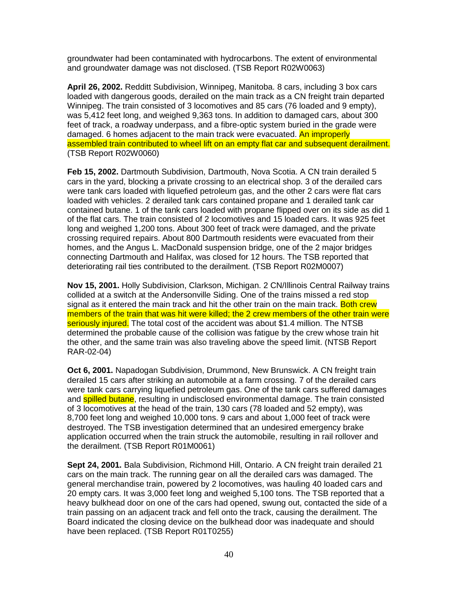groundwater had been contaminated with hydrocarbons. The extent of environmental and groundwater damage was not disclosed. (TSB Report R02W0063)

**April 26, 2002.** Redditt Subdivision, Winnipeg, Manitoba. 8 cars, including 3 box cars loaded with dangerous goods, derailed on the main track as a CN freight train departed Winnipeg. The train consisted of 3 locomotives and 85 cars (76 loaded and 9 empty), was 5,412 feet long, and weighed 9,363 tons. In addition to damaged cars, about 300 feet of track, a roadway underpass, and a fibre-optic system buried in the grade were damaged. 6 homes adjacent to the main track were evacuated. An improperly assembled train contributed to wheel lift on an empty flat car and subsequent derailment. (TSB Report R02W0060)

**Feb 15, 2002.** Dartmouth Subdivision, Dartmouth, Nova Scotia. A CN train derailed 5 cars in the yard, blocking a private crossing to an electrical shop. 3 of the derailed cars were tank cars loaded with liquefied petroleum gas, and the other 2 cars were flat cars loaded with vehicles. 2 derailed tank cars contained propane and 1 derailed tank car contained butane. 1 of the tank cars loaded with propane flipped over on its side as did 1 of the flat cars. The train consisted of 2 locomotives and 15 loaded cars. It was 925 feet long and weighed 1,200 tons. About 300 feet of track were damaged, and the private crossing required repairs. About 800 Dartmouth residents were evacuated from their homes, and the Angus L. MacDonald suspension bridge, one of the 2 major bridges connecting Dartmouth and Halifax, was closed for 12 hours. The TSB reported that deteriorating rail ties contributed to the derailment. (TSB Report R02M0007)

**Nov 15, 2001.** Holly Subdivision, Clarkson, Michigan. 2 CN/Illinois Central Railway trains collided at a switch at the Andersonville Siding. One of the trains missed a red stop signal as it entered the main track and hit the other train on the main track. Both crew members of the train that was hit were killed; the 2 crew members of the other train were seriously injured. The total cost of the accident was about \$1.4 million. The NTSB determined the probable cause of the collision was fatigue by the crew whose train hit the other, and the same train was also traveling above the speed limit. (NTSB Report RAR-02-04)

**Oct 6, 2001.** Napadogan Subdivision, Drummond, New Brunswick. A CN freight train derailed 15 cars after striking an automobile at a farm crossing. 7 of the derailed cars were tank cars carrying liquefied petroleum gas. One of the tank cars suffered damages and **spilled butane**, resulting in undisclosed environmental damage. The train consisted of 3 locomotives at the head of the train, 130 cars (78 loaded and 52 empty), was 8,700 feet long and weighed 10,000 tons. 9 cars and about 1,000 feet of track were destroyed. The TSB investigation determined that an undesired emergency brake application occurred when the train struck the automobile, resulting in rail rollover and the derailment. (TSB Report R01M0061)

**Sept 24, 2001.** Bala Subdivision, Richmond Hill, Ontario. A CN freight train derailed 21 cars on the main track. The running gear on all the derailed cars was damaged. The general merchandise train, powered by 2 locomotives, was hauling 40 loaded cars and 20 empty cars. It was 3,000 feet long and weighed 5,100 tons. The TSB reported that a heavy bulkhead door on one of the cars had opened, swung out, contacted the side of a train passing on an adjacent track and fell onto the track, causing the derailment. The Board indicated the closing device on the bulkhead door was inadequate and should have been replaced. (TSB Report R01T0255)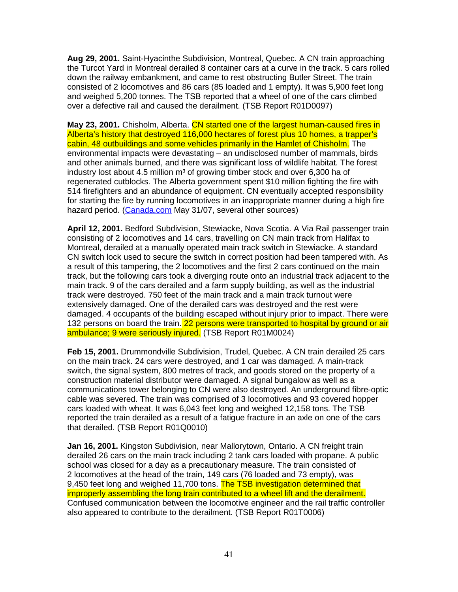**Aug 29, 2001.** Saint-Hyacinthe Subdivision, Montreal, Quebec. A CN train approaching the Turcot Yard in Montreal derailed 8 container cars at a curve in the track. 5 cars rolled down the railway embankment, and came to rest obstructing Butler Street. The train consisted of 2 locomotives and 86 cars (85 loaded and 1 empty). It was 5,900 feet long and weighed 5,200 tonnes. The TSB reported that a wheel of one of the cars climbed over a defective rail and caused the derailment. (TSB Report R01D0097)

**May 23, 2001.** Chisholm, Alberta. CN started one of the largest human-caused fires in Alberta's history that destroyed 116,000 hectares of forest plus 10 homes, a trapper's cabin, 48 outbuildings and some vehicles primarily in the Hamlet of Chisholm. The environmental impacts were devastating – an undisclosed number of mammals, birds and other animals burned, and there was significant loss of wildlife habitat. The forest industry lost about 4.5 million  $m<sup>3</sup>$  of growing timber stock and over 6,300 ha of regenerated cutblocks. The Alberta government spent \$10 million fighting the fire with 514 firefighters and an abundance of equipment. CN eventually accepted responsibility for starting the fire by running locomotives in an inappropriate manner during a high fire hazard period. (Canada.com May 31/07, several other sources)

**April 12, 2001.** Bedford Subdivision, Stewiacke, Nova Scotia. A Via Rail passenger train consisting of 2 locomotives and 14 cars, travelling on CN main track from Halifax to Montreal, derailed at a manually operated main track switch in Stewiacke. A standard CN switch lock used to secure the switch in correct position had been tampered with. As a result of this tampering, the 2 locomotives and the first 2 cars continued on the main track, but the following cars took a diverging route onto an industrial track adjacent to the main track. 9 of the cars derailed and a farm supply building, as well as the industrial track were destroyed. 750 feet of the main track and a main track turnout were extensively damaged. One of the derailed cars was destroyed and the rest were damaged. 4 occupants of the building escaped without injury prior to impact. There were 132 persons on board the train. 22 persons were transported to hospital by ground or air ambulance; 9 were seriously injured. (TSB Report R01M0024)

**Feb 15, 2001.** Drummondville Subdivision, Trudel, Quebec. A CN train derailed 25 cars on the main track. 24 cars were destroyed, and 1 car was damaged. A main-track switch, the signal system, 800 metres of track, and goods stored on the property of a construction material distributor were damaged. A signal bungalow as well as a communications tower belonging to CN were also destroyed. An underground fibre-optic cable was severed. The train was comprised of 3 locomotives and 93 covered hopper cars loaded with wheat. It was 6,043 feet long and weighed 12,158 tons. The TSB reported the train derailed as a result of a fatigue fracture in an axle on one of the cars that derailed. (TSB Report R01Q0010)

**Jan 16, 2001.** Kingston Subdivision, near Mallorytown, Ontario. A CN freight train derailed 26 cars on the main track including 2 tank cars loaded with propane. A public school was closed for a day as a precautionary measure. The train consisted of 2 locomotives at the head of the train, 149 cars (76 loaded and 73 empty), was 9,450 feet long and weighed 11,700 tons. The TSB investigation determined that improperly assembling the long train contributed to a wheel lift and the derailment. Confused communication between the locomotive engineer and the rail traffic controller also appeared to contribute to the derailment. (TSB Report R01T0006)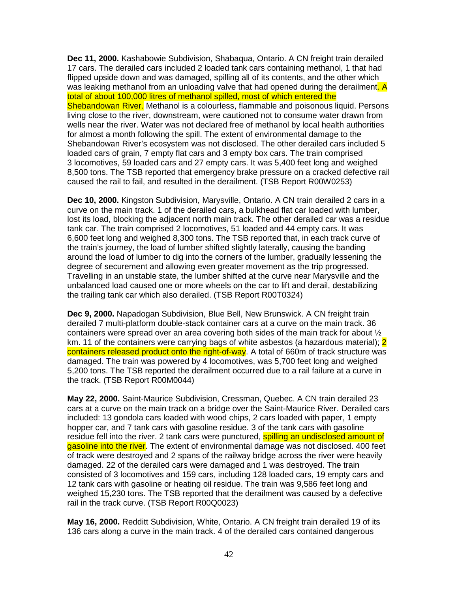**Dec 11, 2000.** Kashabowie Subdivision, Shabaqua, Ontario. A CN freight train derailed 17 cars. The derailed cars included 2 loaded tank cars containing methanol, 1 that had flipped upside down and was damaged, spilling all of its contents, and the other which was leaking methanol from an unloading valve that had opened during the derailment. A total of about 100,000 litres of methanol spilled, most of which entered the Shebandowan River. Methanol is a colourless, flammable and poisonous liquid. Persons living close to the river, downstream, were cautioned not to consume water drawn from wells near the river. Water was not declared free of methanol by local health authorities for almost a month following the spill. The extent of environmental damage to the Shebandowan River's ecosystem was not disclosed. The other derailed cars included 5 loaded cars of grain, 7 empty flat cars and 3 empty box cars. The train comprised 3 locomotives, 59 loaded cars and 27 empty cars. It was 5,400 feet long and weighed 8,500 tons. The TSB reported that emergency brake pressure on a cracked defective rail caused the rail to fail, and resulted in the derailment. (TSB Report R00W0253)

**Dec 10, 2000.** Kingston Subdivision, Marysville, Ontario. A CN train derailed 2 cars in a curve on the main track. 1 of the derailed cars, a bulkhead flat car loaded with lumber, lost its load, blocking the adjacent north main track. The other derailed car was a residue tank car. The train comprised 2 locomotives, 51 loaded and 44 empty cars. It was 6,600 feet long and weighed 8,300 tons. The TSB reported that, in each track curve of the train's journey, the load of lumber shifted slightly laterally, causing the banding around the load of lumber to dig into the corners of the lumber, gradually lessening the degree of securement and allowing even greater movement as the trip progressed. Travelling in an unstable state, the lumber shifted at the curve near Marysville and the unbalanced load caused one or more wheels on the car to lift and derail, destabilizing the trailing tank car which also derailed. (TSB Report R00T0324)

**Dec 9, 2000.** Napadogan Subdivision, Blue Bell, New Brunswick. A CN freight train derailed 7 multi-platform double-stack container cars at a curve on the main track. 36 containers were spread over an area covering both sides of the main track for about ½ km. 11 of the containers were carrying bags of white asbestos (a hazardous material); 2 containers released product onto the right-of-way. A total of 660m of track structure was damaged. The train was powered by 4 locomotives, was 5,700 feet long and weighed 5,200 tons. The TSB reported the derailment occurred due to a rail failure at a curve in the track. (TSB Report R00M0044)

**May 22, 2000.** Saint-Maurice Subdivision, Cressman, Quebec. A CN train derailed 23 cars at a curve on the main track on a bridge over the Saint-Maurice River. Derailed cars included: 13 gondola cars loaded with wood chips, 2 cars loaded with paper, 1 empty hopper car, and 7 tank cars with gasoline residue. 3 of the tank cars with gasoline residue fell into the river. 2 tank cars were punctured, spilling an undisclosed amount of gasoline into the river. The extent of environmental damage was not disclosed. 400 feet of track were destroyed and 2 spans of the railway bridge across the river were heavily damaged. 22 of the derailed cars were damaged and 1 was destroyed. The train consisted of 3 locomotives and 159 cars, including 128 loaded cars, 19 empty cars and 12 tank cars with gasoline or heating oil residue. The train was 9,586 feet long and weighed 15,230 tons. The TSB reported that the derailment was caused by a defective rail in the track curve. (TSB Report R00Q0023)

**May 16, 2000.** Redditt Subdivision, White, Ontario. A CN freight train derailed 19 of its 136 cars along a curve in the main track. 4 of the derailed cars contained dangerous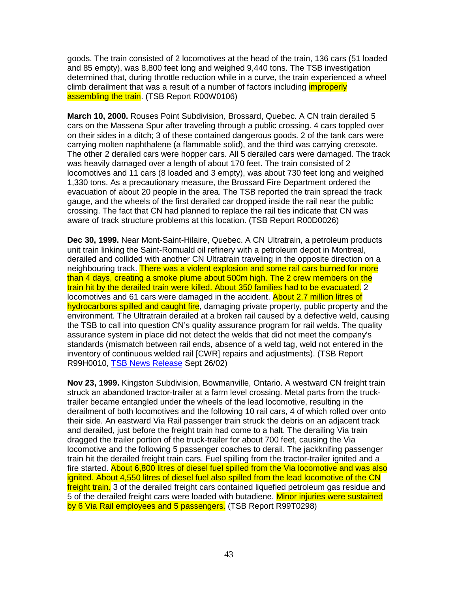goods. The train consisted of 2 locomotives at the head of the train, 136 cars (51 loaded and 85 empty), was 8,800 feet long and weighed 9,440 tons. The TSB investigation determined that, during throttle reduction while in a curve, the train experienced a wheel climb derailment that was a result of a number of factors including *improperly* assembling the train. (TSB Report R00W0106)

**March 10, 2000.** Rouses Point Subdivision, Brossard, Quebec. A CN train derailed 5 cars on the Massena Spur after traveling through a public crossing. 4 cars toppled over on their sides in a ditch; 3 of these contained dangerous goods. 2 of the tank cars were carrying molten naphthalene (a flammable solid), and the third was carrying creosote. The other 2 derailed cars were hopper cars. All 5 derailed cars were damaged. The track was heavily damaged over a length of about 170 feet. The train consisted of 2 locomotives and 11 cars (8 loaded and 3 empty), was about 730 feet long and weighed 1,330 tons. As a precautionary measure, the Brossard Fire Department ordered the evacuation of about 20 people in the area. The TSB reported the train spread the track gauge, and the wheels of the first derailed car dropped inside the rail near the public crossing. The fact that CN had planned to replace the rail ties indicate that CN was aware of track structure problems at this location. (TSB Report R00D0026)

**Dec 30, 1999.** Near Mont-Saint-Hilaire, Quebec. A CN Ultratrain, a petroleum products unit train linking the Saint-Romuald oil refinery with a petroleum depot in Montreal, derailed and collided with another CN Ultratrain traveling in the opposite direction on a neighbouring track. There was a violent explosion and some rail cars burned for more than 4 days, creating a smoke plume about 500m high. The 2 crew members on the train hit by the derailed train were killed. About 350 families had to be evacuated. 2 locomotives and 61 cars were damaged in the accident. About 2.7 million litres of hydrocarbons spilled and caught fire, damaging private property, public property and the environment. The Ultratrain derailed at a broken rail caused by a defective weld, causing the TSB to call into question CN's quality assurance program for rail welds. The quality assurance system in place did not detect the welds that did not meet the company's standards (mismatch between rail ends, absence of a weld tag, weld not entered in the inventory of continuous welded rail [CWR] repairs and adjustments). (TSB Report R99H0010, TSB News Release Sept 26/02)

**Nov 23, 1999.** Kingston Subdivision, Bowmanville, Ontario. A westward CN freight train struck an abandoned tractor-trailer at a farm level crossing. Metal parts from the trucktrailer became entangled under the wheels of the lead locomotive, resulting in the derailment of both locomotives and the following 10 rail cars, 4 of which rolled over onto their side. An eastward Via Rail passenger train struck the debris on an adjacent track and derailed, just before the freight train had come to a halt. The derailing Via train dragged the trailer portion of the truck-trailer for about 700 feet, causing the Via locomotive and the following 5 passenger coaches to derail. The jackknifing passenger train hit the derailed freight train cars. Fuel spilling from the tractor-trailer ignited and a fire started. About 6,800 litres of diesel fuel spilled from the Via locomotive and was also ignited. About 4,550 litres of diesel fuel also spilled from the lead locomotive of the CN freight train. 3 of the derailed freight cars contained liquefied petroleum gas residue and 5 of the derailed freight cars were loaded with butadiene. Minor injuries were sustained by 6 Via Rail employees and 5 passengers. (TSB Report R99T0298)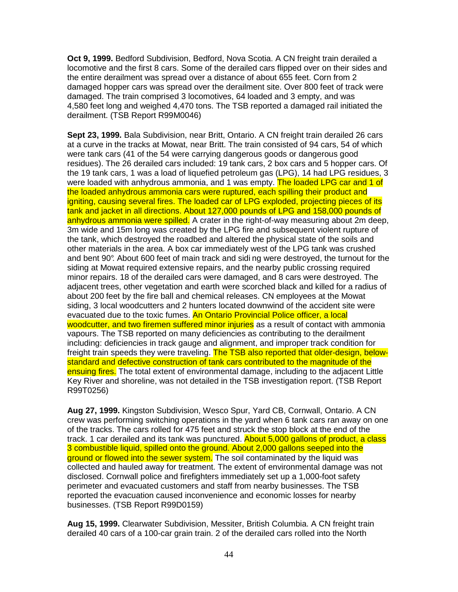**Oct 9, 1999.** Bedford Subdivision, Bedford, Nova Scotia. A CN freight train derailed a locomotive and the first 8 cars. Some of the derailed cars flipped over on their sides and the entire derailment was spread over a distance of about 655 feet. Corn from 2 damaged hopper cars was spread over the derailment site. Over 800 feet of track were damaged. The train comprised 3 locomotives, 64 loaded and 3 empty, and was 4,580 feet long and weighed 4,470 tons. The TSB reported a damaged rail initiated the derailment. (TSB Report R99M0046)

**Sept 23, 1999.** Bala Subdivision, near Britt, Ontario. A CN freight train derailed 26 cars at a curve in the tracks at Mowat, near Britt. The train consisted of 94 cars, 54 of which were tank cars (41 of the 54 were carrying dangerous goods or dangerous good residues). The 26 derailed cars included: 19 tank cars, 2 box cars and 5 hopper cars. Of the 19 tank cars, 1 was a load of liquefied petroleum gas (LPG), 14 had LPG residues, 3 were loaded with anhydrous ammonia, and 1 was empty. The loaded LPG car and 1 of the loaded anhydrous ammonia cars were ruptured, each spilling their product and igniting, causing several fires. The loaded car of LPG exploded, projecting pieces of its tank and jacket in all directions. About 127,000 pounds of LPG and 158,000 pounds of anhydrous ammonia were spilled. A crater in the right-of-way measuring about 2m deep, 3m wide and 15m long was created by the LPG fire and subsequent violent rupture of the tank, which destroyed the roadbed and altered the physical state of the soils and other materials in the area. A box car immediately west of the LPG tank was crushed and bent 90°. About 600 feet of main track and sidi ng were destroyed, the turnout for the siding at Mowat required extensive repairs, and the nearby public crossing required minor repairs. 18 of the derailed cars were damaged, and 8 cars were destroyed. The adjacent trees, other vegetation and earth were scorched black and killed for a radius of about 200 feet by the fire ball and chemical releases. CN employees at the Mowat siding, 3 local woodcutters and 2 hunters located downwind of the accident site were evacuated due to the toxic fumes. An Ontario Provincial Police officer, a local woodcutter, and two firemen suffered minor injuries as a result of contact with ammonia vapours. The TSB reported on many deficiencies as contributing to the derailment including: deficiencies in track gauge and alignment, and improper track condition for freight train speeds they were traveling. The TSB also reported that older-design, belowstandard and defective construction of tank cars contributed to the magnitude of the ensuing fires. The total extent of environmental damage, including to the adjacent Little Key River and shoreline, was not detailed in the TSB investigation report. (TSB Report R99T0256)

**Aug 27, 1999.** Kingston Subdivision, Wesco Spur, Yard CB, Cornwall, Ontario. A CN crew was performing switching operations in the yard when 6 tank cars ran away on one of the tracks. The cars rolled for 475 feet and struck the stop block at the end of the track. 1 car derailed and its tank was punctured. About 5,000 gallons of product, a class 3 combustible liquid, spilled onto the ground. About 2,000 gallons seeped into the ground or flowed into the sewer system. The soil contaminated by the liquid was collected and hauled away for treatment. The extent of environmental damage was not disclosed. Cornwall police and firefighters immediately set up a 1,000-foot safety perimeter and evacuated customers and staff from nearby businesses. The TSB reported the evacuation caused inconvenience and economic losses for nearby businesses. (TSB Report R99D0159)

**Aug 15, 1999.** Clearwater Subdivision, Messiter, British Columbia. A CN freight train derailed 40 cars of a 100-car grain train. 2 of the derailed cars rolled into the North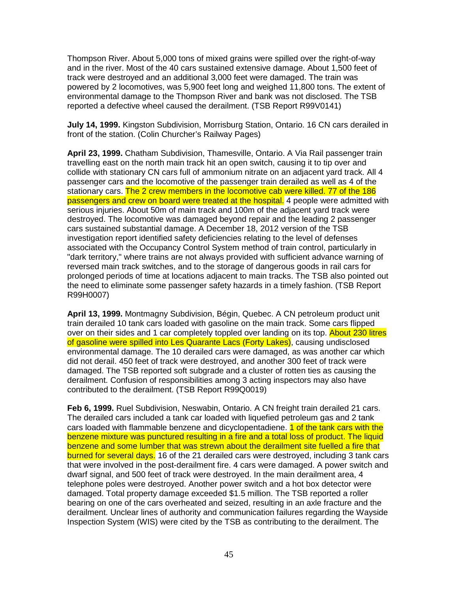Thompson River. About 5,000 tons of mixed grains were spilled over the right-of-way and in the river. Most of the 40 cars sustained extensive damage. About 1,500 feet of track were destroyed and an additional 3,000 feet were damaged. The train was powered by 2 locomotives, was 5,900 feet long and weighed 11,800 tons. The extent of environmental damage to the Thompson River and bank was not disclosed. The TSB reported a defective wheel caused the derailment. (TSB Report R99V0141)

**July 14, 1999.** Kingston Subdivision, Morrisburg Station, Ontario. 16 CN cars derailed in front of the station. (Colin Churcher's Railway Pages)

**April 23, 1999.** Chatham Subdivision, Thamesville, Ontario. A Via Rail passenger train travelling east on the north main track hit an open switch, causing it to tip over and collide with stationary CN cars full of ammonium nitrate on an adjacent yard track. All 4 passenger cars and the locomotive of the passenger train derailed as well as 4 of the stationary cars. The 2 crew members in the locomotive cab were killed. 77 of the 186 passengers and crew on board were treated at the hospital. 4 people were admitted with serious injuries. About 50m of main track and 100m of the adjacent yard track were destroyed. The locomotive was damaged beyond repair and the leading 2 passenger cars sustained substantial damage. A December 18, 2012 version of the TSB investigation report identified safety deficiencies relating to the level of defenses associated with the Occupancy Control System method of train control, particularly in "dark territory," where trains are not always provided with sufficient advance warning of reversed main track switches, and to the storage of dangerous goods in rail cars for prolonged periods of time at locations adjacent to main tracks. The TSB also pointed out the need to eliminate some passenger safety hazards in a timely fashion. (TSB Report R99H0007)

**April 13, 1999.** Montmagny Subdivision, Bégin, Quebec. A CN petroleum product unit train derailed 10 tank cars loaded with gasoline on the main track. Some cars flipped over on their sides and 1 car completely toppled over landing on its top. About 230 litres of gasoline were spilled into Les Quarante Lacs (Forty Lakes), causing undisclosed environmental damage. The 10 derailed cars were damaged, as was another car which did not derail. 450 feet of track were destroyed, and another 300 feet of track were damaged. The TSB reported soft subgrade and a cluster of rotten ties as causing the derailment. Confusion of responsibilities among 3 acting inspectors may also have contributed to the derailment. (TSB Report R99Q0019)

**Feb 6, 1999.** Ruel Subdivision, Neswabin, Ontario. A CN freight train derailed 21 cars. The derailed cars included a tank car loaded with liquefied petroleum gas and 2 tank cars loaded with flammable benzene and dicyclopentadiene. 1 of the tank cars with the benzene mixture was punctured resulting in a fire and a total loss of product. The liquid benzene and some lumber that was strewn about the derailment site fuelled a fire that burned for several days. 16 of the 21 derailed cars were destroyed, including 3 tank cars that were involved in the post-derailment fire. 4 cars were damaged. A power switch and dwarf signal, and 500 feet of track were destroyed. In the main derailment area, 4 telephone poles were destroyed. Another power switch and a hot box detector were damaged. Total property damage exceeded \$1.5 million. The TSB reported a roller bearing on one of the cars overheated and seized, resulting in an axle fracture and the derailment. Unclear lines of authority and communication failures regarding the Wayside Inspection System (WIS) were cited by the TSB as contributing to the derailment. The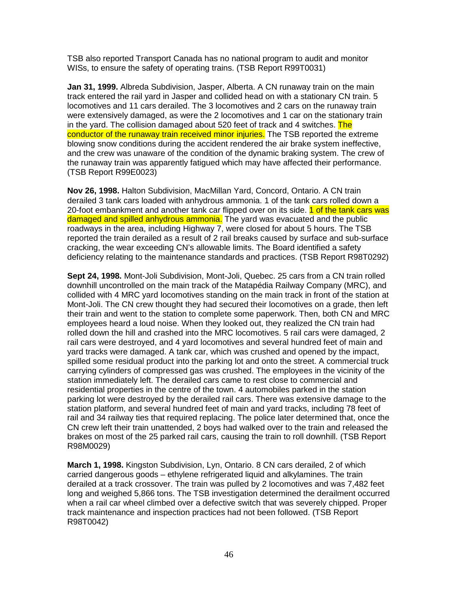TSB also reported Transport Canada has no national program to audit and monitor WISs, to ensure the safety of operating trains. (TSB Report R99T0031)

**Jan 31, 1999.** Albreda Subdivision, Jasper, Alberta. A CN runaway train on the main track entered the rail yard in Jasper and collided head on with a stationary CN train. 5 locomotives and 11 cars derailed. The 3 locomotives and 2 cars on the runaway train were extensively damaged, as were the 2 locomotives and 1 car on the stationary train in the yard. The collision damaged about 520 feet of track and 4 switches. The conductor of the runaway train received minor injuries. The TSB reported the extreme blowing snow conditions during the accident rendered the air brake system ineffective, and the crew was unaware of the condition of the dynamic braking system. The crew of the runaway train was apparently fatigued which may have affected their performance. (TSB Report R99E0023)

**Nov 26, 1998.** Halton Subdivision, MacMillan Yard, Concord, Ontario. A CN train derailed 3 tank cars loaded with anhydrous ammonia. 1 of the tank cars rolled down a 20-foot embankment and another tank car flipped over on its side. 1 of the tank cars was damaged and spilled anhydrous ammonia. The yard was evacuated and the public roadways in the area, including Highway 7, were closed for about 5 hours. The TSB reported the train derailed as a result of 2 rail breaks caused by surface and sub-surface cracking, the wear exceeding CN's allowable limits. The Board identified a safety deficiency relating to the maintenance standards and practices. (TSB Report R98T0292)

**Sept 24, 1998.** Mont-Joli Subdivision, Mont-Joli, Quebec. 25 cars from a CN train rolled downhill uncontrolled on the main track of the Matapédia Railway Company (MRC), and collided with 4 MRC yard locomotives standing on the main track in front of the station at Mont-Joli. The CN crew thought they had secured their locomotives on a grade, then left their train and went to the station to complete some paperwork. Then, both CN and MRC employees heard a loud noise. When they looked out, they realized the CN train had rolled down the hill and crashed into the MRC locomotives. 5 rail cars were damaged, 2 rail cars were destroyed, and 4 yard locomotives and several hundred feet of main and yard tracks were damaged. A tank car, which was crushed and opened by the impact, spilled some residual product into the parking lot and onto the street. A commercial truck carrying cylinders of compressed gas was crushed. The employees in the vicinity of the station immediately left. The derailed cars came to rest close to commercial and residential properties in the centre of the town. 4 automobiles parked in the station parking lot were destroyed by the derailed rail cars. There was extensive damage to the station platform, and several hundred feet of main and yard tracks, including 78 feet of rail and 34 railway ties that required replacing. The police later determined that, once the CN crew left their train unattended, 2 boys had walked over to the train and released the brakes on most of the 25 parked rail cars, causing the train to roll downhill. (TSB Report R98M0029)

**March 1, 1998.** Kingston Subdivision, Lyn, Ontario. 8 CN cars derailed, 2 of which carried dangerous goods – ethylene refrigerated liquid and alkylamines. The train derailed at a track crossover. The train was pulled by 2 locomotives and was 7,482 feet long and weighed 5,866 tons. The TSB investigation determined the derailment occurred when a rail car wheel climbed over a defective switch that was severely chipped. Proper track maintenance and inspection practices had not been followed. (TSB Report R98T0042)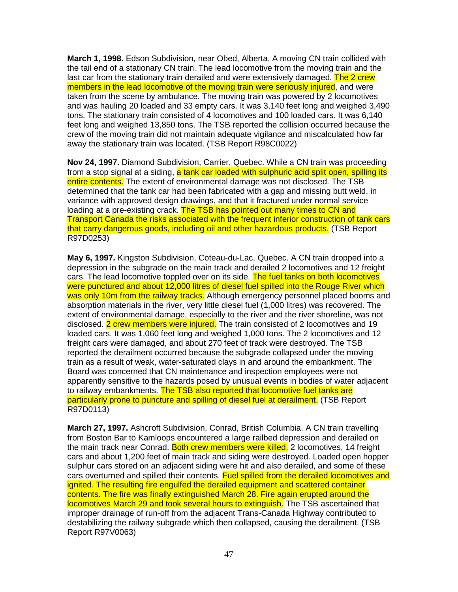**March 1, 1998.** Edson Subdivision, near Obed, Alberta. A moving CN train collided with the tail end of a stationary CN train. The lead locomotive from the moving train and the last car from the stationary train derailed and were extensively damaged. The 2 crew members in the lead locomotive of the moving train were seriously injured, and were taken from the scene by ambulance. The moving train was powered by 2 locomotives and was hauling 20 loaded and 33 empty cars. It was 3,140 feet long and weighed 3,490 tons. The stationary train consisted of 4 locomotives and 100 loaded cars. It was 6,140 feet long and weighed 13,850 tons. The TSB reported the collision occurred because the crew of the moving train did not maintain adequate vigilance and miscalculated how far away the stationary train was located. (TSB Report R98C0022)

**Nov 24, 1997.** Diamond Subdivision, Carrier, Quebec. While a CN train was proceeding from a stop signal at a siding, a tank car loaded with sulphuric acid split open, spilling its entire contents. The extent of environmental damage was not disclosed. The TSB determined that the tank car had been fabricated with a gap and missing butt weld, in variance with approved design drawings, and that it fractured under normal service loading at a pre-existing crack. The TSB has pointed out many times to CN and Transport Canada the risks associated with the frequent inferior construction of tank cars that carry dangerous goods, including oil and other hazardous products. (TSB Report R97D0253)

**May 6, 1997.** Kingston Subdivision, Coteau-du-Lac, Quebec. A CN train dropped into a depression in the subgrade on the main track and derailed 2 locomotives and 12 freight cars. The lead locomotive toppled over on its side. The fuel tanks on both locomotives were punctured and about 12,000 litres of diesel fuel spilled into the Rouge River which was only 10m from the railway tracks. Although emergency personnel placed booms and absorption materials in the river, very little diesel fuel (1,000 litres) was recovered. The extent of environmental damage, especially to the river and the river shoreline, was not disclosed. 2 crew members were injured. The train consisted of 2 locomotives and 19 loaded cars. It was 1,060 feet long and weighed 1,000 tons. The 2 locomotives and 12 freight cars were damaged, and about 270 feet of track were destroyed. The TSB reported the derailment occurred because the subgrade collapsed under the moving train as a result of weak, water-saturated clays in and around the embankment. The Board was concerned that CN maintenance and inspection employees were not apparently sensitive to the hazards posed by unusual events in bodies of water adjacent to railway embankments. The TSB also reported that locomotive fuel tanks are particularly prone to puncture and spilling of diesel fuel at derailment. (TSB Report R97D0113)

**March 27, 1997.** Ashcroft Subdivision, Conrad, British Columbia. A CN train travelling from Boston Bar to Kamloops encountered a large railbed depression and derailed on the main track near Conrad. Both crew members were killed. 2 locomotives, 14 freight cars and about 1,200 feet of main track and siding were destroyed. Loaded open hopper sulphur cars stored on an adjacent siding were hit and also derailed, and some of these cars overturned and spilled their contents. Fuel spilled from the derailed locomotives and ignited. The resulting fire engulfed the derailed equipment and scattered container contents. The fire was finally extinguished March 28. Fire again erupted around the locomotives March 29 and took several hours to extinguish. The TSB ascertained that improper drainage of run-off from the adjacent Trans-Canada Highway contributed to destabilizing the railway subgrade which then collapsed, causing the derailment. (TSB Report R97V0063)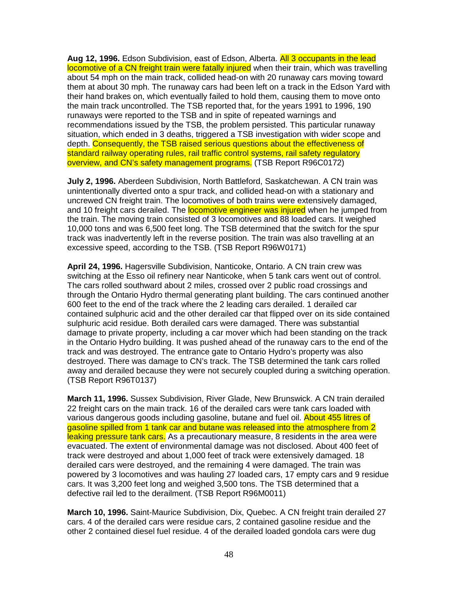**Aug 12, 1996.** Edson Subdivision, east of Edson, Alberta. All 3 occupants in the lead locomotive of a CN freight train were fatally injured when their train, which was travelling about 54 mph on the main track, collided head-on with 20 runaway cars moving toward them at about 30 mph. The runaway cars had been left on a track in the Edson Yard with their hand brakes on, which eventually failed to hold them, causing them to move onto the main track uncontrolled. The TSB reported that, for the years 1991 to 1996, 190 runaways were reported to the TSB and in spite of repeated warnings and recommendations issued by the TSB, the problem persisted. This particular runaway situation, which ended in 3 deaths, triggered a TSB investigation with wider scope and depth. Consequently, the TSB raised serious questions about the effectiveness of standard railway operating rules, rail traffic control systems, rail safety regulatory overview, and CN's safety management programs. (TSB Report R96C0172)

**July 2, 1996.** Aberdeen Subdivision, North Battleford, Saskatchewan. A CN train was unintentionally diverted onto a spur track, and collided head-on with a stationary and uncrewed CN freight train. The locomotives of both trains were extensively damaged, and 10 freight cars derailed. The **locomotive engineer was injured** when he jumped from the train. The moving train consisted of 3 locomotives and 88 loaded cars. It weighed 10,000 tons and was 6,500 feet long. The TSB determined that the switch for the spur track was inadvertently left in the reverse position. The train was also travelling at an excessive speed, according to the TSB. (TSB Report R96W0171)

**April 24, 1996.** Hagersville Subdivision, Nanticoke, Ontario. A CN train crew was switching at the Esso oil refinery near Nanticoke, when 5 tank cars went out of control. The cars rolled southward about 2 miles, crossed over 2 public road crossings and through the Ontario Hydro thermal generating plant building. The cars continued another 600 feet to the end of the track where the 2 leading cars derailed. 1 derailed car contained sulphuric acid and the other derailed car that flipped over on its side contained sulphuric acid residue. Both derailed cars were damaged. There was substantial damage to private property, including a car mover which had been standing on the track in the Ontario Hydro building. It was pushed ahead of the runaway cars to the end of the track and was destroyed. The entrance gate to Ontario Hydro's property was also destroyed. There was damage to CN's track. The TSB determined the tank cars rolled away and derailed because they were not securely coupled during a switching operation. (TSB Report R96T0137)

**March 11, 1996.** Sussex Subdivision, River Glade, New Brunswick. A CN train derailed 22 freight cars on the main track. 16 of the derailed cars were tank cars loaded with various dangerous goods including gasoline, butane and fuel oil. About 455 litres of gasoline spilled from 1 tank car and butane was released into the atmosphere from 2 leaking pressure tank cars. As a precautionary measure, 8 residents in the area were evacuated. The extent of environmental damage was not disclosed. About 400 feet of track were destroyed and about 1,000 feet of track were extensively damaged. 18 derailed cars were destroyed, and the remaining 4 were damaged. The train was powered by 3 locomotives and was hauling 27 loaded cars, 17 empty cars and 9 residue cars. It was 3,200 feet long and weighed 3,500 tons. The TSB determined that a defective rail led to the derailment. (TSB Report R96M0011)

**March 10, 1996.** Saint-Maurice Subdivision, Dix, Quebec. A CN freight train derailed 27 cars. 4 of the derailed cars were residue cars, 2 contained gasoline residue and the other 2 contained diesel fuel residue. 4 of the derailed loaded gondola cars were dug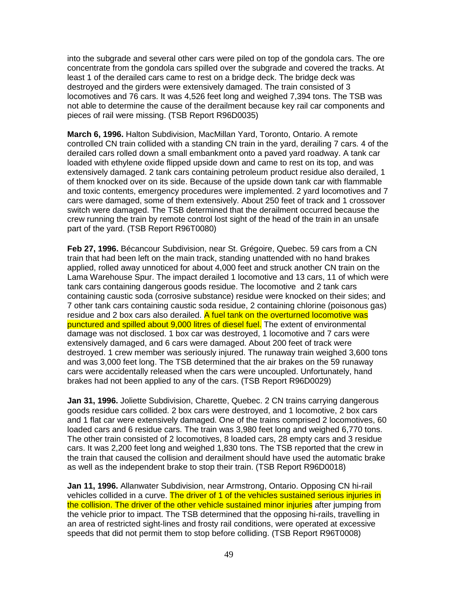into the subgrade and several other cars were piled on top of the gondola cars. The ore concentrate from the gondola cars spilled over the subgrade and covered the tracks. At least 1 of the derailed cars came to rest on a bridge deck. The bridge deck was destroyed and the girders were extensively damaged. The train consisted of 3 locomotives and 76 cars. It was 4,526 feet long and weighed 7,394 tons. The TSB was not able to determine the cause of the derailment because key rail car components and pieces of rail were missing. (TSB Report R96D0035)

**March 6, 1996.** Halton Subdivision, MacMillan Yard, Toronto, Ontario. A remote controlled CN train collided with a standing CN train in the yard, derailing 7 cars. 4 of the derailed cars rolled down a small embankment onto a paved yard roadway. A tank car loaded with ethylene oxide flipped upside down and came to rest on its top, and was extensively damaged. 2 tank cars containing petroleum product residue also derailed, 1 of them knocked over on its side. Because of the upside down tank car with flammable and toxic contents, emergency procedures were implemented. 2 yard locomotives and 7 cars were damaged, some of them extensively. About 250 feet of track and 1 crossover switch were damaged. The TSB determined that the derailment occurred because the crew running the train by remote control lost sight of the head of the train in an unsafe part of the yard. (TSB Report R96T0080)

**Feb 27, 1996.** Bécancour Subdivision, near St. Grégoire, Quebec. 59 cars from a CN train that had been left on the main track, standing unattended with no hand brakes applied, rolled away unnoticed for about 4,000 feet and struck another CN train on the Lama Warehouse Spur. The impact derailed 1 locomotive and 13 cars, 11 of which were tank cars containing dangerous goods residue. The locomotive and 2 tank cars containing caustic soda (corrosive substance) residue were knocked on their sides; and 7 other tank cars containing caustic soda residue, 2 containing chlorine (poisonous gas) residue and 2 box cars also derailed. A fuel tank on the overturned locomotive was punctured and spilled about 9,000 litres of diesel fuel. The extent of environmental damage was not disclosed. 1 box car was destroyed, 1 locomotive and 7 cars were extensively damaged, and 6 cars were damaged. About 200 feet of track were destroyed. 1 crew member was seriously injured. The runaway train weighed 3,600 tons and was 3,000 feet long. The TSB determined that the air brakes on the 59 runaway cars were accidentally released when the cars were uncoupled. Unfortunately, hand brakes had not been applied to any of the cars. (TSB Report R96D0029)

**Jan 31, 1996.** Joliette Subdivision, Charette, Quebec. 2 CN trains carrying dangerous goods residue cars collided. 2 box cars were destroyed, and 1 locomotive, 2 box cars and 1 flat car were extensively damaged. One of the trains comprised 2 locomotives, 60 loaded cars and 6 residue cars. The train was 3,980 feet long and weighed 6,770 tons. The other train consisted of 2 locomotives, 8 loaded cars, 28 empty cars and 3 residue cars. It was 2,200 feet long and weighed 1,830 tons. The TSB reported that the crew in the train that caused the collision and derailment should have used the automatic brake as well as the independent brake to stop their train. (TSB Report R96D0018)

**Jan 11, 1996.** Allanwater Subdivision, near Armstrong, Ontario. Opposing CN hi-rail vehicles collided in a curve. The driver of 1 of the vehicles sustained serious injuries in the collision. The driver of the other vehicle sustained minor injuries after jumping from the vehicle prior to impact. The TSB determined that the opposing hi-rails, travelling in an area of restricted sight-lines and frosty rail conditions, were operated at excessive speeds that did not permit them to stop before colliding. (TSB Report R96T0008)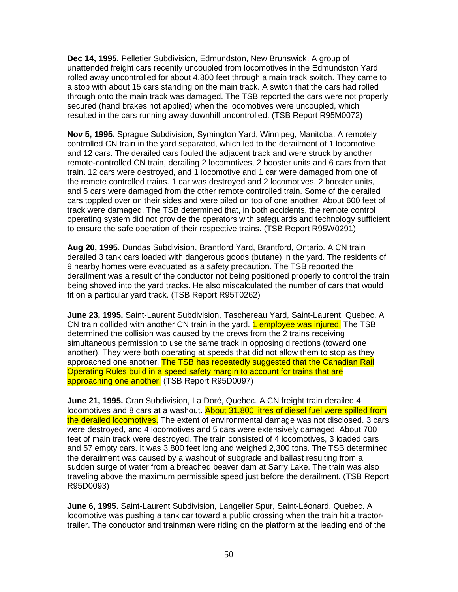**Dec 14, 1995.** Pelletier Subdivision, Edmundston, New Brunswick. A group of unattended freight cars recently uncoupled from locomotives in the Edmundston Yard rolled away uncontrolled for about 4,800 feet through a main track switch. They came to a stop with about 15 cars standing on the main track. A switch that the cars had rolled through onto the main track was damaged. The TSB reported the cars were not properly secured (hand brakes not applied) when the locomotives were uncoupled, which resulted in the cars running away downhill uncontrolled. (TSB Report R95M0072)

**Nov 5, 1995.** Sprague Subdivision, Symington Yard, Winnipeg, Manitoba. A remotely controlled CN train in the yard separated, which led to the derailment of 1 locomotive and 12 cars. The derailed cars fouled the adjacent track and were struck by another remote-controlled CN train, derailing 2 locomotives, 2 booster units and 6 cars from that train. 12 cars were destroyed, and 1 locomotive and 1 car were damaged from one of the remote controlled trains. 1 car was destroyed and 2 locomotives, 2 booster units, and 5 cars were damaged from the other remote controlled train. Some of the derailed cars toppled over on their sides and were piled on top of one another. About 600 feet of track were damaged. The TSB determined that, in both accidents, the remote control operating system did not provide the operators with safeguards and technology sufficient to ensure the safe operation of their respective trains. (TSB Report R95W0291)

**Aug 20, 1995.** Dundas Subdivision, Brantford Yard, Brantford, Ontario. A CN train derailed 3 tank cars loaded with dangerous goods (butane) in the yard. The residents of 9 nearby homes were evacuated as a safety precaution. The TSB reported the derailment was a result of the conductor not being positioned properly to control the train being shoved into the yard tracks. He also miscalculated the number of cars that would fit on a particular yard track. (TSB Report R95T0262)

**June 23, 1995.** Saint-Laurent Subdivision, Taschereau Yard, Saint-Laurent, Quebec. A CN train collided with another CN train in the yard. 1 employee was injured. The TSB determined the collision was caused by the crews from the 2 trains receiving simultaneous permission to use the same track in opposing directions (toward one another). They were both operating at speeds that did not allow them to stop as they approached one another. The TSB has repeatedly suggested that the Canadian Rail Operating Rules build in a speed safety margin to account for trains that are approaching one another. (TSB Report R95D0097)

**June 21, 1995.** Cran Subdivision, La Doré, Quebec. A CN freight train derailed 4 locomotives and 8 cars at a washout. About 31,800 litres of diesel fuel were spilled from the derailed locomotives. The extent of environmental damage was not disclosed. 3 cars were destroyed, and 4 locomotives and 5 cars were extensively damaged. About 700 feet of main track were destroyed. The train consisted of 4 locomotives, 3 loaded cars and 57 empty cars. It was 3,800 feet long and weighed 2,300 tons. The TSB determined the derailment was caused by a washout of subgrade and ballast resulting from a sudden surge of water from a breached beaver dam at Sarry Lake. The train was also traveling above the maximum permissible speed just before the derailment. (TSB Report R95D0093)

**June 6, 1995.** Saint-Laurent Subdivision, Langelier Spur, Saint-Léonard, Quebec. A locomotive was pushing a tank car toward a public crossing when the train hit a tractortrailer. The conductor and trainman were riding on the platform at the leading end of the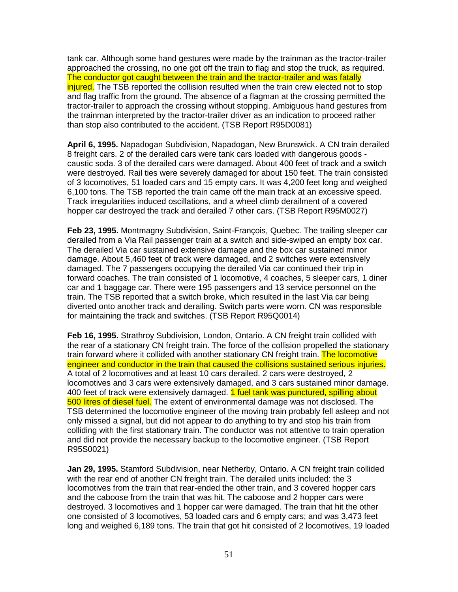tank car. Although some hand gestures were made by the trainman as the tractor-trailer approached the crossing, no one got off the train to flag and stop the truck, as required. The conductor got caught between the train and the tractor-trailer and was fatally injured. The TSB reported the collision resulted when the train crew elected not to stop and flag traffic from the ground. The absence of a flagman at the crossing permitted the tractor-trailer to approach the crossing without stopping. Ambiguous hand gestures from the trainman interpreted by the tractor-trailer driver as an indication to proceed rather than stop also contributed to the accident. (TSB Report R95D0081)

**April 6, 1995.** Napadogan Subdivision, Napadogan, New Brunswick. A CN train derailed 8 freight cars. 2 of the derailed cars were tank cars loaded with dangerous goods caustic soda. 3 of the derailed cars were damaged. About 400 feet of track and a switch were destroyed. Rail ties were severely damaged for about 150 feet. The train consisted of 3 locomotives, 51 loaded cars and 15 empty cars. It was 4,200 feet long and weighed 6,100 tons. The TSB reported the train came off the main track at an excessive speed. Track irregularities induced oscillations, and a wheel climb derailment of a covered hopper car destroyed the track and derailed 7 other cars. (TSB Report R95M0027)

**Feb 23, 1995.** Montmagny Subdivision, Saint-François, Quebec. The trailing sleeper car derailed from a Via Rail passenger train at a switch and side-swiped an empty box car. The derailed Via car sustained extensive damage and the box car sustained minor damage. About 5,460 feet of track were damaged, and 2 switches were extensively damaged. The 7 passengers occupying the derailed Via car continued their trip in forward coaches. The train consisted of 1 locomotive, 4 coaches, 5 sleeper cars, 1 diner car and 1 baggage car. There were 195 passengers and 13 service personnel on the train. The TSB reported that a switch broke, which resulted in the last Via car being diverted onto another track and derailing. Switch parts were worn. CN was responsible for maintaining the track and switches. (TSB Report R95Q0014)

**Feb 16, 1995.** Strathroy Subdivision, London, Ontario. A CN freight train collided with the rear of a stationary CN freight train. The force of the collision propelled the stationary train forward where it collided with another stationary CN freight train. The locomotive engineer and conductor in the train that caused the collisions sustained serious injuries. A total of 2 locomotives and at least 10 cars derailed. 2 cars were destroyed, 2 locomotives and 3 cars were extensively damaged, and 3 cars sustained minor damage. 400 feet of track were extensively damaged. 1 fuel tank was punctured, spilling about 500 litres of diesel fuel. The extent of environmental damage was not disclosed. The TSB determined the locomotive engineer of the moving train probably fell asleep and not only missed a signal, but did not appear to do anything to try and stop his train from colliding with the first stationary train. The conductor was not attentive to train operation and did not provide the necessary backup to the locomotive engineer. (TSB Report R95S0021)

**Jan 29, 1995.** Stamford Subdivision, near Netherby, Ontario. A CN freight train collided with the rear end of another CN freight train. The derailed units included: the 3 locomotives from the train that rear-ended the other train, and 3 covered hopper cars and the caboose from the train that was hit. The caboose and 2 hopper cars were destroyed. 3 locomotives and 1 hopper car were damaged. The train that hit the other one consisted of 3 locomotives, 53 loaded cars and 6 empty cars; and was 3,473 feet long and weighed 6,189 tons. The train that got hit consisted of 2 locomotives, 19 loaded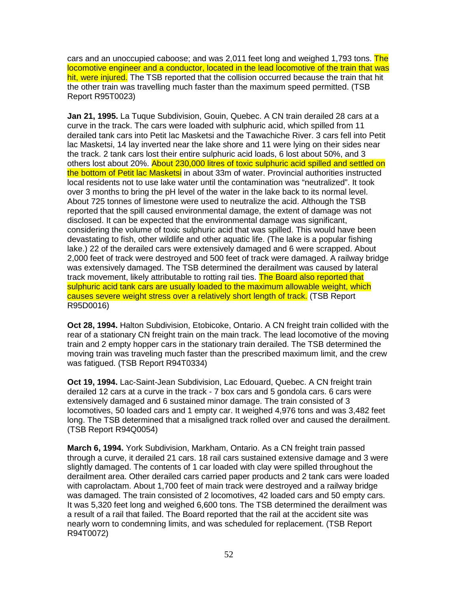cars and an unoccupied caboose; and was 2,011 feet long and weighed 1,793 tons. The locomotive engineer and a conductor, located in the lead locomotive of the train that was hit, were injured. The TSB reported that the collision occurred because the train that hit the other train was travelling much faster than the maximum speed permitted. (TSB Report R95T0023)

**Jan 21, 1995.** La Tuque Subdivision, Gouin, Quebec. A CN train derailed 28 cars at a curve in the track. The cars were loaded with sulphuric acid, which spilled from 11 derailed tank cars into Petit lac Masketsi and the Tawachiche River. 3 cars fell into Petit lac Masketsi, 14 lay inverted near the lake shore and 11 were lying on their sides near the track. 2 tank cars lost their entire sulphuric acid loads, 6 lost about 50%, and 3 others lost about 20%. About 230,000 litres of toxic sulphuric acid spilled and settled on the bottom of Petit lac Masketsi in about 33m of water. Provincial authorities instructed local residents not to use lake water until the contamination was "neutralized". It took over 3 months to bring the pH level of the water in the lake back to its normal level. About 725 tonnes of limestone were used to neutralize the acid. Although the TSB reported that the spill caused environmental damage, the extent of damage was not disclosed. It can be expected that the environmental damage was significant, considering the volume of toxic sulphuric acid that was spilled. This would have been devastating to fish, other wildlife and other aquatic life. (The lake is a popular fishing lake.) 22 of the derailed cars were extensively damaged and 6 were scrapped. About 2,000 feet of track were destroyed and 500 feet of track were damaged. A railway bridge was extensively damaged. The TSB determined the derailment was caused by lateral track movement, likely attributable to rotting rail ties. The Board also reported that sulphuric acid tank cars are usually loaded to the maximum allowable weight, which causes severe weight stress over a relatively short length of track. (TSB Report R95D0016)

**Oct 28, 1994.** Halton Subdivision, Etobicoke, Ontario. A CN freight train collided with the rear of a stationary CN freight train on the main track. The lead locomotive of the moving train and 2 empty hopper cars in the stationary train derailed. The TSB determined the moving train was traveling much faster than the prescribed maximum limit, and the crew was fatigued. (TSB Report R94T0334)

**Oct 19, 1994.** Lac-Saint-Jean Subdivision, Lac Edouard, Quebec. A CN freight train derailed 12 cars at a curve in the track - 7 box cars and 5 gondola cars. 6 cars were extensively damaged and 6 sustained minor damage. The train consisted of 3 locomotives, 50 loaded cars and 1 empty car. It weighed 4,976 tons and was 3,482 feet long. The TSB determined that a misaligned track rolled over and caused the derailment. (TSB Report R94Q0054)

**March 6, 1994.** York Subdivision, Markham, Ontario. As a CN freight train passed through a curve, it derailed 21 cars. 18 rail cars sustained extensive damage and 3 were slightly damaged. The contents of 1 car loaded with clay were spilled throughout the derailment area. Other derailed cars carried paper products and 2 tank cars were loaded with caprolactam. About 1,700 feet of main track were destroyed and a railway bridge was damaged. The train consisted of 2 locomotives, 42 loaded cars and 50 empty cars. It was 5,320 feet long and weighed 6,600 tons. The TSB determined the derailment was a result of a rail that failed. The Board reported that the rail at the accident site was nearly worn to condemning limits, and was scheduled for replacement. (TSB Report R94T0072)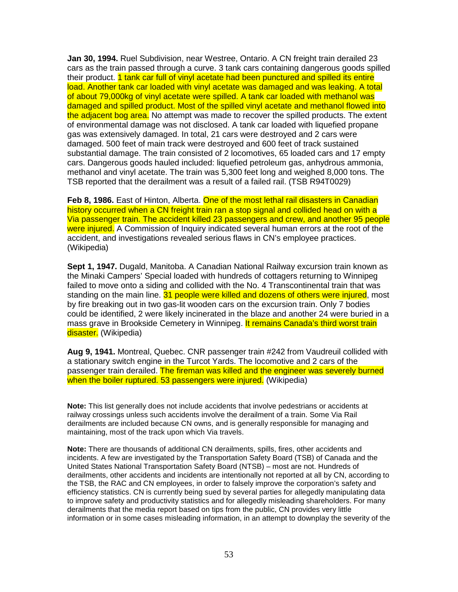**Jan 30, 1994.** Ruel Subdivision, near Westree, Ontario. A CN freight train derailed 23 cars as the train passed through a curve. 3 tank cars containing dangerous goods spilled their product. 1 tank car full of vinyl acetate had been punctured and spilled its entire load. Another tank car loaded with vinyl acetate was damaged and was leaking. A total of about 79,000kg of vinyl acetate were spilled. A tank car loaded with methanol was damaged and spilled product. Most of the spilled vinyl acetate and methanol flowed into the adjacent bog area. No attempt was made to recover the spilled products. The extent of environmental damage was not disclosed. A tank car loaded with liquefied propane gas was extensively damaged. In total, 21 cars were destroyed and 2 cars were damaged. 500 feet of main track were destroyed and 600 feet of track sustained substantial damage. The train consisted of 2 locomotives, 65 loaded cars and 17 empty cars. Dangerous goods hauled included: liquefied petroleum gas, anhydrous ammonia, methanol and vinyl acetate. The train was 5,300 feet long and weighed 8,000 tons. The TSB reported that the derailment was a result of a failed rail. (TSB R94T0029)

**Feb 8, 1986.** East of Hinton, Alberta. One of the most lethal rail disasters in Canadian history occurred when a CN freight train ran a stop signal and collided head on with a Via passenger train. The accident killed 23 passengers and crew, and another 95 people were injured. A Commission of Inquiry indicated several human errors at the root of the accident, and investigations revealed serious flaws in CN's employee practices. (Wikipedia)

**Sept 1, 1947.** Dugald, Manitoba. A Canadian National Railway excursion train known as the Minaki Campers' Special loaded with hundreds of cottagers returning to Winnipeg failed to move onto a siding and collided with the No. 4 Transcontinental train that was standing on the main line. 31 people were killed and dozens of others were injured, most by fire breaking out in two gas-lit wooden cars on the excursion train. Only 7 bodies could be identified, 2 were likely incinerated in the blaze and another 24 were buried in a mass grave in Brookside Cemetery in Winnipeg. It remains Canada's third worst train disaster. (Wikipedia)

**Aug 9, 1941.** Montreal, Quebec. CNR passenger train #242 from Vaudreuil collided with a stationary switch engine in the Turcot Yards. The locomotive and 2 cars of the passenger train derailed. The fireman was killed and the engineer was severely burned when the boiler ruptured. 53 passengers were injured. (Wikipedia)

**Note:** This list generally does not include accidents that involve pedestrians or accidents at railway crossings unless such accidents involve the derailment of a train. Some Via Rail derailments are included because CN owns, and is generally responsible for managing and maintaining, most of the track upon which Via travels.

**Note:** There are thousands of additional CN derailments, spills, fires, other accidents and incidents. A few are investigated by the Transportation Safety Board (TSB) of Canada and the United States National Transportation Safety Board (NTSB) – most are not. Hundreds of derailments, other accidents and incidents are intentionally not reported at all by CN, according to the TSB, the RAC and CN employees, in order to falsely improve the corporation's safety and efficiency statistics. CN is currently being sued by several parties for allegedly manipulating data to improve safety and productivity statistics and for allegedly misleading shareholders. For many derailments that the media report based on tips from the public, CN provides very little information or in some cases misleading information, in an attempt to downplay the severity of the